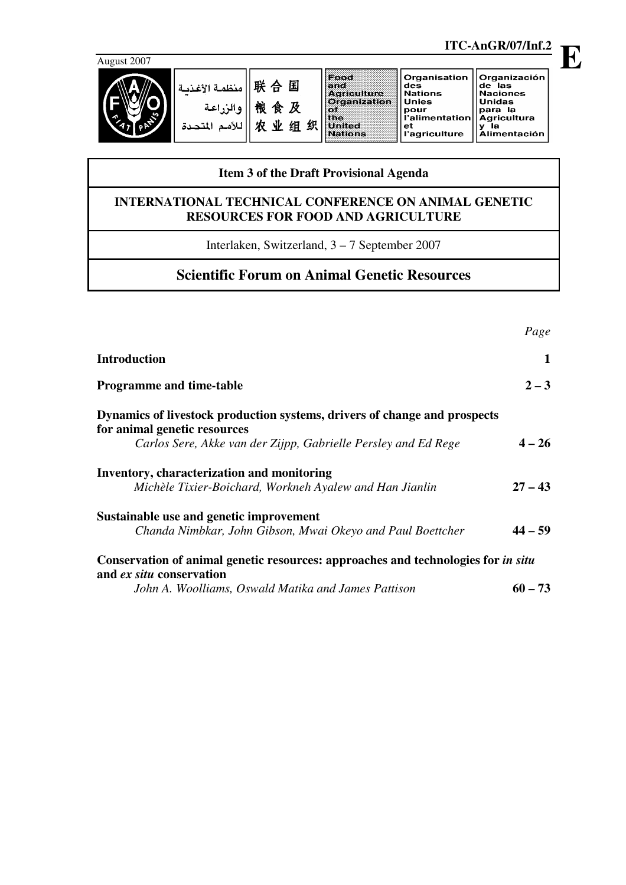

# **Item 3 of the Draft Provisional Agenda**

# **INTERNATIONAL TECHNICAL CONFERENCE ON ANIMAL GENETIC RESOURCES FOR FOOD AND AGRICULTURE**

Interlaken, Switzerland, 3 – 7 September 2007

# **Scientific Forum on Animal Genetic Resources**

|                                                                                                               | Page      |
|---------------------------------------------------------------------------------------------------------------|-----------|
| <b>Introduction</b>                                                                                           |           |
| <b>Programme and time-table</b>                                                                               | $2 - 3$   |
| Dynamics of livestock production systems, drivers of change and prospects<br>for animal genetic resources     |           |
| Carlos Sere, Akke van der Zijpp, Gabrielle Persley and Ed Rege                                                | $4 - 26$  |
| Inventory, characterization and monitoring<br>Michèle Tixier-Boichard, Workneh Ayalew and Han Jianlin         | $27 - 43$ |
| Sustainable use and genetic improvement<br>Chanda Nimbkar, John Gibson, Mwai Okeyo and Paul Boettcher         | $44 - 59$ |
| Conservation of animal genetic resources: approaches and technologies for in situ<br>and ex situ conservation |           |
| John A. Woolliams, Oswald Matika and James Pattison                                                           | $60 - 73$ |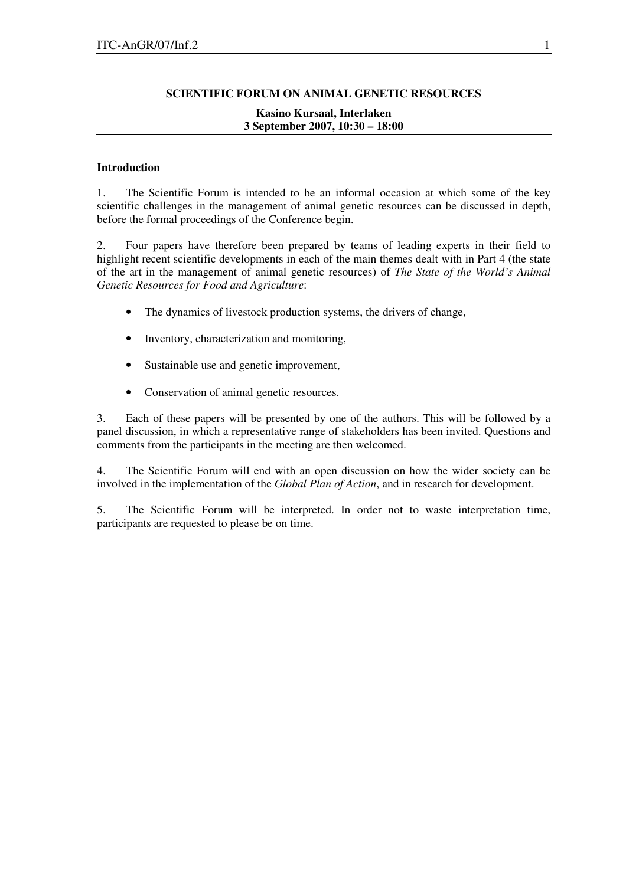## **SCIENTIFIC FORUM ON ANIMAL GENETIC RESOURCES**

#### **Kasino Kursaal, Interlaken 3 September 2007, 10:30 – 18:00**

## **Introduction**

1. The Scientific Forum is intended to be an informal occasion at which some of the key scientific challenges in the management of animal genetic resources can be discussed in depth, before the formal proceedings of the Conference begin.

2. Four papers have therefore been prepared by teams of leading experts in their field to highlight recent scientific developments in each of the main themes dealt with in Part 4 (the state of the art in the management of animal genetic resources) of *The State of the World's Animal Genetic Resources for Food and Agriculture*:

- The dynamics of livestock production systems, the drivers of change,
- Inventory, characterization and monitoring,
- Sustainable use and genetic improvement,
- Conservation of animal genetic resources.

3. Each of these papers will be presented by one of the authors. This will be followed by a panel discussion, in which a representative range of stakeholders has been invited. Questions and comments from the participants in the meeting are then welcomed.

4. The Scientific Forum will end with an open discussion on how the wider society can be involved in the implementation of the *Global Plan of Action*, and in research for development.

5. The Scientific Forum will be interpreted. In order not to waste interpretation time, participants are requested to please be on time.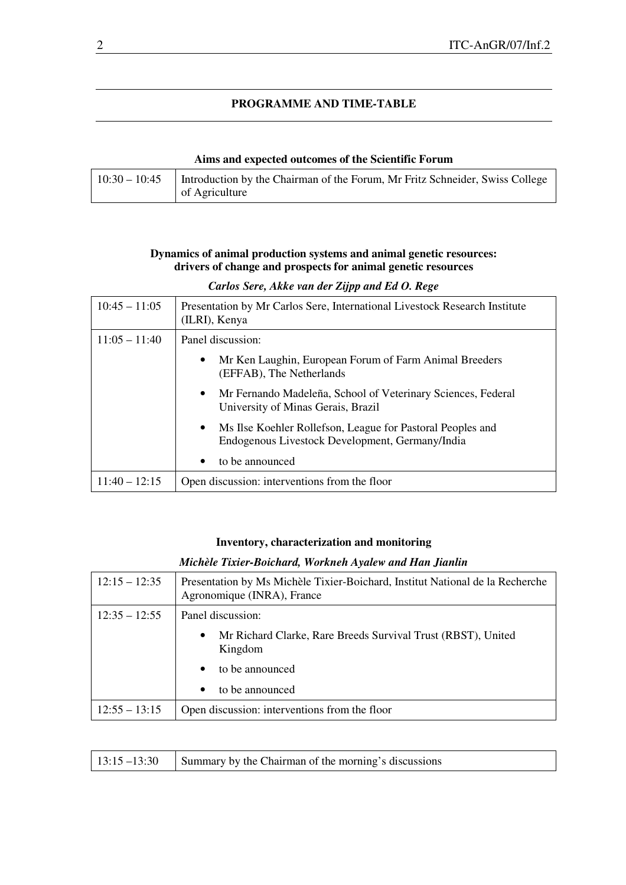# **PROGRAMME AND TIME-TABLE**

## **Aims and expected outcomes of the Scientific Forum**

| $10:30-10:45$ Introduction by the Chairman of the Forum, Mr Fritz Schneider, Swiss College |
|--------------------------------------------------------------------------------------------|
| of Agriculture                                                                             |

# **Dynamics of animal production systems and animal genetic resources: drivers of change and prospects for animal genetic resources**

| $10:45 - 11:05$ | Presentation by Mr Carlos Sere, International Livestock Research Institute<br>(ILRI), Kenya                                |  |  |  |  |  |  |  |
|-----------------|----------------------------------------------------------------------------------------------------------------------------|--|--|--|--|--|--|--|
| $11:05 - 11:40$ | Panel discussion:                                                                                                          |  |  |  |  |  |  |  |
|                 | Mr Ken Laughin, European Forum of Farm Animal Breeders<br>$\bullet$<br>(EFFAB), The Netherlands                            |  |  |  |  |  |  |  |
|                 | Mr Fernando Madeleña, School of Veterinary Sciences, Federal<br>$\bullet$<br>University of Minas Gerais, Brazil            |  |  |  |  |  |  |  |
|                 | Ms Ilse Koehler Rollefson, League for Pastoral Peoples and<br>$\bullet$<br>Endogenous Livestock Development, Germany/India |  |  |  |  |  |  |  |
|                 | to be announced<br>$\bullet$                                                                                               |  |  |  |  |  |  |  |
| $11:40 - 12:15$ | Open discussion: interventions from the floor                                                                              |  |  |  |  |  |  |  |

# *Carlos Sere, Akke van der Zijpp and Ed O. Rege*

## **Inventory, characterization and monitoring**

## *Michèle Tixier-Boichard, Workneh Ayalew and Han Jianlin*

| $12:15 - 12:35$ | Presentation by Ms Michèle Tixier-Boichard, Institut National de la Recherche<br>Agronomique (INRA), France |  |  |  |  |  |
|-----------------|-------------------------------------------------------------------------------------------------------------|--|--|--|--|--|
| $12:35 - 12:55$ | Panel discussion:                                                                                           |  |  |  |  |  |
|                 | Mr Richard Clarke, Rare Breeds Survival Trust (RBST), United<br>$\bullet$<br>Kingdom                        |  |  |  |  |  |
|                 | to be announced                                                                                             |  |  |  |  |  |
|                 | to be announced<br>$\bullet$                                                                                |  |  |  |  |  |
| $12:55 - 13:15$ | Open discussion: interventions from the floor                                                               |  |  |  |  |  |

| $13:15-13:30$ Summary by the Chairman of the morning's discussions |
|--------------------------------------------------------------------|
|--------------------------------------------------------------------|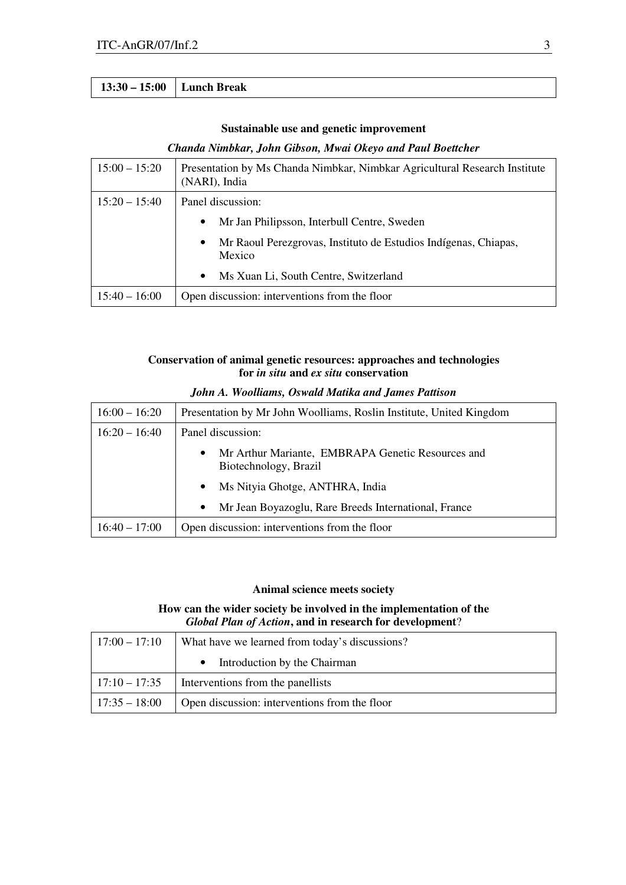# **13:30 – 15:00 Lunch Break**

## **Sustainable use and genetic improvement**

## *Chanda Nimbkar, John Gibson, Mwai Okeyo and Paul Boettcher*

| $15:00 - 15:20$ | Presentation by Ms Chanda Nimbkar, Nimbkar Agricultural Research Institute<br>(NARI), India |  |  |  |  |  |  |
|-----------------|---------------------------------------------------------------------------------------------|--|--|--|--|--|--|
| $15:20 - 15:40$ | Panel discussion:                                                                           |  |  |  |  |  |  |
|                 | Mr Jan Philipsson, Interbull Centre, Sweden<br>$\bullet$                                    |  |  |  |  |  |  |
|                 | Mr Raoul Perezgrovas, Instituto de Estudios Indígenas, Chiapas,<br>$\bullet$<br>Mexico      |  |  |  |  |  |  |
|                 | Ms Xuan Li, South Centre, Switzerland<br>$\bullet$                                          |  |  |  |  |  |  |
| $15:40 - 16:00$ | Open discussion: interventions from the floor                                               |  |  |  |  |  |  |

## **Conservation of animal genetic resources: approaches and technologies for** *in situ* **and** *ex situ* **conservation**

| $16:00 - 16:20$ | Presentation by Mr John Woolliams, Roslin Institute, United Kingdom             |  |  |  |  |  |  |
|-----------------|---------------------------------------------------------------------------------|--|--|--|--|--|--|
| $16:20 - 16:40$ | Panel discussion:                                                               |  |  |  |  |  |  |
|                 | Mr Arthur Mariante, EMBRAPA Genetic Resources and<br>٠<br>Biotechnology, Brazil |  |  |  |  |  |  |
|                 | Ms Nityia Ghotge, ANTHRA, India<br>$\bullet$                                    |  |  |  |  |  |  |
|                 | Mr Jean Boyazoglu, Rare Breeds International, France<br>$\bullet$               |  |  |  |  |  |  |
| $16:40 - 17:00$ | Open discussion: interventions from the floor                                   |  |  |  |  |  |  |

#### *John A. Woolliams, Oswald Matika and James Pattison*

#### **Animal science meets society**

## **How can the wider society be involved in the implementation of the**  *Global Plan of Action***, and in research for development**?

| $17:00 - 17:10$ | What have we learned from today's discussions?                |  |  |  |  |  |
|-----------------|---------------------------------------------------------------|--|--|--|--|--|
|                 | • Introduction by the Chairman                                |  |  |  |  |  |
|                 | $\mid$ 17:10 – 17:35 $\mid$ Interventions from the panellists |  |  |  |  |  |
| $17:35 - 18:00$ | Open discussion: interventions from the floor                 |  |  |  |  |  |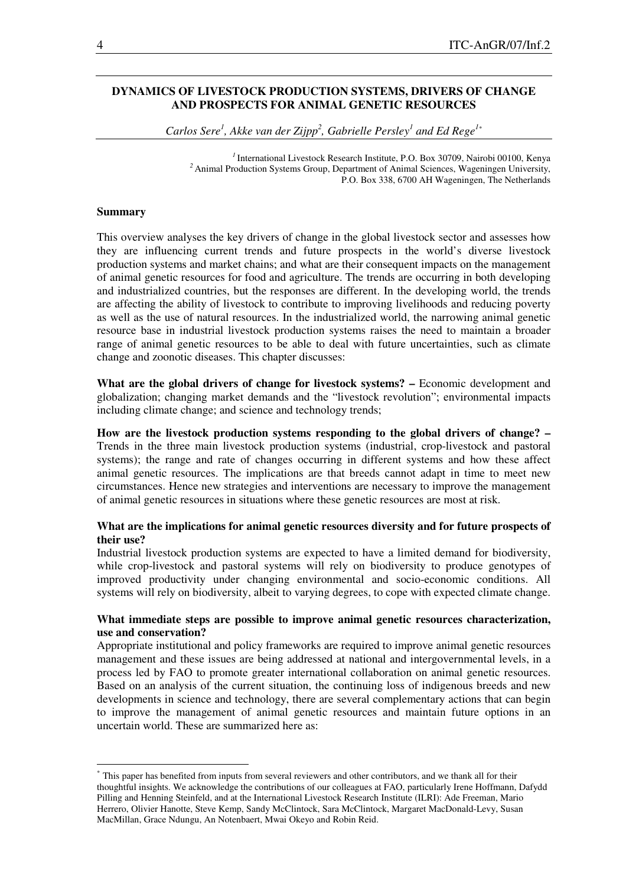#### **DYNAMICS OF LIVESTOCK PRODUCTION SYSTEMS, DRIVERS OF CHANGE AND PROSPECTS FOR ANIMAL GENETIC RESOURCES**

*Carlos Sere<sup>1</sup> , Akke van der Zijpp<sup>2</sup> , Gabrielle Persley<sup>1</sup> and Ed Rege<sup>1</sup>\**

*<sup>1</sup>*International Livestock Research Institute, P.O. Box 30709, Nairobi 00100, Kenya <sup>2</sup> Animal Production Systems Group, Department of Animal Sciences, Wageningen University, P.O. Box 338, 6700 AH Wageningen, The Netherlands

#### **Summary**

 $\overline{a}$ 

This overview analyses the key drivers of change in the global livestock sector and assesses how they are influencing current trends and future prospects in the world's diverse livestock production systems and market chains; and what are their consequent impacts on the management of animal genetic resources for food and agriculture. The trends are occurring in both developing and industrialized countries, but the responses are different. In the developing world, the trends are affecting the ability of livestock to contribute to improving livelihoods and reducing poverty as well as the use of natural resources. In the industrialized world, the narrowing animal genetic resource base in industrial livestock production systems raises the need to maintain a broader range of animal genetic resources to be able to deal with future uncertainties, such as climate change and zoonotic diseases. This chapter discusses:

**What are the global drivers of change for livestock systems? –** Economic development and globalization; changing market demands and the "livestock revolution"; environmental impacts including climate change; and science and technology trends;

**How are the livestock production systems responding to the global drivers of change? –**  Trends in the three main livestock production systems (industrial, crop-livestock and pastoral systems); the range and rate of changes occurring in different systems and how these affect animal genetic resources. The implications are that breeds cannot adapt in time to meet new circumstances. Hence new strategies and interventions are necessary to improve the management of animal genetic resources in situations where these genetic resources are most at risk.

#### **What are the implications for animal genetic resources diversity and for future prospects of their use?**

Industrial livestock production systems are expected to have a limited demand for biodiversity, while crop-livestock and pastoral systems will rely on biodiversity to produce genotypes of improved productivity under changing environmental and socio-economic conditions. All systems will rely on biodiversity, albeit to varying degrees, to cope with expected climate change.

#### **What immediate steps are possible to improve animal genetic resources characterization, use and conservation?**

Appropriate institutional and policy frameworks are required to improve animal genetic resources management and these issues are being addressed at national and intergovernmental levels, in a process led by FAO to promote greater international collaboration on animal genetic resources. Based on an analysis of the current situation, the continuing loss of indigenous breeds and new developments in science and technology, there are several complementary actions that can begin to improve the management of animal genetic resources and maintain future options in an uncertain world. These are summarized here as:

This paper has benefited from inputs from several reviewers and other contributors, and we thank all for their thoughtful insights. We acknowledge the contributions of our colleagues at FAO, particularly Irene Hoffmann, Dafydd Pilling and Henning Steinfeld, and at the International Livestock Research Institute (ILRI): Ade Freeman, Mario Herrero, Olivier Hanotte, Steve Kemp, Sandy McClintock, Sara McClintock, Margaret MacDonald-Levy, Susan MacMillan, Grace Ndungu, An Notenbaert, Mwai Okeyo and Robin Reid.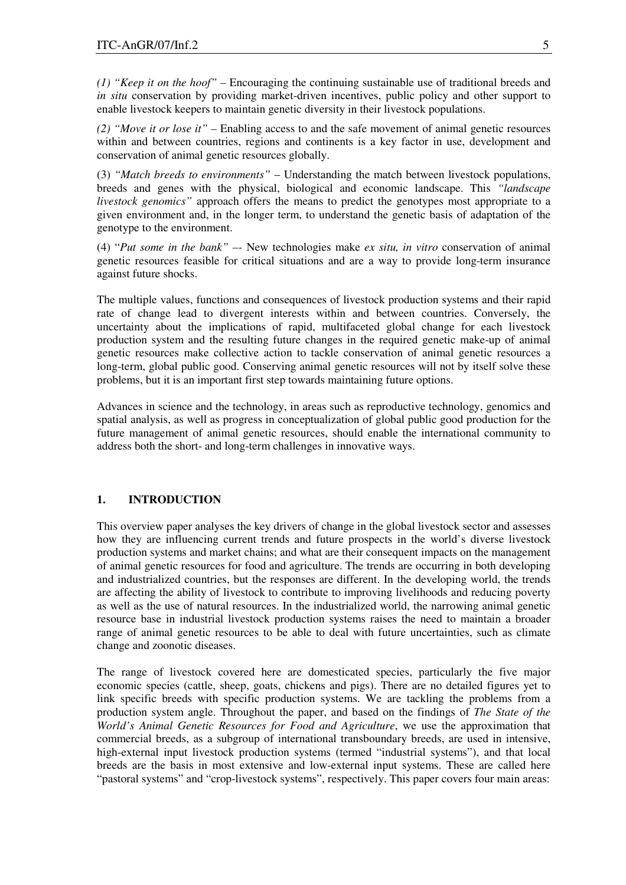*(1) "Keep it on the hoof" –* Encouraging the continuing sustainable use of traditional breeds and *in situ* conservation by providing market-driven incentives, public policy and other support to enable livestock keepers to maintain genetic diversity in their livestock populations.

*(2) "Move it or lose it" –* Enabling access to and the safe movement of animal genetic resources within and between countries, regions and continents is a key factor in use, development and conservation of animal genetic resources globally.

(3) *"Match breeds to environments"* – Understanding the match between livestock populations, breeds and genes with the physical, biological and economic landscape. This *"landscape livestock genomics"* approach offers the means to predict the genotypes most appropriate to a given environment and, in the longer term, to understand the genetic basis of adaptation of the genotype to the environment.

(4) "*Put some in the bank" –-* New technologies make *ex situ, in vitro* conservation of animal genetic resources feasible for critical situations and are a way to provide long-term insurance against future shocks.

The multiple values, functions and consequences of livestock production systems and their rapid rate of change lead to divergent interests within and between countries. Conversely, the uncertainty about the implications of rapid, multifaceted global change for each livestock production system and the resulting future changes in the required genetic make-up of animal genetic resources make collective action to tackle conservation of animal genetic resources a long-term, global public good. Conserving animal genetic resources will not by itself solve these problems, but it is an important first step towards maintaining future options.

Advances in science and the technology, in areas such as reproductive technology, genomics and spatial analysis, as well as progress in conceptualization of global public good production for the future management of animal genetic resources, should enable the international community to address both the short- and long-term challenges in innovative ways.

# **1. INTRODUCTION**

This overview paper analyses the key drivers of change in the global livestock sector and assesses how they are influencing current trends and future prospects in the world's diverse livestock production systems and market chains; and what are their consequent impacts on the management of animal genetic resources for food and agriculture. The trends are occurring in both developing and industrialized countries, but the responses are different. In the developing world, the trends are affecting the ability of livestock to contribute to improving livelihoods and reducing poverty as well as the use of natural resources. In the industrialized world, the narrowing animal genetic resource base in industrial livestock production systems raises the need to maintain a broader range of animal genetic resources to be able to deal with future uncertainties, such as climate change and zoonotic diseases.

The range of livestock covered here are domesticated species, particularly the five major economic species (cattle, sheep, goats, chickens and pigs). There are no detailed figures yet to link specific breeds with specific production systems. We are tackling the problems from a production system angle. Throughout the paper, and based on the findings of *The State of the World's Animal Genetic Resources for Food and Agriculture*, we use the approximation that commercial breeds, as a subgroup of international transboundary breeds, are used in intensive, high-external input livestock production systems (termed "industrial systems"), and that local breeds are the basis in most extensive and low-external input systems. These are called here "pastoral systems" and "crop-livestock systems", respectively. This paper covers four main areas: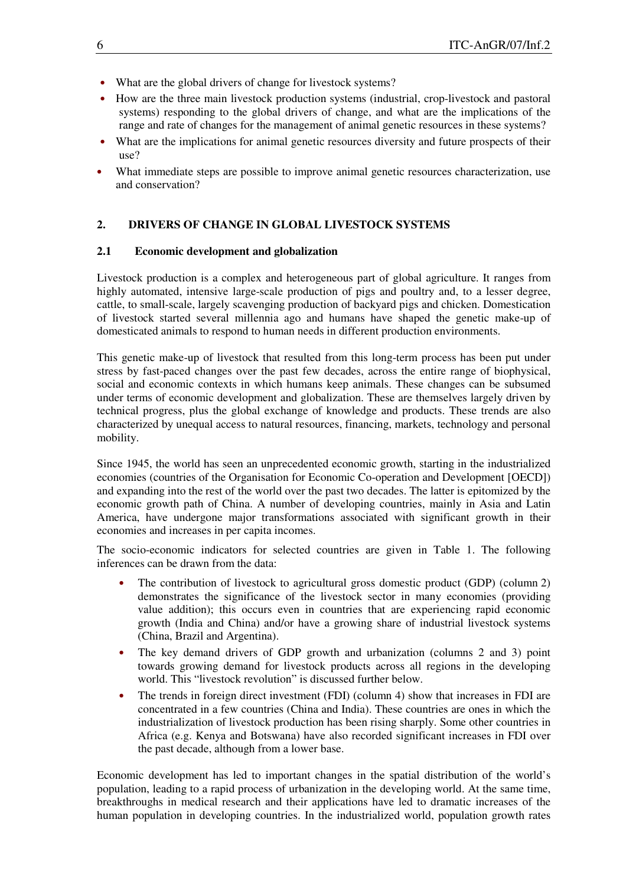- What are the global drivers of change for livestock systems?
- How are the three main livestock production systems (industrial, crop-livestock and pastoral systems) responding to the global drivers of change, and what are the implications of the range and rate of changes for the management of animal genetic resources in these systems?
- What are the implications for animal genetic resources diversity and future prospects of their use?
- What immediate steps are possible to improve animal genetic resources characterization, use and conservation?

# **2. DRIVERS OF CHANGE IN GLOBAL LIVESTOCK SYSTEMS**

## **2.1 Economic development and globalization**

Livestock production is a complex and heterogeneous part of global agriculture. It ranges from highly automated, intensive large-scale production of pigs and poultry and, to a lesser degree, cattle, to small-scale, largely scavenging production of backyard pigs and chicken. Domestication of livestock started several millennia ago and humans have shaped the genetic make-up of domesticated animals to respond to human needs in different production environments.

This genetic make-up of livestock that resulted from this long-term process has been put under stress by fast-paced changes over the past few decades, across the entire range of biophysical, social and economic contexts in which humans keep animals. These changes can be subsumed under terms of economic development and globalization. These are themselves largely driven by technical progress, plus the global exchange of knowledge and products. These trends are also characterized by unequal access to natural resources, financing, markets, technology and personal mobility.

Since 1945, the world has seen an unprecedented economic growth, starting in the industrialized economies (countries of the Organisation for Economic Co-operation and Development [OECD]) and expanding into the rest of the world over the past two decades. The latter is epitomized by the economic growth path of China. A number of developing countries, mainly in Asia and Latin America, have undergone major transformations associated with significant growth in their economies and increases in per capita incomes.

The socio-economic indicators for selected countries are given in Table 1. The following inferences can be drawn from the data:

- The contribution of livestock to agricultural gross domestic product (GDP) (column 2) demonstrates the significance of the livestock sector in many economies (providing value addition); this occurs even in countries that are experiencing rapid economic growth (India and China) and/or have a growing share of industrial livestock systems (China, Brazil and Argentina).
- The key demand drivers of GDP growth and urbanization (columns 2 and 3) point towards growing demand for livestock products across all regions in the developing world. This "livestock revolution" is discussed further below.
- The trends in foreign direct investment (FDI) (column 4) show that increases in FDI are concentrated in a few countries (China and India). These countries are ones in which the industrialization of livestock production has been rising sharply. Some other countries in Africa (e.g. Kenya and Botswana) have also recorded significant increases in FDI over the past decade, although from a lower base.

Economic development has led to important changes in the spatial distribution of the world's population, leading to a rapid process of urbanization in the developing world. At the same time, breakthroughs in medical research and their applications have led to dramatic increases of the human population in developing countries. In the industrialized world, population growth rates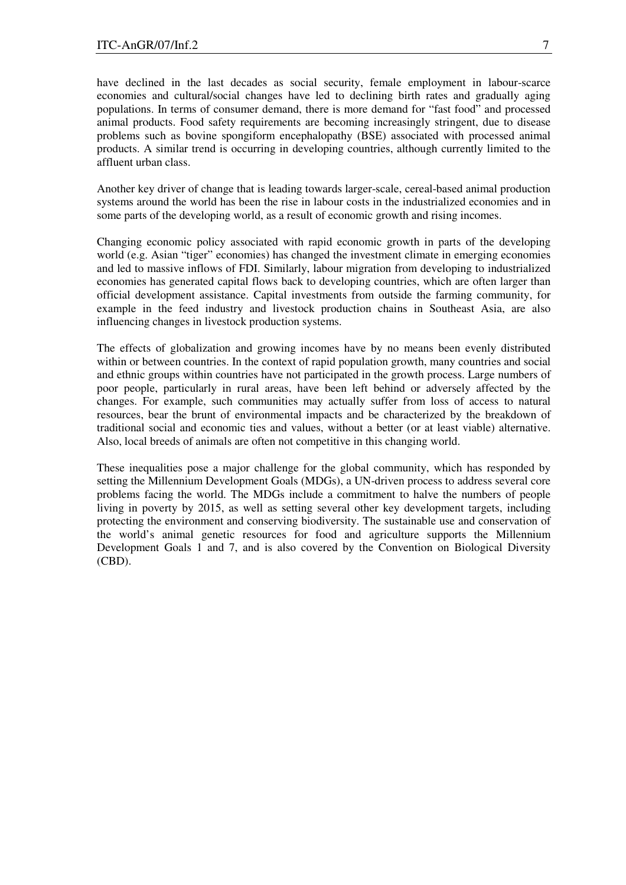have declined in the last decades as social security, female employment in labour-scarce economies and cultural/social changes have led to declining birth rates and gradually aging populations. In terms of consumer demand, there is more demand for "fast food" and processed animal products. Food safety requirements are becoming increasingly stringent, due to disease problems such as bovine spongiform encephalopathy (BSE) associated with processed animal products. A similar trend is occurring in developing countries, although currently limited to the affluent urban class.

Another key driver of change that is leading towards larger-scale, cereal-based animal production systems around the world has been the rise in labour costs in the industrialized economies and in some parts of the developing world, as a result of economic growth and rising incomes.

Changing economic policy associated with rapid economic growth in parts of the developing world (e.g. Asian "tiger" economies) has changed the investment climate in emerging economies and led to massive inflows of FDI. Similarly, labour migration from developing to industrialized economies has generated capital flows back to developing countries, which are often larger than official development assistance. Capital investments from outside the farming community, for example in the feed industry and livestock production chains in Southeast Asia, are also influencing changes in livestock production systems.

The effects of globalization and growing incomes have by no means been evenly distributed within or between countries. In the context of rapid population growth, many countries and social and ethnic groups within countries have not participated in the growth process. Large numbers of poor people, particularly in rural areas, have been left behind or adversely affected by the changes. For example, such communities may actually suffer from loss of access to natural resources, bear the brunt of environmental impacts and be characterized by the breakdown of traditional social and economic ties and values, without a better (or at least viable) alternative. Also, local breeds of animals are often not competitive in this changing world.

These inequalities pose a major challenge for the global community, which has responded by setting the Millennium Development Goals (MDGs), a UN-driven process to address several core problems facing the world. The MDGs include a commitment to halve the numbers of people living in poverty by 2015, as well as setting several other key development targets, including protecting the environment and conserving biodiversity. The sustainable use and conservation of the world's animal genetic resources for food and agriculture supports the Millennium Development Goals 1 and 7, and is also covered by the Convention on Biological Diversity (CBD).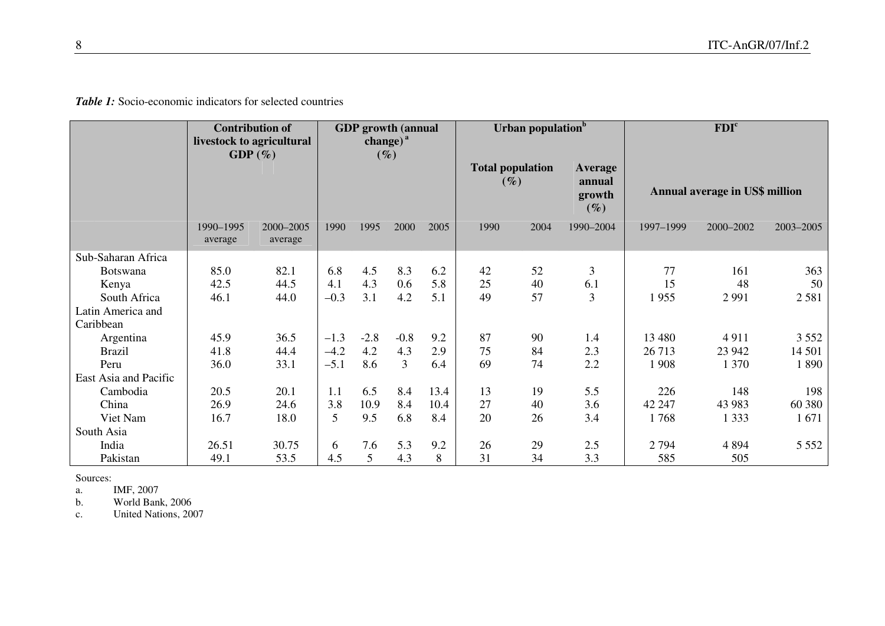*Table 1:* Socio-economic indicators for selected countries

|                       | <b>Contribution of</b>    |                      | <b>GDP</b> growth (annual |        |        | Urban population <sup>b</sup> |                                   |      | FDI <sup>c</sup>                      |                                |           |           |
|-----------------------|---------------------------|----------------------|---------------------------|--------|--------|-------------------------------|-----------------------------------|------|---------------------------------------|--------------------------------|-----------|-----------|
|                       | livestock to agricultural |                      | change) $a$               |        |        |                               |                                   |      |                                       |                                |           |           |
|                       |                           | GDP $(\%)$           |                           | $(\%)$ |        |                               |                                   |      |                                       |                                |           |           |
|                       |                           |                      |                           |        |        |                               | <b>Total population</b><br>$(\%)$ |      | Average<br>annual<br>growth<br>$(\%)$ | Annual average in US\$ million |           |           |
|                       | 1990-1995<br>average      | 2000-2005<br>average | 1990                      | 1995   | 2000   | 2005                          | 1990                              | 2004 | 1990-2004                             | 1997-1999                      | 2000-2002 | 2003-2005 |
| Sub-Saharan Africa    |                           |                      |                           |        |        |                               |                                   |      |                                       |                                |           |           |
| <b>Botswana</b>       | 85.0                      | 82.1                 | 6.8                       | 4.5    | 8.3    | 6.2                           | 42                                | 52   | 3                                     | 77                             | 161       | 363       |
| Kenya                 | 42.5                      | 44.5                 | 4.1                       | 4.3    | 0.6    | 5.8                           | 25                                | 40   | 6.1                                   | 15                             | 48        | 50        |
| South Africa          | 46.1                      | 44.0                 | $-0.3$                    | 3.1    | 4.2    | 5.1                           | 49                                | 57   | 3                                     | 1955                           | 2991      | 2581      |
| Latin America and     |                           |                      |                           |        |        |                               |                                   |      |                                       |                                |           |           |
| Caribbean             |                           |                      |                           |        |        |                               |                                   |      |                                       |                                |           |           |
| Argentina             | 45.9                      | 36.5                 | $-1.3$                    | $-2.8$ | $-0.8$ | 9.2                           | 87                                | 90   | 1.4                                   | 13 4 8 0                       | 4911      | 3 5 5 2   |
| <b>Brazil</b>         | 41.8                      | 44.4                 | $-4.2$                    | 4.2    | 4.3    | 2.9                           | 75                                | 84   | 2.3                                   | 26 713                         | 23 942    | 14 501    |
| Peru                  | 36.0                      | 33.1                 | $-5.1$                    | 8.6    | 3      | 6.4                           | 69                                | 74   | 2.2                                   | 1908                           | 1 370     | 1890      |
| East Asia and Pacific |                           |                      |                           |        |        |                               |                                   |      |                                       |                                |           |           |
| Cambodia              | 20.5                      | 20.1                 | 1.1                       | 6.5    | 8.4    | 13.4                          | 13                                | 19   | 5.5                                   | 226                            | 148       | 198       |
| China                 | 26.9                      | 24.6                 | 3.8                       | 10.9   | 8.4    | 10.4                          | 27                                | 40   | 3.6                                   | 42 247                         | 43 983    | 60 380    |
| Viet Nam              | 16.7                      | 18.0                 | 5                         | 9.5    | 6.8    | 8.4                           | 20                                | 26   | 3.4                                   | 1768                           | 1 3 3 3   | 1671      |
| South Asia            |                           |                      |                           |        |        |                               |                                   |      |                                       |                                |           |           |
| India                 | 26.51                     | 30.75                | 6                         | 7.6    | 5.3    | 9.2                           | 26                                | 29   | 2.5                                   | 2794                           | 4 8 9 4   | 5 5 5 2   |
| Pakistan              | 49.1                      | 53.5                 | 4.5                       | 5      | 4.3    | 8                             | 31                                | 34   | 3.3                                   | 585                            | 505       |           |

Sources:

a. IMF, 2007

b. World Bank, 2006

c. United Nations, 2007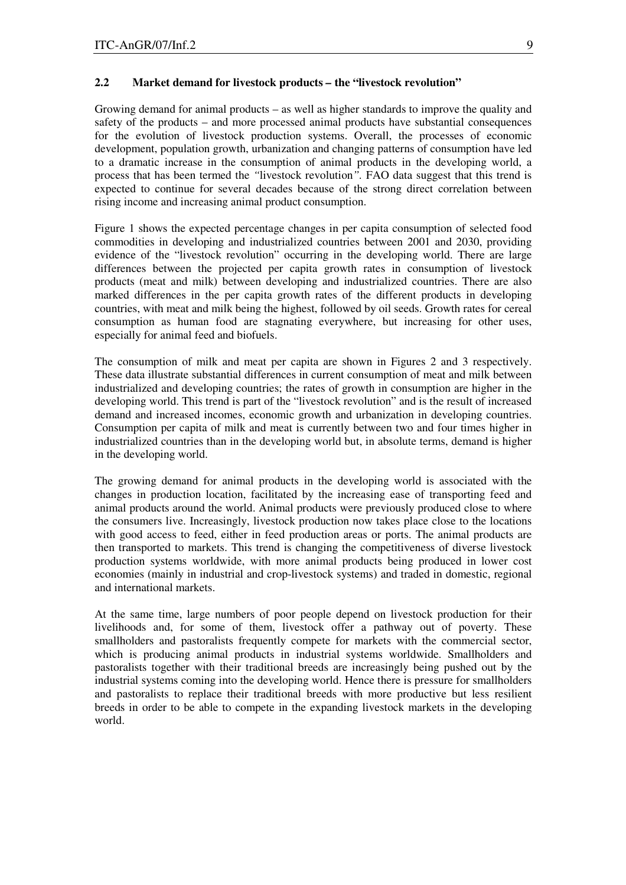#### **2.2 Market demand for livestock products** *–* **the "livestock revolution"**

Growing demand for animal products – as well as higher standards to improve the quality and safety of the products – and more processed animal products have substantial consequences for the evolution of livestock production systems. Overall, the processes of economic development, population growth, urbanization and changing patterns of consumption have led to a dramatic increase in the consumption of animal products in the developing world, a process that has been termed the *"*livestock revolution*".* FAO data suggest that this trend is expected to continue for several decades because of the strong direct correlation between rising income and increasing animal product consumption.

Figure 1 shows the expected percentage changes in per capita consumption of selected food commodities in developing and industrialized countries between 2001 and 2030, providing evidence of the "livestock revolution" occurring in the developing world. There are large differences between the projected per capita growth rates in consumption of livestock products (meat and milk) between developing and industrialized countries. There are also marked differences in the per capita growth rates of the different products in developing countries, with meat and milk being the highest, followed by oil seeds. Growth rates for cereal consumption as human food are stagnating everywhere, but increasing for other uses, especially for animal feed and biofuels.

The consumption of milk and meat per capita are shown in Figures 2 and 3 respectively. These data illustrate substantial differences in current consumption of meat and milk between industrialized and developing countries; the rates of growth in consumption are higher in the developing world. This trend is part of the "livestock revolution" and is the result of increased demand and increased incomes, economic growth and urbanization in developing countries. Consumption per capita of milk and meat is currently between two and four times higher in industrialized countries than in the developing world but, in absolute terms, demand is higher in the developing world.

The growing demand for animal products in the developing world is associated with the changes in production location, facilitated by the increasing ease of transporting feed and animal products around the world. Animal products were previously produced close to where the consumers live. Increasingly, livestock production now takes place close to the locations with good access to feed, either in feed production areas or ports. The animal products are then transported to markets. This trend is changing the competitiveness of diverse livestock production systems worldwide, with more animal products being produced in lower cost economies (mainly in industrial and crop-livestock systems) and traded in domestic, regional and international markets.

At the same time, large numbers of poor people depend on livestock production for their livelihoods and, for some of them, livestock offer a pathway out of poverty. These smallholders and pastoralists frequently compete for markets with the commercial sector, which is producing animal products in industrial systems worldwide. Smallholders and pastoralists together with their traditional breeds are increasingly being pushed out by the industrial systems coming into the developing world. Hence there is pressure for smallholders and pastoralists to replace their traditional breeds with more productive but less resilient breeds in order to be able to compete in the expanding livestock markets in the developing world.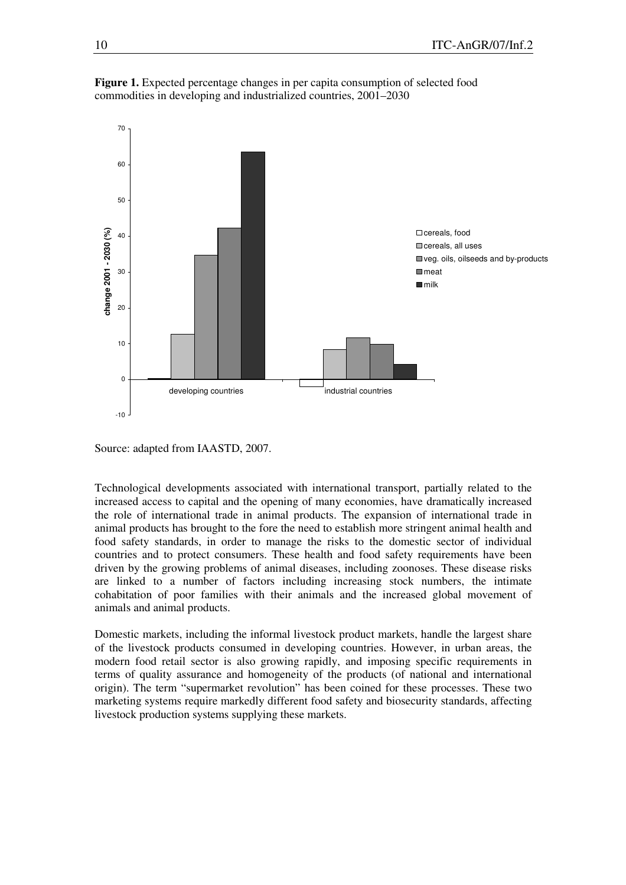

**Figure 1.** Expected percentage changes in per capita consumption of selected food commodities in developing and industrialized countries, 2001–2030

Source: adapted from IAASTD, 2007.

Technological developments associated with international transport, partially related to the increased access to capital and the opening of many economies, have dramatically increased the role of international trade in animal products. The expansion of international trade in animal products has brought to the fore the need to establish more stringent animal health and food safety standards, in order to manage the risks to the domestic sector of individual countries and to protect consumers. These health and food safety requirements have been driven by the growing problems of animal diseases, including zoonoses. These disease risks are linked to a number of factors including increasing stock numbers, the intimate cohabitation of poor families with their animals and the increased global movement of animals and animal products.

Domestic markets, including the informal livestock product markets, handle the largest share of the livestock products consumed in developing countries. However, in urban areas, the modern food retail sector is also growing rapidly, and imposing specific requirements in terms of quality assurance and homogeneity of the products (of national and international origin). The term "supermarket revolution" has been coined for these processes. These two marketing systems require markedly different food safety and biosecurity standards, affecting livestock production systems supplying these markets.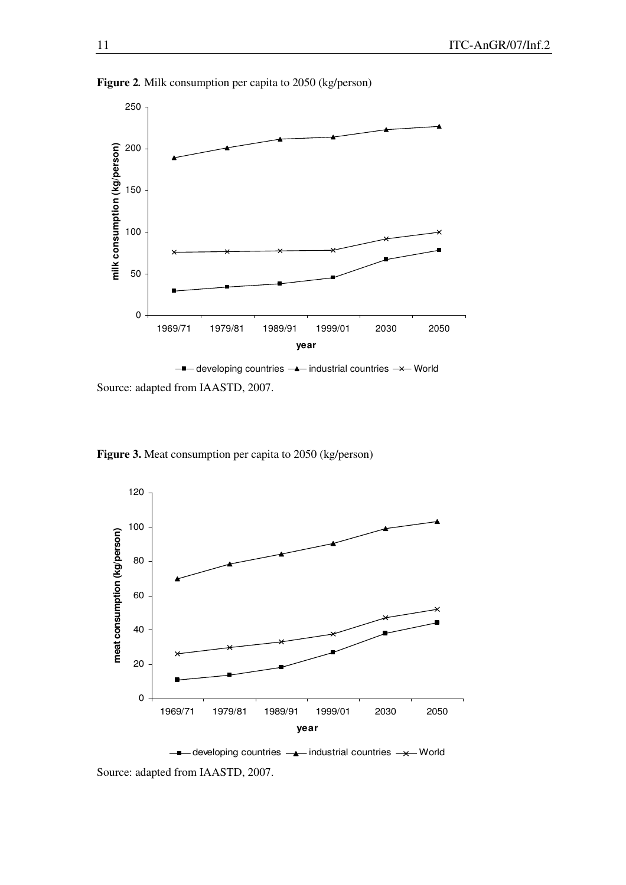

**Figure 2***.* Milk consumption per capita to 2050 (kg/person)

 $-$  developing countries  $-$  industrial countries  $-$  World

Source: adapted from IAASTD, 2007.

Figure 3. Meat consumption per capita to 2050 (kg/person)



 $\leftarrow$  developing countries  $\leftarrow$  industrial countries  $\rightarrow$  World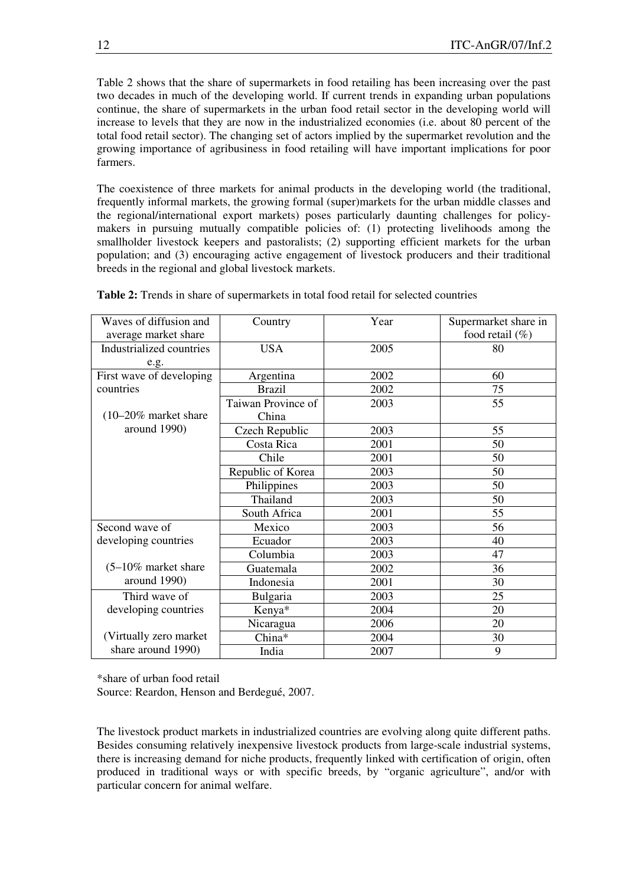Table 2 shows that the share of supermarkets in food retailing has been increasing over the past two decades in much of the developing world. If current trends in expanding urban populations continue, the share of supermarkets in the urban food retail sector in the developing world will increase to levels that they are now in the industrialized economies (i.e. about 80 percent of the total food retail sector). The changing set of actors implied by the supermarket revolution and the growing importance of agribusiness in food retailing will have important implications for poor farmers.

The coexistence of three markets for animal products in the developing world (the traditional, frequently informal markets, the growing formal (super)markets for the urban middle classes and the regional/international export markets) poses particularly daunting challenges for policymakers in pursuing mutually compatible policies of: (1) protecting livelihoods among the smallholder livestock keepers and pastoralists; (2) supporting efficient markets for the urban population; and (3) encouraging active engagement of livestock producers and their traditional breeds in the regional and global livestock markets.

| Waves of diffusion and   | Country            | Year | Supermarket share in |
|--------------------------|--------------------|------|----------------------|
| average market share     |                    |      | food retail $(\%)$   |
| Industrialized countries | <b>USA</b>         | 2005 | 80                   |
| e.g.                     |                    |      |                      |
| First wave of developing | Argentina          | 2002 | 60                   |
| countries                | <b>Brazil</b>      | 2002 | 75                   |
|                          | Taiwan Province of | 2003 | 55                   |
| $(10-20\%$ market share  | China              |      |                      |
| around 1990)             | Czech Republic     | 2003 | 55                   |
|                          | Costa Rica         | 2001 | 50                   |
|                          | Chile              | 2001 | 50                   |
|                          | Republic of Korea  | 2003 | 50                   |
|                          | Philippines        | 2003 | 50                   |
|                          | Thailand           | 2003 | 50                   |
|                          | South Africa       | 2001 | 55                   |
| Second wave of           | Mexico             | 2003 | 56                   |
| developing countries     | Ecuador            | 2003 | 40                   |
|                          | Columbia           | 2003 | 47                   |
| $(5-10\%$ market share   | Guatemala          | 2002 | 36                   |
| around 1990)             | Indonesia          | 2001 | 30                   |
| Third wave of            | Bulgaria           | 2003 | 25                   |
| developing countries     | Kenya*             | 2004 | 20                   |
|                          | Nicaragua          | 2006 | 20                   |
| (Virtually zero market)  | China*             | 2004 | 30                   |
| share around 1990)       | India              | 2007 | 9                    |

**Table 2:** Trends in share of supermarkets in total food retail for selected countries

\*share of urban food retail

Source: Reardon, Henson and Berdegué, 2007.

The livestock product markets in industrialized countries are evolving along quite different paths. Besides consuming relatively inexpensive livestock products from large-scale industrial systems, there is increasing demand for niche products, frequently linked with certification of origin, often produced in traditional ways or with specific breeds, by "organic agriculture", and/or with particular concern for animal welfare.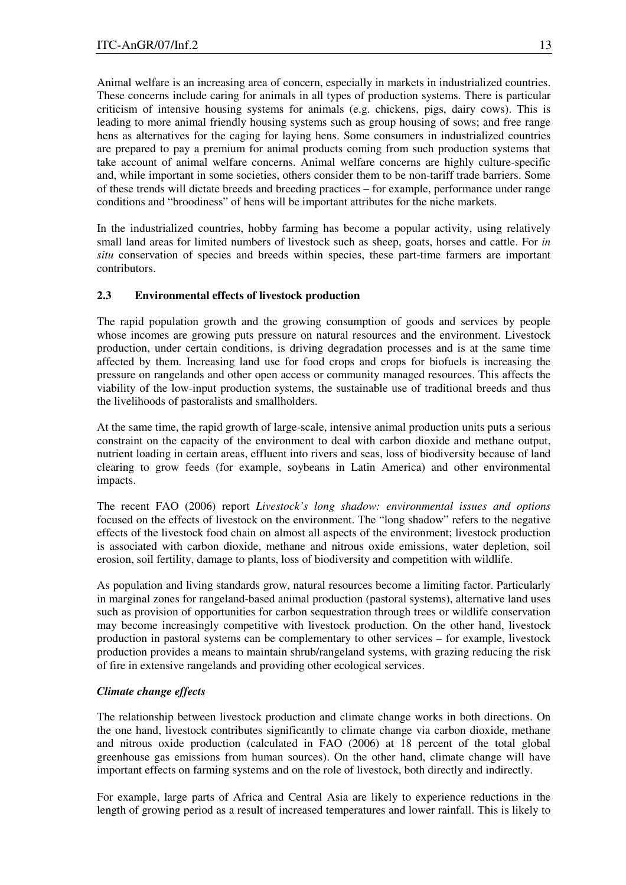Animal welfare is an increasing area of concern, especially in markets in industrialized countries. These concerns include caring for animals in all types of production systems. There is particular criticism of intensive housing systems for animals (e.g. chickens, pigs, dairy cows). This is leading to more animal friendly housing systems such as group housing of sows; and free range hens as alternatives for the caging for laying hens. Some consumers in industrialized countries are prepared to pay a premium for animal products coming from such production systems that take account of animal welfare concerns. Animal welfare concerns are highly culture-specific and, while important in some societies, others consider them to be non-tariff trade barriers. Some of these trends will dictate breeds and breeding practices – for example, performance under range conditions and "broodiness" of hens will be important attributes for the niche markets.

In the industrialized countries, hobby farming has become a popular activity, using relatively small land areas for limited numbers of livestock such as sheep, goats, horses and cattle. For *in situ* conservation of species and breeds within species, these part-time farmers are important contributors.

## **2.3 Environmental effects of livestock production**

The rapid population growth and the growing consumption of goods and services by people whose incomes are growing puts pressure on natural resources and the environment. Livestock production, under certain conditions, is driving degradation processes and is at the same time affected by them. Increasing land use for food crops and crops for biofuels is increasing the pressure on rangelands and other open access or community managed resources. This affects the viability of the low-input production systems, the sustainable use of traditional breeds and thus the livelihoods of pastoralists and smallholders.

At the same time, the rapid growth of large-scale, intensive animal production units puts a serious constraint on the capacity of the environment to deal with carbon dioxide and methane output, nutrient loading in certain areas, effluent into rivers and seas, loss of biodiversity because of land clearing to grow feeds (for example, soybeans in Latin America) and other environmental impacts.

The recent FAO (2006) report *Livestock's long shadow: environmental issues and options*  focused on the effects of livestock on the environment. The "long shadow" refers to the negative effects of the livestock food chain on almost all aspects of the environment; livestock production is associated with carbon dioxide, methane and nitrous oxide emissions, water depletion, soil erosion, soil fertility, damage to plants, loss of biodiversity and competition with wildlife.

As population and living standards grow, natural resources become a limiting factor. Particularly in marginal zones for rangeland-based animal production (pastoral systems), alternative land uses such as provision of opportunities for carbon sequestration through trees or wildlife conservation may become increasingly competitive with livestock production. On the other hand, livestock production in pastoral systems can be complementary to other services – for example, livestock production provides a means to maintain shrub/rangeland systems, with grazing reducing the risk of fire in extensive rangelands and providing other ecological services.

## *Climate change effects*

The relationship between livestock production and climate change works in both directions. On the one hand, livestock contributes significantly to climate change via carbon dioxide, methane and nitrous oxide production (calculated in FAO (2006) at 18 percent of the total global greenhouse gas emissions from human sources). On the other hand, climate change will have important effects on farming systems and on the role of livestock, both directly and indirectly.

For example, large parts of Africa and Central Asia are likely to experience reductions in the length of growing period as a result of increased temperatures and lower rainfall. This is likely to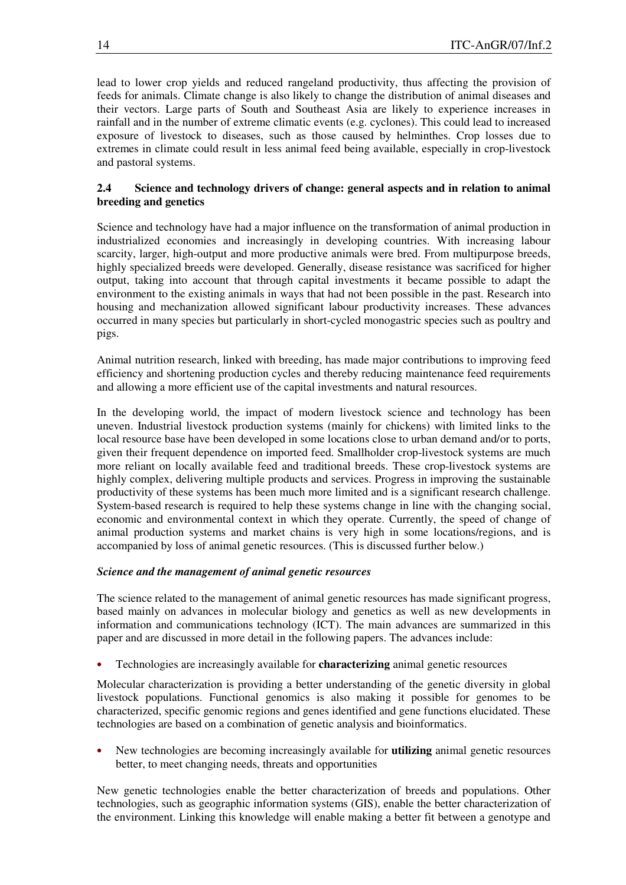lead to lower crop yields and reduced rangeland productivity, thus affecting the provision of feeds for animals. Climate change is also likely to change the distribution of animal diseases and their vectors. Large parts of South and Southeast Asia are likely to experience increases in rainfall and in the number of extreme climatic events (e.g. cyclones). This could lead to increased exposure of livestock to diseases, such as those caused by helminthes. Crop losses due to extremes in climate could result in less animal feed being available, especially in crop-livestock and pastoral systems.

# **2.4 Science and technology drivers of change: general aspects and in relation to animal breeding and genetics**

Science and technology have had a major influence on the transformation of animal production in industrialized economies and increasingly in developing countries. With increasing labour scarcity, larger, high-output and more productive animals were bred. From multipurpose breeds, highly specialized breeds were developed. Generally, disease resistance was sacrificed for higher output, taking into account that through capital investments it became possible to adapt the environment to the existing animals in ways that had not been possible in the past. Research into housing and mechanization allowed significant labour productivity increases. These advances occurred in many species but particularly in short-cycled monogastric species such as poultry and pigs.

Animal nutrition research, linked with breeding, has made major contributions to improving feed efficiency and shortening production cycles and thereby reducing maintenance feed requirements and allowing a more efficient use of the capital investments and natural resources.

In the developing world, the impact of modern livestock science and technology has been uneven. Industrial livestock production systems (mainly for chickens) with limited links to the local resource base have been developed in some locations close to urban demand and/or to ports, given their frequent dependence on imported feed. Smallholder crop-livestock systems are much more reliant on locally available feed and traditional breeds. These crop-livestock systems are highly complex, delivering multiple products and services. Progress in improving the sustainable productivity of these systems has been much more limited and is a significant research challenge. System-based research is required to help these systems change in line with the changing social, economic and environmental context in which they operate. Currently, the speed of change of animal production systems and market chains is very high in some locations/regions, and is accompanied by loss of animal genetic resources. (This is discussed further below.)

## *Science and the management of animal genetic resources*

The science related to the management of animal genetic resources has made significant progress, based mainly on advances in molecular biology and genetics as well as new developments in information and communications technology (ICT). The main advances are summarized in this paper and are discussed in more detail in the following papers. The advances include:

• Technologies are increasingly available for **characterizing** animal genetic resources

Molecular characterization is providing a better understanding of the genetic diversity in global livestock populations. Functional genomics is also making it possible for genomes to be characterized, specific genomic regions and genes identified and gene functions elucidated. These technologies are based on a combination of genetic analysis and bioinformatics.

• New technologies are becoming increasingly available for **utilizing** animal genetic resources better, to meet changing needs, threats and opportunities

New genetic technologies enable the better characterization of breeds and populations. Other technologies, such as geographic information systems (GIS), enable the better characterization of the environment. Linking this knowledge will enable making a better fit between a genotype and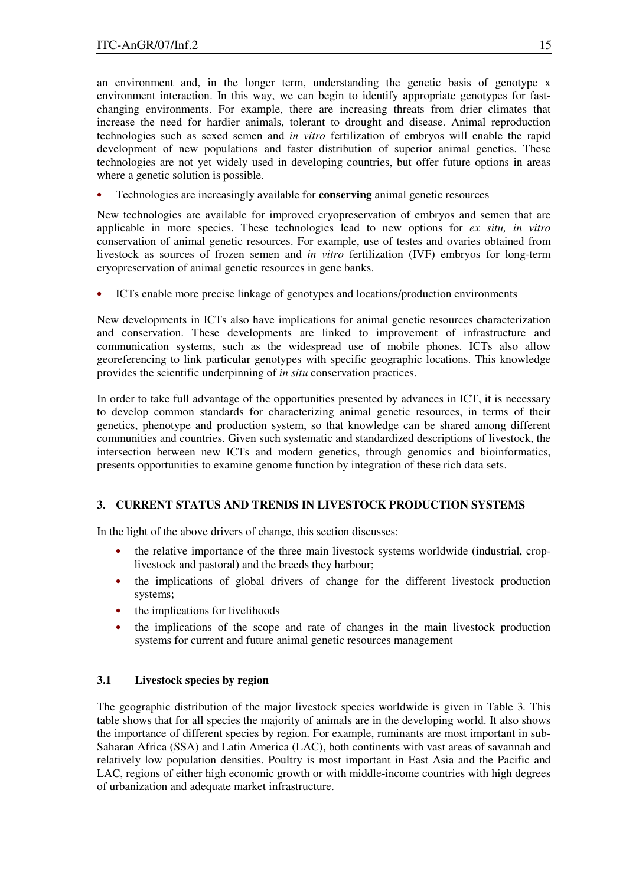an environment and, in the longer term, understanding the genetic basis of genotype x environment interaction. In this way, we can begin to identify appropriate genotypes for fastchanging environments. For example, there are increasing threats from drier climates that increase the need for hardier animals, tolerant to drought and disease. Animal reproduction technologies such as sexed semen and *in vitro* fertilization of embryos will enable the rapid development of new populations and faster distribution of superior animal genetics. These technologies are not yet widely used in developing countries, but offer future options in areas where a genetic solution is possible.

• Technologies are increasingly available for **conserving** animal genetic resources

New technologies are available for improved cryopreservation of embryos and semen that are applicable in more species. These technologies lead to new options for *ex situ, in vitro* conservation of animal genetic resources. For example, use of testes and ovaries obtained from livestock as sources of frozen semen and *in vitro* fertilization (IVF) embryos for long-term cryopreservation of animal genetic resources in gene banks.

• ICTs enable more precise linkage of genotypes and locations/production environments

New developments in ICTs also have implications for animal genetic resources characterization and conservation. These developments are linked to improvement of infrastructure and communication systems, such as the widespread use of mobile phones. ICTs also allow georeferencing to link particular genotypes with specific geographic locations. This knowledge provides the scientific underpinning of *in situ* conservation practices.

In order to take full advantage of the opportunities presented by advances in ICT, it is necessary to develop common standards for characterizing animal genetic resources, in terms of their genetics, phenotype and production system, so that knowledge can be shared among different communities and countries. Given such systematic and standardized descriptions of livestock, the intersection between new ICTs and modern genetics, through genomics and bioinformatics, presents opportunities to examine genome function by integration of these rich data sets.

# **3. CURRENT STATUS AND TRENDS IN LIVESTOCK PRODUCTION SYSTEMS**

In the light of the above drivers of change, this section discusses:

- the relative importance of the three main livestock systems worldwide (industrial, croplivestock and pastoral) and the breeds they harbour;
- the implications of global drivers of change for the different livestock production systems;
- the implications for livelihoods
- the implications of the scope and rate of changes in the main livestock production systems for current and future animal genetic resources management

## **3.1 Livestock species by region**

The geographic distribution of the major livestock species worldwide is given in Table 3*.* This table shows that for all species the majority of animals are in the developing world. It also shows the importance of different species by region. For example, ruminants are most important in sub-Saharan Africa (SSA) and Latin America (LAC), both continents with vast areas of savannah and relatively low population densities. Poultry is most important in East Asia and the Pacific and LAC, regions of either high economic growth or with middle-income countries with high degrees of urbanization and adequate market infrastructure.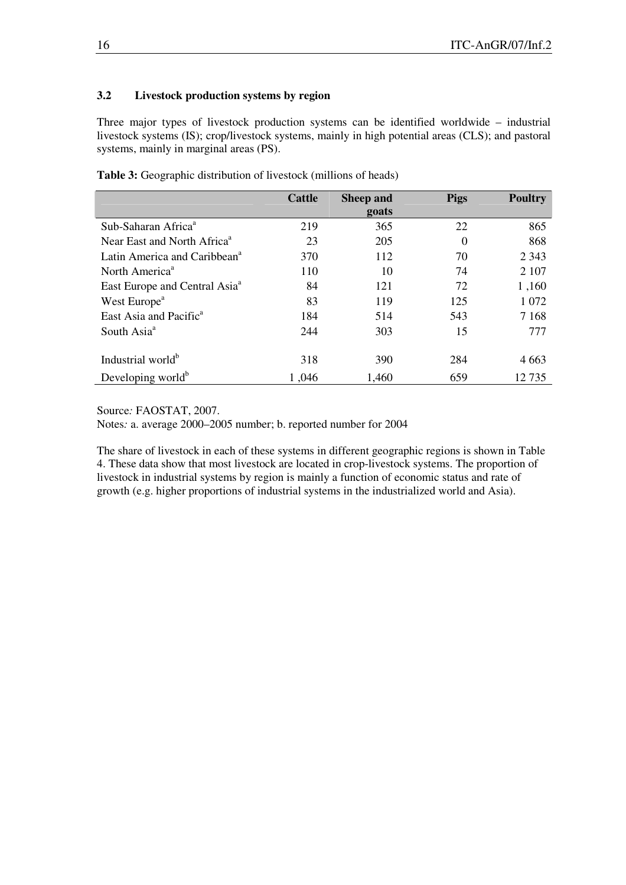# **3.2 Livestock production systems by region**

Three major types of livestock production systems can be identified worldwide – industrial livestock systems (IS); crop/livestock systems, mainly in high potential areas (CLS); and pastoral systems, mainly in marginal areas (PS).

|                                           | <b>Cattle</b> | <b>Sheep and</b> | <b>Pigs</b> | <b>Poultry</b> |
|-------------------------------------------|---------------|------------------|-------------|----------------|
|                                           |               | goats            |             |                |
| Sub-Saharan Africa <sup>a</sup>           | 219           | 365              | 22          | 865            |
| Near East and North Africa <sup>a</sup>   | 23            | 205              | $\theta$    | 868            |
| Latin America and Caribbean <sup>a</sup>  | 370           | 112              | 70          | 2 3 4 3        |
| North America <sup>a</sup>                | 110           | 10               | 74          | 2 1 0 7        |
| East Europe and Central Asia <sup>a</sup> | 84            | 121              | 72          | 1,160          |
| West Europe <sup>a</sup>                  | 83            | 119              | 125         | 1 0 7 2        |
| East Asia and Pacific <sup>a</sup>        | 184           | 514              | 543         | 7 1 6 8        |
| South Asia <sup>a</sup>                   | 244           | 303              | 15          | 777            |
|                                           |               |                  |             |                |
| Industrial world <sup>b</sup>             | 318           | 390              | 284         | 4 6 6 3        |
| Developing world <sup>b</sup>             | 1,046         | 1,460            | 659         | 12 735         |

**Table 3:** Geographic distribution of livestock (millions of heads)

Source*:* FAOSTAT, 2007.

Notes*:* a. average 2000–2005 number; b. reported number for 2004

The share of livestock in each of these systems in different geographic regions is shown in Table 4. These data show that most livestock are located in crop-livestock systems. The proportion of livestock in industrial systems by region is mainly a function of economic status and rate of growth (e.g. higher proportions of industrial systems in the industrialized world and Asia).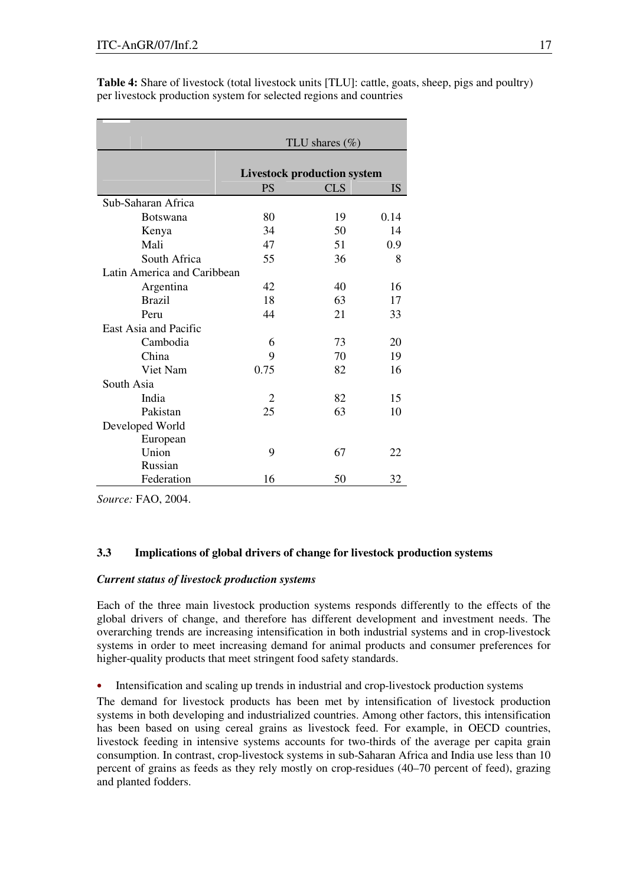| Table 4: Share of livestock (total livestock units [TLU]: cattle, goats, sheep, pigs and poultry) |  |
|---------------------------------------------------------------------------------------------------|--|
| per livestock production system for selected regions and countries                                |  |

|                             |                                    | TLU shares $(\% )$ |           |
|-----------------------------|------------------------------------|--------------------|-----------|
|                             |                                    |                    |           |
|                             | <b>Livestock production system</b> |                    |           |
|                             | <b>PS</b>                          | <b>CLS</b>         | <b>IS</b> |
| Sub-Saharan Africa          |                                    |                    |           |
| <b>Botswana</b>             | 80                                 | 19                 | 0.14      |
| Kenya                       | 34                                 | 50                 | 14        |
| Mali                        | 47                                 | 51                 | 0.9       |
| South Africa                | 55                                 | 36                 | 8         |
| Latin America and Caribbean |                                    |                    |           |
| Argentina                   | 42                                 | 40                 | 16        |
| <b>Brazil</b>               | 18                                 | 63                 | 17        |
| Peru                        | 44                                 | 21                 | 33        |
| East Asia and Pacific       |                                    |                    |           |
| Cambodia                    | 6                                  | 73                 | 20        |
| China                       | 9                                  | 70                 | 19        |
| Viet Nam                    | 0.75                               | 82                 | 16        |
| South Asia                  |                                    |                    |           |
| India                       | $\overline{2}$                     | 82                 | 15        |
| Pakistan                    | 25                                 | 63                 | 10        |
| Developed World             |                                    |                    |           |
| European                    |                                    |                    |           |
| Union                       | 9                                  | 67                 | 22        |
| Russian                     |                                    |                    |           |
| Federation                  | 16                                 | 50                 | 32        |

*Source:* FAO, 2004.

# **3.3 Implications of global drivers of change for livestock production systems**

## *Current status of livestock production systems*

Each of the three main livestock production systems responds differently to the effects of the global drivers of change, and therefore has different development and investment needs. The overarching trends are increasing intensification in both industrial systems and in crop-livestock systems in order to meet increasing demand for animal products and consumer preferences for higher-quality products that meet stringent food safety standards.

• Intensification and scaling up trends in industrial and crop-livestock production systems

The demand for livestock products has been met by intensification of livestock production systems in both developing and industrialized countries. Among other factors, this intensification has been based on using cereal grains as livestock feed. For example, in OECD countries, livestock feeding in intensive systems accounts for two-thirds of the average per capita grain consumption. In contrast, crop-livestock systems in sub-Saharan Africa and India use less than 10 percent of grains as feeds as they rely mostly on crop-residues (40–70 percent of feed), grazing and planted fodders.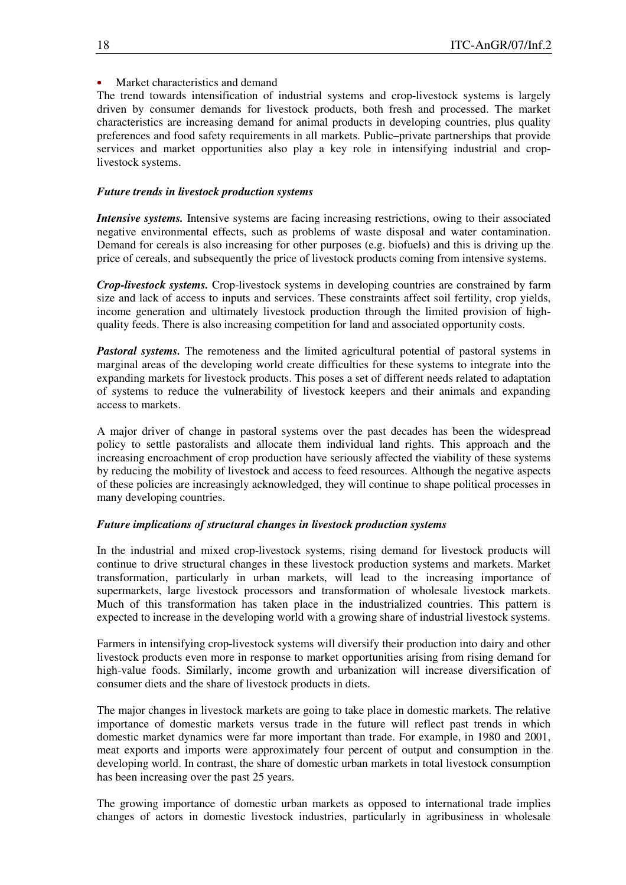#### Market characteristics and demand

The trend towards intensification of industrial systems and crop-livestock systems is largely driven by consumer demands for livestock products, both fresh and processed. The market characteristics are increasing demand for animal products in developing countries, plus quality preferences and food safety requirements in all markets. Public–private partnerships that provide services and market opportunities also play a key role in intensifying industrial and croplivestock systems.

#### *Future trends in livestock production systems*

*Intensive systems.* Intensive systems are facing increasing restrictions, owing to their associated negative environmental effects, such as problems of waste disposal and water contamination. Demand for cereals is also increasing for other purposes (e.g. biofuels) and this is driving up the price of cereals, and subsequently the price of livestock products coming from intensive systems.

*Crop-livestock systems.* Crop-livestock systems in developing countries are constrained by farm size and lack of access to inputs and services. These constraints affect soil fertility, crop yields, income generation and ultimately livestock production through the limited provision of highquality feeds. There is also increasing competition for land and associated opportunity costs.

*Pastoral systems.* The remoteness and the limited agricultural potential of pastoral systems in marginal areas of the developing world create difficulties for these systems to integrate into the expanding markets for livestock products. This poses a set of different needs related to adaptation of systems to reduce the vulnerability of livestock keepers and their animals and expanding access to markets.

A major driver of change in pastoral systems over the past decades has been the widespread policy to settle pastoralists and allocate them individual land rights. This approach and the increasing encroachment of crop production have seriously affected the viability of these systems by reducing the mobility of livestock and access to feed resources. Although the negative aspects of these policies are increasingly acknowledged, they will continue to shape political processes in many developing countries.

## *Future implications of structural changes in livestock production systems*

In the industrial and mixed crop-livestock systems, rising demand for livestock products will continue to drive structural changes in these livestock production systems and markets. Market transformation, particularly in urban markets, will lead to the increasing importance of supermarkets, large livestock processors and transformation of wholesale livestock markets. Much of this transformation has taken place in the industrialized countries. This pattern is expected to increase in the developing world with a growing share of industrial livestock systems.

Farmers in intensifying crop-livestock systems will diversify their production into dairy and other livestock products even more in response to market opportunities arising from rising demand for high-value foods. Similarly, income growth and urbanization will increase diversification of consumer diets and the share of livestock products in diets.

The major changes in livestock markets are going to take place in domestic markets. The relative importance of domestic markets versus trade in the future will reflect past trends in which domestic market dynamics were far more important than trade. For example, in 1980 and 2001, meat exports and imports were approximately four percent of output and consumption in the developing world. In contrast, the share of domestic urban markets in total livestock consumption has been increasing over the past 25 years.

The growing importance of domestic urban markets as opposed to international trade implies changes of actors in domestic livestock industries, particularly in agribusiness in wholesale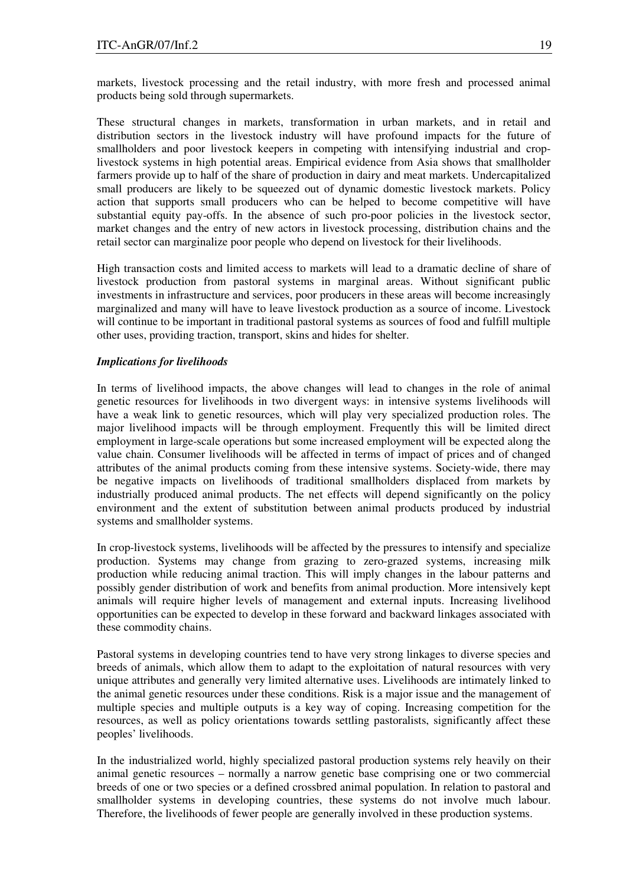markets, livestock processing and the retail industry, with more fresh and processed animal products being sold through supermarkets.

These structural changes in markets, transformation in urban markets, and in retail and distribution sectors in the livestock industry will have profound impacts for the future of smallholders and poor livestock keepers in competing with intensifying industrial and croplivestock systems in high potential areas. Empirical evidence from Asia shows that smallholder farmers provide up to half of the share of production in dairy and meat markets. Undercapitalized small producers are likely to be squeezed out of dynamic domestic livestock markets. Policy action that supports small producers who can be helped to become competitive will have substantial equity pay-offs. In the absence of such pro-poor policies in the livestock sector, market changes and the entry of new actors in livestock processing, distribution chains and the retail sector can marginalize poor people who depend on livestock for their livelihoods.

High transaction costs and limited access to markets will lead to a dramatic decline of share of livestock production from pastoral systems in marginal areas. Without significant public investments in infrastructure and services, poor producers in these areas will become increasingly marginalized and many will have to leave livestock production as a source of income. Livestock will continue to be important in traditional pastoral systems as sources of food and fulfill multiple other uses, providing traction, transport, skins and hides for shelter.

## *Implications for livelihoods*

In terms of livelihood impacts, the above changes will lead to changes in the role of animal genetic resources for livelihoods in two divergent ways: in intensive systems livelihoods will have a weak link to genetic resources, which will play very specialized production roles. The major livelihood impacts will be through employment. Frequently this will be limited direct employment in large-scale operations but some increased employment will be expected along the value chain. Consumer livelihoods will be affected in terms of impact of prices and of changed attributes of the animal products coming from these intensive systems. Society-wide, there may be negative impacts on livelihoods of traditional smallholders displaced from markets by industrially produced animal products. The net effects will depend significantly on the policy environment and the extent of substitution between animal products produced by industrial systems and smallholder systems.

In crop-livestock systems, livelihoods will be affected by the pressures to intensify and specialize production. Systems may change from grazing to zero-grazed systems, increasing milk production while reducing animal traction. This will imply changes in the labour patterns and possibly gender distribution of work and benefits from animal production. More intensively kept animals will require higher levels of management and external inputs. Increasing livelihood opportunities can be expected to develop in these forward and backward linkages associated with these commodity chains.

Pastoral systems in developing countries tend to have very strong linkages to diverse species and breeds of animals, which allow them to adapt to the exploitation of natural resources with very unique attributes and generally very limited alternative uses. Livelihoods are intimately linked to the animal genetic resources under these conditions. Risk is a major issue and the management of multiple species and multiple outputs is a key way of coping. Increasing competition for the resources, as well as policy orientations towards settling pastoralists, significantly affect these peoples' livelihoods.

In the industrialized world, highly specialized pastoral production systems rely heavily on their animal genetic resources – normally a narrow genetic base comprising one or two commercial breeds of one or two species or a defined crossbred animal population. In relation to pastoral and smallholder systems in developing countries, these systems do not involve much labour. Therefore, the livelihoods of fewer people are generally involved in these production systems.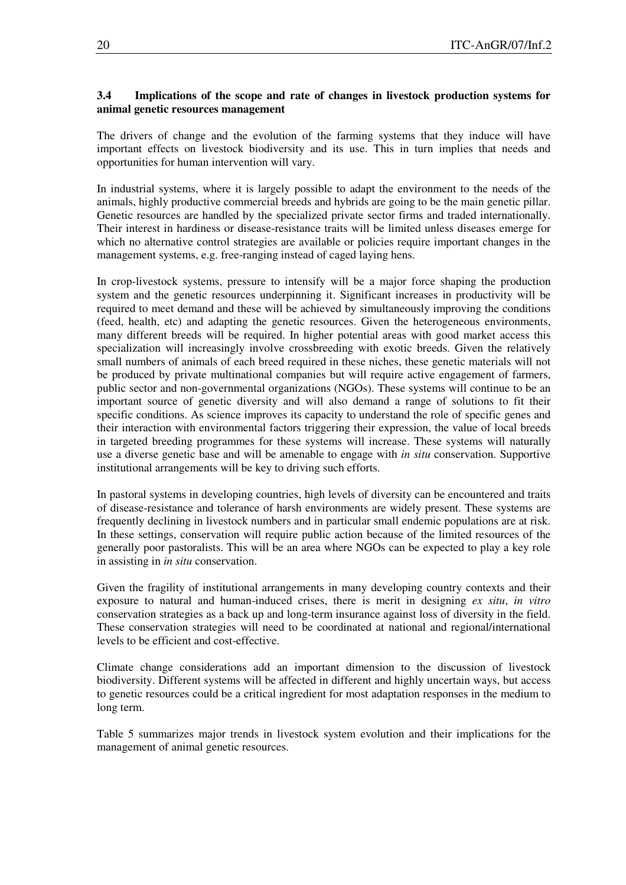#### **3.4 Implications of the scope and rate of changes in livestock production systems for animal genetic resources management**

The drivers of change and the evolution of the farming systems that they induce will have important effects on livestock biodiversity and its use. This in turn implies that needs and opportunities for human intervention will vary.

In industrial systems, where it is largely possible to adapt the environment to the needs of the animals, highly productive commercial breeds and hybrids are going to be the main genetic pillar. Genetic resources are handled by the specialized private sector firms and traded internationally. Their interest in hardiness or disease-resistance traits will be limited unless diseases emerge for which no alternative control strategies are available or policies require important changes in the management systems, e.g. free-ranging instead of caged laying hens.

In crop-livestock systems, pressure to intensify will be a major force shaping the production system and the genetic resources underpinning it. Significant increases in productivity will be required to meet demand and these will be achieved by simultaneously improving the conditions (feed, health, etc) and adapting the genetic resources. Given the heterogeneous environments, many different breeds will be required. In higher potential areas with good market access this specialization will increasingly involve crossbreeding with exotic breeds. Given the relatively small numbers of animals of each breed required in these niches, these genetic materials will not be produced by private multinational companies but will require active engagement of farmers, public sector and non-governmental organizations (NGOs). These systems will continue to be an important source of genetic diversity and will also demand a range of solutions to fit their specific conditions. As science improves its capacity to understand the role of specific genes and their interaction with environmental factors triggering their expression, the value of local breeds in targeted breeding programmes for these systems will increase. These systems will naturally use a diverse genetic base and will be amenable to engage with *in situ* conservation. Supportive institutional arrangements will be key to driving such efforts.

In pastoral systems in developing countries, high levels of diversity can be encountered and traits of disease-resistance and tolerance of harsh environments are widely present. These systems are frequently declining in livestock numbers and in particular small endemic populations are at risk. In these settings, conservation will require public action because of the limited resources of the generally poor pastoralists. This will be an area where NGOs can be expected to play a key role in assisting in *in situ* conservation.

Given the fragility of institutional arrangements in many developing country contexts and their exposure to natural and human-induced crises, there is merit in designing *ex situ*, *in vitro* conservation strategies as a back up and long-term insurance against loss of diversity in the field. These conservation strategies will need to be coordinated at national and regional/international levels to be efficient and cost-effective.

Climate change considerations add an important dimension to the discussion of livestock biodiversity. Different systems will be affected in different and highly uncertain ways, but access to genetic resources could be a critical ingredient for most adaptation responses in the medium to long term.

Table 5 summarizes major trends in livestock system evolution and their implications for the management of animal genetic resources.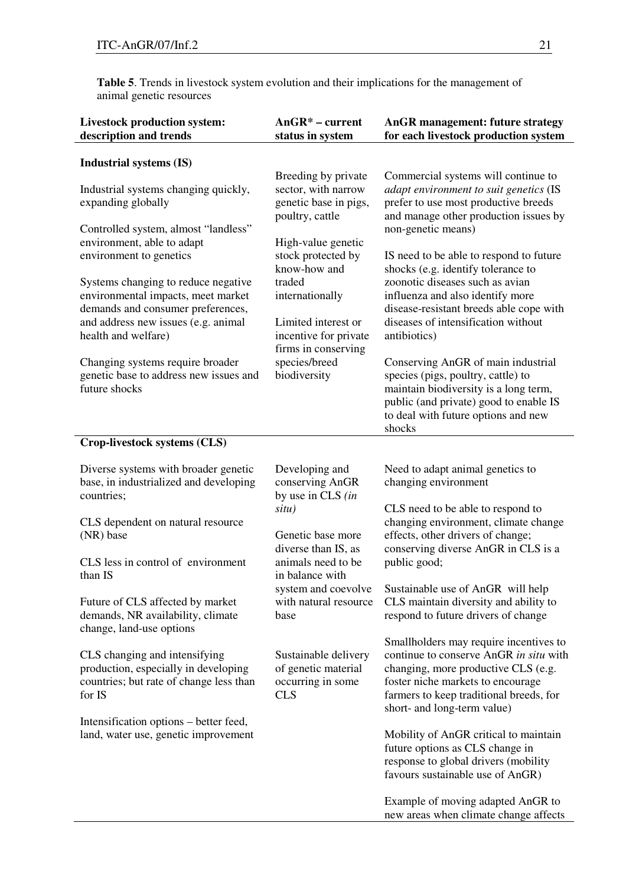**Table 5**. Trends in livestock system evolution and their implications for the management of animal genetic resources

| <b>Livestock production system:</b><br>description and trends                                                                                                                                                                         | $AnGR^*$ – current<br>status in system                                                                                                                                                        | <b>AnGR</b> management: future strategy<br>for each livestock production system                                                                                                                                                                        |
|---------------------------------------------------------------------------------------------------------------------------------------------------------------------------------------------------------------------------------------|-----------------------------------------------------------------------------------------------------------------------------------------------------------------------------------------------|--------------------------------------------------------------------------------------------------------------------------------------------------------------------------------------------------------------------------------------------------------|
|                                                                                                                                                                                                                                       |                                                                                                                                                                                               |                                                                                                                                                                                                                                                        |
| Industrial systems (IS)                                                                                                                                                                                                               |                                                                                                                                                                                               |                                                                                                                                                                                                                                                        |
| Industrial systems changing quickly,<br>expanding globally<br>Controlled system, almost "landless"                                                                                                                                    | Breeding by private<br>sector, with narrow<br>genetic base in pigs,<br>poultry, cattle                                                                                                        | Commercial systems will continue to<br>adapt environment to suit genetics (IS<br>prefer to use most productive breeds<br>and manage other production issues by<br>non-genetic means)                                                                   |
| environment, able to adapt<br>environment to genetics<br>Systems changing to reduce negative<br>environmental impacts, meet market<br>demands and consumer preferences,<br>and address new issues (e.g. animal<br>health and welfare) | High-value genetic<br>stock protected by<br>know-how and<br>traded<br>internationally<br>Limited interest or<br>incentive for private<br>firms in conserving<br>species/breed<br>biodiversity | IS need to be able to respond to future<br>shocks (e.g. identify tolerance to<br>zoonotic diseases such as avian<br>influenza and also identify more<br>disease-resistant breeds able cope with<br>diseases of intensification without<br>antibiotics) |
| Changing systems require broader<br>genetic base to address new issues and<br>future shocks                                                                                                                                           |                                                                                                                                                                                               | Conserving AnGR of main industrial<br>species (pigs, poultry, cattle) to<br>maintain biodiversity is a long term,<br>public (and private) good to enable IS<br>to deal with future options and new<br>shocks                                           |
| Crop-livestock systems (CLS)                                                                                                                                                                                                          |                                                                                                                                                                                               |                                                                                                                                                                                                                                                        |
| Diverse systems with broader genetic<br>base, in industrialized and developing<br>countries;                                                                                                                                          | Developing and<br>conserving AnGR<br>by use in CLS $(in$                                                                                                                                      | Need to adapt animal genetics to<br>changing environment                                                                                                                                                                                               |
| CLS dependent on natural resource<br>(NR) base                                                                                                                                                                                        | situ)<br>Genetic base more<br>diverse than IS, as                                                                                                                                             | CLS need to be able to respond to<br>changing environment, climate change<br>effects, other drivers of change;<br>conserving diverse AnGR in CLS is a                                                                                                  |
| CLS less in control of environment<br>than IS                                                                                                                                                                                         | animals need to be<br>in balance with<br>system and coevolve                                                                                                                                  | public good;<br>Sustainable use of AnGR will help                                                                                                                                                                                                      |
| Future of CLS affected by market<br>demands, NR availability, climate<br>change, land-use options                                                                                                                                     | with natural resource<br>base                                                                                                                                                                 | CLS maintain diversity and ability to<br>respond to future drivers of change                                                                                                                                                                           |
| CLS changing and intensifying<br>production, especially in developing<br>countries; but rate of change less than<br>for IS                                                                                                            | Sustainable delivery<br>of genetic material<br>occurring in some<br><b>CLS</b>                                                                                                                | Smallholders may require incentives to<br>continue to conserve AnGR in situ with<br>changing, more productive CLS (e.g.<br>foster niche markets to encourage<br>farmers to keep traditional breeds, for<br>short- and long-term value)                 |
| Intensification options – better feed,<br>land, water use, genetic improvement                                                                                                                                                        |                                                                                                                                                                                               | Mobility of AnGR critical to maintain<br>future options as CLS change in<br>response to global drivers (mobility<br>favours sustainable use of AnGR)                                                                                                   |
|                                                                                                                                                                                                                                       |                                                                                                                                                                                               | Example of moving adapted AnGR to<br>new areas when climate change affects                                                                                                                                                                             |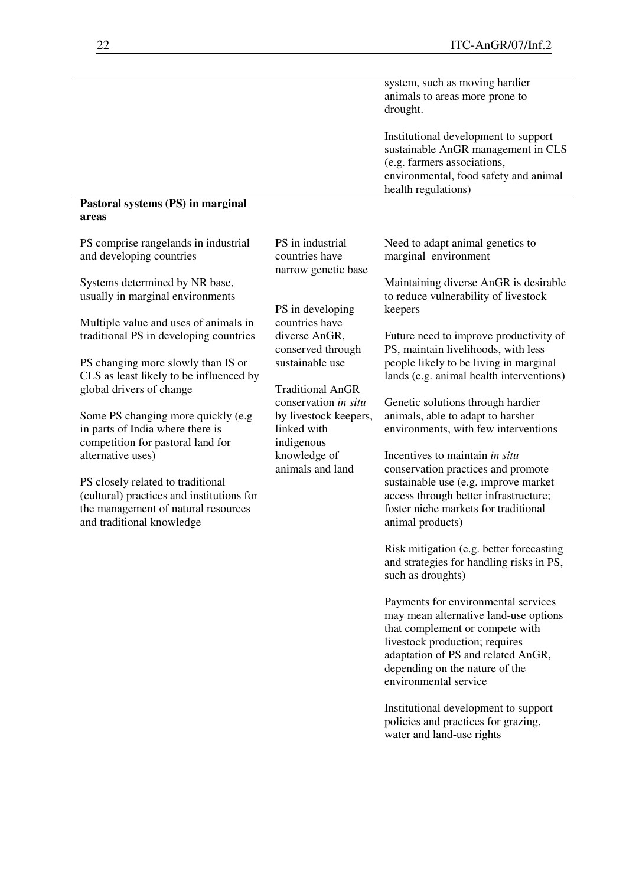| system, such as moving hardier |
|--------------------------------|
| animals to areas more prone to |
| drought.                       |

Institutional development to support sustainable AnGR management in CLS (e.g. farmers associations, environmental, food safety and animal health regulations)

#### **Pastoral systems (PS) in marginal areas**

PS comprise rangelands in industrial and developing countries

Systems determined by NR base, usually in marginal environments

Multiple value and uses of animals in traditional PS in developing countries

PS changing more slowly than IS or CLS as least likely to be influenced by global drivers of change

Some PS changing more quickly (e.g in parts of India where there is competition for pastoral land for alternative uses)

PS closely related to traditional (cultural) practices and institutions for the management of natural resources and traditional knowledge

PS in industrial countries have narrow genetic base

PS in developing countries have diverse AnGR, conserved through sustainable use

Traditional AnGR conservation *in situ* by livestock keepers, linked with indigenous knowledge of animals and land

Need to adapt animal genetics to marginal environment

Maintaining diverse AnGR is desirable to reduce vulnerability of livestock keepers

Future need to improve productivity of PS, maintain livelihoods, with less people likely to be living in marginal lands (e.g. animal health interventions)

Genetic solutions through hardier animals, able to adapt to harsher environments, with few interventions

Incentives to maintain *in situ* conservation practices and promote sustainable use (e.g. improve market access through better infrastructure; foster niche markets for traditional animal products)

Risk mitigation (e.g. better forecasting and strategies for handling risks in PS, such as droughts)

Payments for environmental services may mean alternative land-use options that complement or compete with livestock production; requires adaptation of PS and related AnGR, depending on the nature of the environmental service

Institutional development to support policies and practices for grazing, water and land-use rights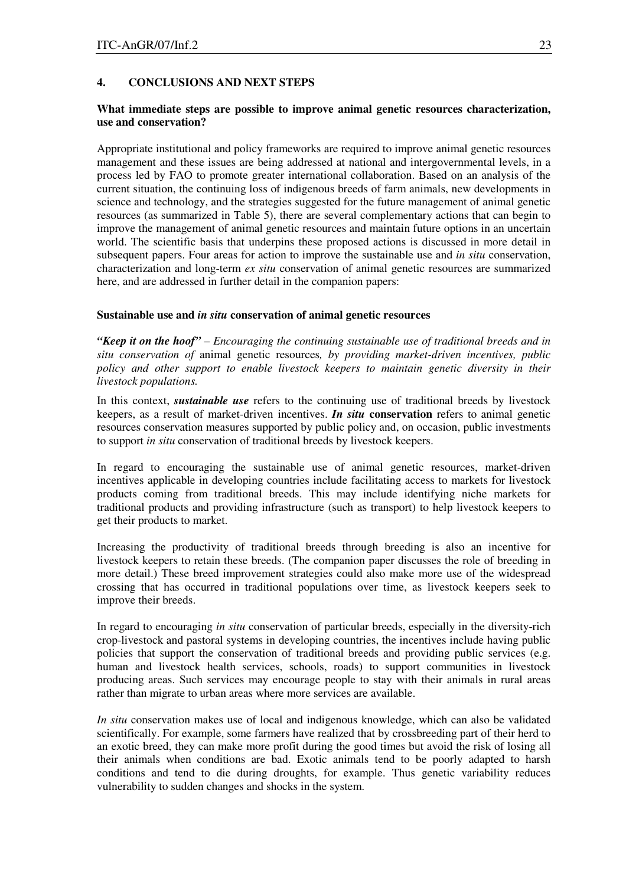## **4. CONCLUSIONS AND NEXT STEPS**

## **What immediate steps are possible to improve animal genetic resources characterization, use and conservation?**

Appropriate institutional and policy frameworks are required to improve animal genetic resources management and these issues are being addressed at national and intergovernmental levels, in a process led by FAO to promote greater international collaboration. Based on an analysis of the current situation, the continuing loss of indigenous breeds of farm animals, new developments in science and technology, and the strategies suggested for the future management of animal genetic resources (as summarized in Table 5), there are several complementary actions that can begin to improve the management of animal genetic resources and maintain future options in an uncertain world. The scientific basis that underpins these proposed actions is discussed in more detail in subsequent papers. Four areas for action to improve the sustainable use and *in situ* conservation, characterization and long-term *ex situ* conservation of animal genetic resources are summarized here, and are addressed in further detail in the companion papers:

#### **Sustainable use and** *in situ* **conservation of animal genetic resources**

*"Keep it on the hoof" – Encouraging the continuing sustainable use of traditional breeds and in situ conservation of* animal genetic resources*, by providing market-driven incentives, public policy and other support to enable livestock keepers to maintain genetic diversity in their livestock populations.* 

In this context, *sustainable use* refers to the continuing use of traditional breeds by livestock keepers, as a result of market-driven incentives. *In situ* **conservation** refers to animal genetic resources conservation measures supported by public policy and, on occasion, public investments to support *in situ* conservation of traditional breeds by livestock keepers.

In regard to encouraging the sustainable use of animal genetic resources, market-driven incentives applicable in developing countries include facilitating access to markets for livestock products coming from traditional breeds. This may include identifying niche markets for traditional products and providing infrastructure (such as transport) to help livestock keepers to get their products to market.

Increasing the productivity of traditional breeds through breeding is also an incentive for livestock keepers to retain these breeds. (The companion paper discusses the role of breeding in more detail.) These breed improvement strategies could also make more use of the widespread crossing that has occurred in traditional populations over time, as livestock keepers seek to improve their breeds.

In regard to encouraging *in situ* conservation of particular breeds, especially in the diversity-rich crop-livestock and pastoral systems in developing countries, the incentives include having public policies that support the conservation of traditional breeds and providing public services (e.g. human and livestock health services, schools, roads) to support communities in livestock producing areas. Such services may encourage people to stay with their animals in rural areas rather than migrate to urban areas where more services are available.

*In situ* conservation makes use of local and indigenous knowledge, which can also be validated scientifically. For example, some farmers have realized that by crossbreeding part of their herd to an exotic breed, they can make more profit during the good times but avoid the risk of losing all their animals when conditions are bad. Exotic animals tend to be poorly adapted to harsh conditions and tend to die during droughts, for example. Thus genetic variability reduces vulnerability to sudden changes and shocks in the system.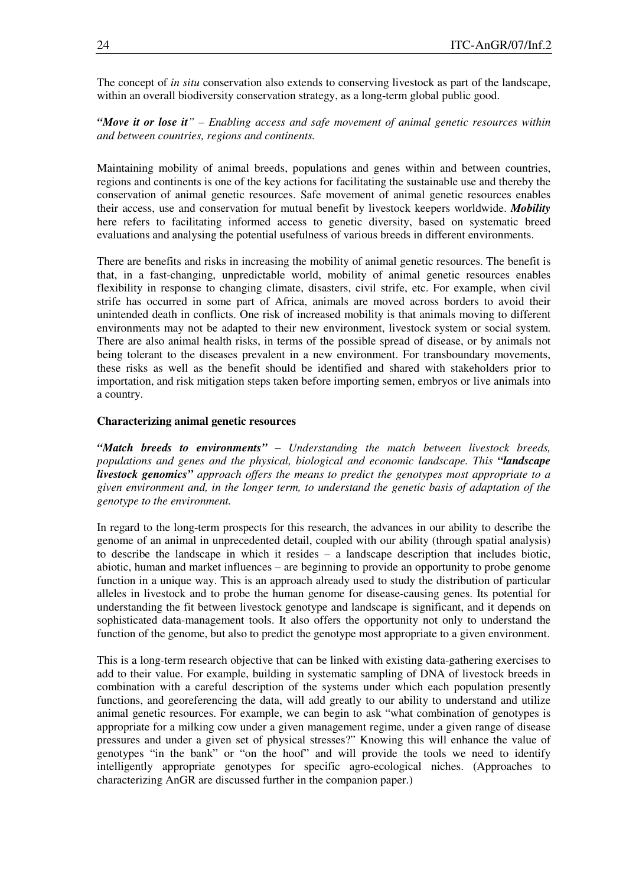The concept of *in situ* conservation also extends to conserving livestock as part of the landscape, within an overall biodiversity conservation strategy, as a long-term global public good.

*"Move it or lose it" – Enabling access and safe movement of animal genetic resources within and between countries, regions and continents.* 

Maintaining mobility of animal breeds, populations and genes within and between countries, regions and continents is one of the key actions for facilitating the sustainable use and thereby the conservation of animal genetic resources. Safe movement of animal genetic resources enables their access, use and conservation for mutual benefit by livestock keepers worldwide. *Mobility* here refers to facilitating informed access to genetic diversity, based on systematic breed evaluations and analysing the potential usefulness of various breeds in different environments.

There are benefits and risks in increasing the mobility of animal genetic resources. The benefit is that, in a fast-changing, unpredictable world, mobility of animal genetic resources enables flexibility in response to changing climate, disasters, civil strife, etc. For example, when civil strife has occurred in some part of Africa, animals are moved across borders to avoid their unintended death in conflicts. One risk of increased mobility is that animals moving to different environments may not be adapted to their new environment, livestock system or social system. There are also animal health risks, in terms of the possible spread of disease, or by animals not being tolerant to the diseases prevalent in a new environment. For transboundary movements, these risks as well as the benefit should be identified and shared with stakeholders prior to importation, and risk mitigation steps taken before importing semen, embryos or live animals into a country.

#### **Characterizing animal genetic resources**

*"Match breeds to environments"* – *Understanding the match between livestock breeds, populations and genes and the physical, biological and economic landscape. This "landscape livestock genomics" approach offers the means to predict the genotypes most appropriate to a given environment and, in the longer term, to understand the genetic basis of adaptation of the genotype to the environment.* 

In regard to the long-term prospects for this research, the advances in our ability to describe the genome of an animal in unprecedented detail, coupled with our ability (through spatial analysis) to describe the landscape in which it resides – a landscape description that includes biotic, abiotic, human and market influences – are beginning to provide an opportunity to probe genome function in a unique way. This is an approach already used to study the distribution of particular alleles in livestock and to probe the human genome for disease-causing genes. Its potential for understanding the fit between livestock genotype and landscape is significant, and it depends on sophisticated data-management tools. It also offers the opportunity not only to understand the function of the genome, but also to predict the genotype most appropriate to a given environment.

This is a long-term research objective that can be linked with existing data-gathering exercises to add to their value. For example, building in systematic sampling of DNA of livestock breeds in combination with a careful description of the systems under which each population presently functions, and georeferencing the data, will add greatly to our ability to understand and utilize animal genetic resources. For example, we can begin to ask "what combination of genotypes is appropriate for a milking cow under a given management regime, under a given range of disease pressures and under a given set of physical stresses?" Knowing this will enhance the value of genotypes "in the bank" or "on the hoof" and will provide the tools we need to identify intelligently appropriate genotypes for specific agro-ecological niches. (Approaches to characterizing AnGR are discussed further in the companion paper.)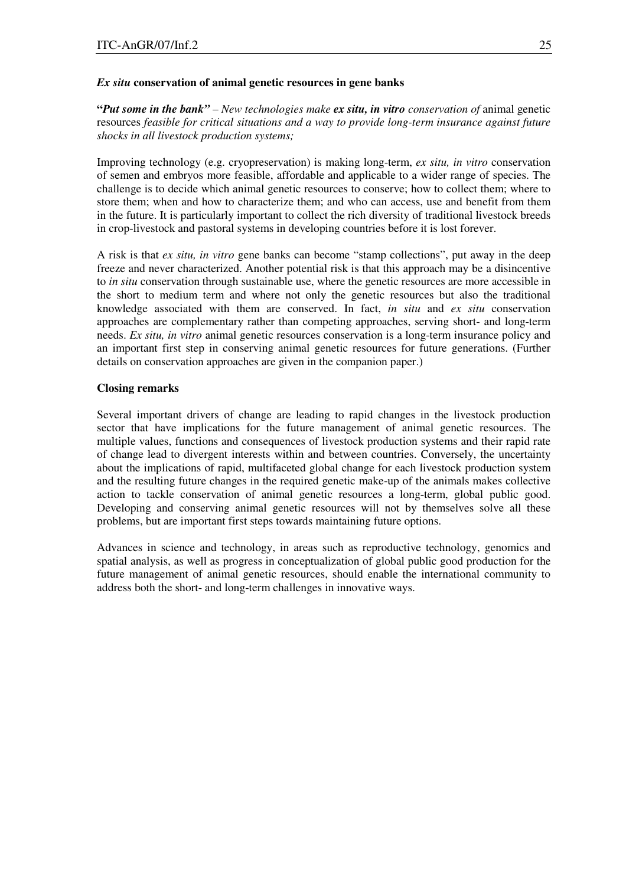## *Ex situ* **conservation of animal genetic resources in gene banks**

**"***Put some in the bank"* – *New technologies make ex situ, in vitro conservation of* animal genetic resources *feasible for critical situations and a way to provide long-term insurance against future shocks in all livestock production systems;* 

Improving technology (e.g. cryopreservation) is making long-term, *ex situ, in vitro* conservation of semen and embryos more feasible, affordable and applicable to a wider range of species. The challenge is to decide which animal genetic resources to conserve; how to collect them; where to store them; when and how to characterize them; and who can access, use and benefit from them in the future. It is particularly important to collect the rich diversity of traditional livestock breeds in crop-livestock and pastoral systems in developing countries before it is lost forever.

A risk is that *ex situ, in vitro* gene banks can become "stamp collections", put away in the deep freeze and never characterized. Another potential risk is that this approach may be a disincentive to *in situ* conservation through sustainable use, where the genetic resources are more accessible in the short to medium term and where not only the genetic resources but also the traditional knowledge associated with them are conserved. In fact, *in situ* and *ex situ* conservation approaches are complementary rather than competing approaches, serving short- and long-term needs. *Ex situ, in vitro* animal genetic resources conservation is a long-term insurance policy and an important first step in conserving animal genetic resources for future generations. (Further details on conservation approaches are given in the companion paper.)

# **Closing remarks**

Several important drivers of change are leading to rapid changes in the livestock production sector that have implications for the future management of animal genetic resources. The multiple values, functions and consequences of livestock production systems and their rapid rate of change lead to divergent interests within and between countries. Conversely, the uncertainty about the implications of rapid, multifaceted global change for each livestock production system and the resulting future changes in the required genetic make-up of the animals makes collective action to tackle conservation of animal genetic resources a long-term, global public good. Developing and conserving animal genetic resources will not by themselves solve all these problems, but are important first steps towards maintaining future options.

Advances in science and technology, in areas such as reproductive technology, genomics and spatial analysis, as well as progress in conceptualization of global public good production for the future management of animal genetic resources, should enable the international community to address both the short- and long-term challenges in innovative ways.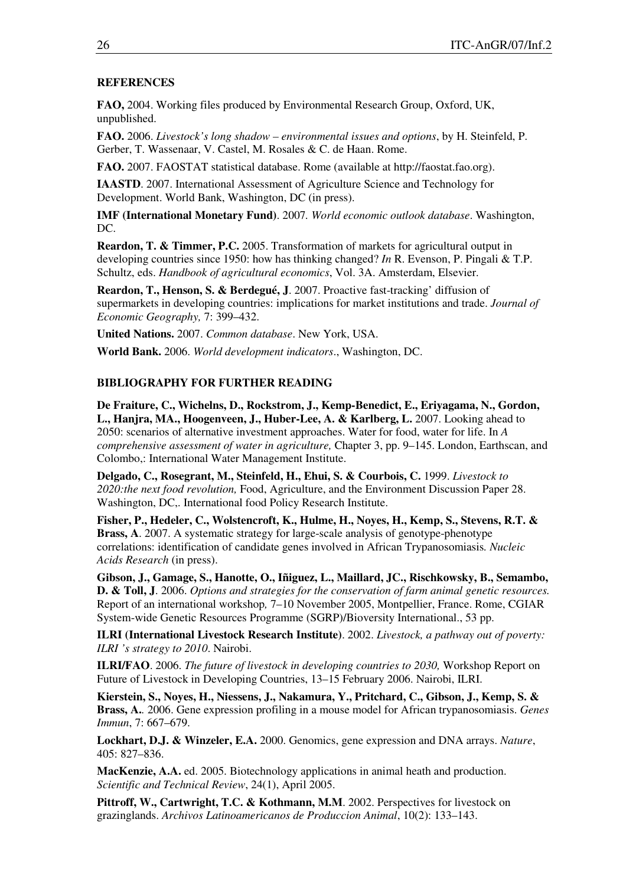#### **REFERENCES**

**FAO,** 2004. Working files produced by Environmental Research Group, Oxford, UK, unpublished.

**FAO.** 2006. *Livestock's long shadow – environmental issues and options*, by H. Steinfeld, P. Gerber, T. Wassenaar, V. Castel, M. Rosales & C. de Haan. Rome.

**FAO.** 2007. FAOSTAT statistical database. Rome (available at http://faostat.fao.org).

**IAASTD**. 2007. International Assessment of Agriculture Science and Technology for Development. World Bank, Washington, DC (in press).

**IMF (International Monetary Fund)**. 2007*. World economic outlook database*. Washington, DC.

**Reardon, T. & Timmer, P.C.** 2005. Transformation of markets for agricultural output in developing countries since 1950: how has thinking changed? *In* R. Evenson, P. Pingali & T.P. Schultz, eds. *Handbook of agricultural economics*, Vol. 3A. Amsterdam, Elsevier.

**Reardon, T., Henson, S. & Berdegué, J**. 2007. Proactive fast-tracking' diffusion of supermarkets in developing countries: implications for market institutions and trade. *Journal of Economic Geography,* 7: 399–432.

**United Nations.** 2007. *Common database*. New York, USA.

**World Bank.** 2006. *World development indicators*., Washington, DC.

#### **BIBLIOGRAPHY FOR FURTHER READING**

**De Fraiture, C., Wichelns, D., Rockstrom, J., Kemp-Benedict, E., Eriyagama, N., Gordon, L., Hanjra, MA., Hoogenveen, J., Huber-Lee, A. & Karlberg, L.** 2007. Looking ahead to 2050: scenarios of alternative investment approaches. Water for food, water for life. In *A comprehensive assessment of water in agriculture,* Chapter 3, pp. 9–145. London, Earthscan, and Colombo,: International Water Management Institute.

**Delgado, C., Rosegrant, M., Steinfeld, H., Ehui, S. & Courbois, C.** 1999. *Livestock to 2020:the next food revolution,* Food, Agriculture, and the Environment Discussion Paper 28. Washington, DC,. International food Policy Research Institute.

**Fisher, P., Hedeler, C., Wolstencroft, K., Hulme, H., Noyes, H., Kemp, S., Stevens, R.T. & Brass, A**. 2007. A systematic strategy for large-scale analysis of genotype-phenotype correlations: identification of candidate genes involved in African Trypanosomiasis*. Nucleic Acids Research* (in press).

**Gibson, J., Gamage, S., Hanotte, O., Iñiguez, L., Maillard, JC., Rischkowsky, B., Semambo, D. & Toll, J**. 2006. *Options and strategies for the conservation of farm animal genetic resources.*  Report of an international workshop*,* 7–10 November 2005, Montpellier, France. Rome, CGIAR System-wide Genetic Resources Programme (SGRP)/Bioversity International., 53 pp.

**ILRI (International Livestock Research Institute)**. 2002. *Livestock, a pathway out of poverty: ILRI 's strategy to 2010*. Nairobi.

**ILRI/FAO**. 2006. *The future of livestock in developing countries to 2030,* Workshop Report on Future of Livestock in Developing Countries, 13–15 February 2006. Nairobi, ILRI.

**Kierstein, S., Noyes, H., Niessens, J., Nakamura, Y., Pritchard, C., Gibson, J., Kemp, S. & Brass, A.***.* 2006. Gene expression profiling in a mouse model for African trypanosomiasis. *Genes Immun*, 7: 667–679.

**Lockhart, D.J. & Winzeler, E.A.** 2000. Genomics, gene expression and DNA arrays. *Nature*, 405: 827–836.

**MacKenzie, A.A.** ed. 2005. Biotechnology applications in animal heath and production. *Scientific and Technical Review*, 24(1), April 2005.

**Pittroff, W., Cartwright, T.C. & Kothmann, M.M**. 2002. Perspectives for livestock on grazinglands. *Archivos Latinoamericanos de Produccion Animal*, 10(2): 133–143.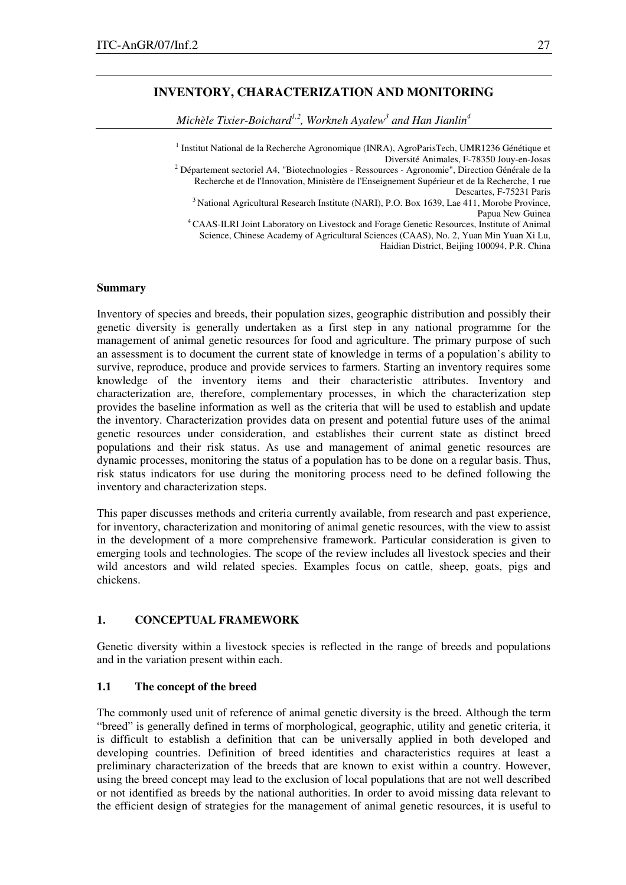# **INVENTORY, CHARACTERIZATION AND MONITORING**

*Michèle Tixier-Boichard1,2, Workneh Ayalew<sup>3</sup> and Han Jianlin<sup>4</sup>*

<sup>1</sup> Institut National de la Recherche Agronomique (INRA), AgroParisTech, UMR1236 Génétique et Diversité Animales, F-78350 Jouy-en-Josas <sup>2</sup> Département sectoriel A4, "Biotechnologies - Ressources - Agronomie", Direction Générale de la Recherche et de l'Innovation, Ministère de l'Enseignement Supérieur et de la Recherche, 1 rue Descartes, F-75231 Paris <sup>3</sup> National Agricultural Research Institute (NARI), P.O. Box 1639, Lae 411, Morobe Province, Papua New Guinea <sup>4</sup> CAAS-ILRI Joint Laboratory on Livestock and Forage Genetic Resources, Institute of Animal Science, Chinese Academy of Agricultural Sciences (CAAS), No. 2, Yuan Min Yuan Xi Lu,

Haidian District, Beijing 100094, P.R. China

#### **Summary**

Inventory of species and breeds, their population sizes, geographic distribution and possibly their genetic diversity is generally undertaken as a first step in any national programme for the management of animal genetic resources for food and agriculture. The primary purpose of such an assessment is to document the current state of knowledge in terms of a population's ability to survive, reproduce, produce and provide services to farmers. Starting an inventory requires some knowledge of the inventory items and their characteristic attributes. Inventory and characterization are, therefore, complementary processes, in which the characterization step provides the baseline information as well as the criteria that will be used to establish and update the inventory. Characterization provides data on present and potential future uses of the animal genetic resources under consideration, and establishes their current state as distinct breed populations and their risk status. As use and management of animal genetic resources are dynamic processes, monitoring the status of a population has to be done on a regular basis. Thus, risk status indicators for use during the monitoring process need to be defined following the inventory and characterization steps.

This paper discusses methods and criteria currently available, from research and past experience, for inventory, characterization and monitoring of animal genetic resources, with the view to assist in the development of a more comprehensive framework. Particular consideration is given to emerging tools and technologies. The scope of the review includes all livestock species and their wild ancestors and wild related species. Examples focus on cattle, sheep, goats, pigs and chickens.

## **1. CONCEPTUAL FRAMEWORK**

Genetic diversity within a livestock species is reflected in the range of breeds and populations and in the variation present within each.

#### **1.1 The concept of the breed**

The commonly used unit of reference of animal genetic diversity is the breed. Although the term "breed" is generally defined in terms of morphological, geographic, utility and genetic criteria, it is difficult to establish a definition that can be universally applied in both developed and developing countries. Definition of breed identities and characteristics requires at least a preliminary characterization of the breeds that are known to exist within a country. However, using the breed concept may lead to the exclusion of local populations that are not well described or not identified as breeds by the national authorities. In order to avoid missing data relevant to the efficient design of strategies for the management of animal genetic resources, it is useful to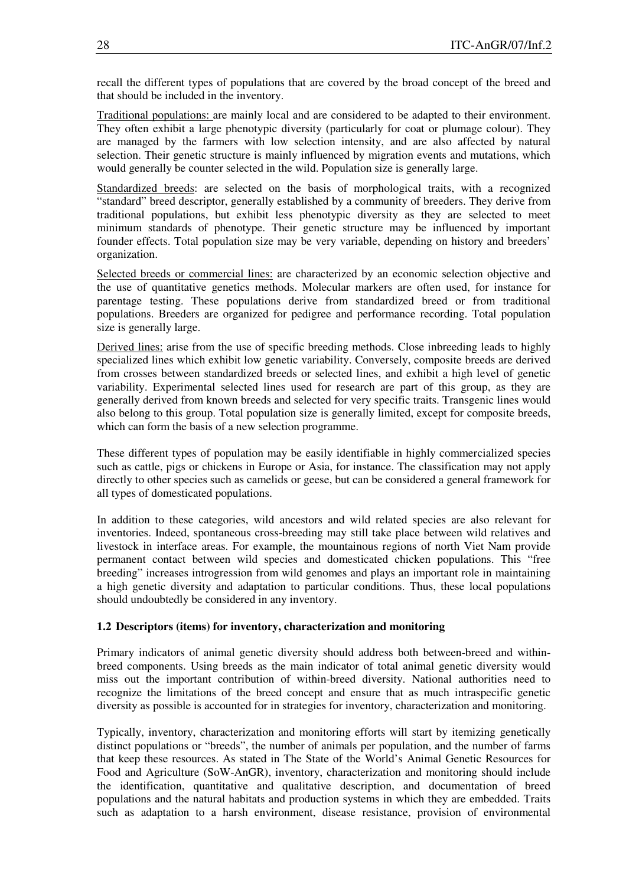recall the different types of populations that are covered by the broad concept of the breed and that should be included in the inventory.

Traditional populations: are mainly local and are considered to be adapted to their environment. They often exhibit a large phenotypic diversity (particularly for coat or plumage colour). They are managed by the farmers with low selection intensity, and are also affected by natural selection. Their genetic structure is mainly influenced by migration events and mutations, which would generally be counter selected in the wild. Population size is generally large.

Standardized breeds: are selected on the basis of morphological traits, with a recognized "standard" breed descriptor, generally established by a community of breeders. They derive from traditional populations, but exhibit less phenotypic diversity as they are selected to meet minimum standards of phenotype. Their genetic structure may be influenced by important founder effects. Total population size may be very variable, depending on history and breeders' organization.

Selected breeds or commercial lines: are characterized by an economic selection objective and the use of quantitative genetics methods. Molecular markers are often used, for instance for parentage testing. These populations derive from standardized breed or from traditional populations. Breeders are organized for pedigree and performance recording. Total population size is generally large.

Derived lines: arise from the use of specific breeding methods. Close inbreeding leads to highly specialized lines which exhibit low genetic variability. Conversely, composite breeds are derived from crosses between standardized breeds or selected lines, and exhibit a high level of genetic variability. Experimental selected lines used for research are part of this group, as they are generally derived from known breeds and selected for very specific traits. Transgenic lines would also belong to this group. Total population size is generally limited, except for composite breeds, which can form the basis of a new selection programme.

These different types of population may be easily identifiable in highly commercialized species such as cattle, pigs or chickens in Europe or Asia, for instance. The classification may not apply directly to other species such as camelids or geese, but can be considered a general framework for all types of domesticated populations.

In addition to these categories, wild ancestors and wild related species are also relevant for inventories. Indeed, spontaneous cross-breeding may still take place between wild relatives and livestock in interface areas. For example, the mountainous regions of north Viet Nam provide permanent contact between wild species and domesticated chicken populations. This "free breeding" increases introgression from wild genomes and plays an important role in maintaining a high genetic diversity and adaptation to particular conditions. Thus, these local populations should undoubtedly be considered in any inventory.

## **1.2 Descriptors (items) for inventory, characterization and monitoring**

Primary indicators of animal genetic diversity should address both between-breed and withinbreed components. Using breeds as the main indicator of total animal genetic diversity would miss out the important contribution of within-breed diversity. National authorities need to recognize the limitations of the breed concept and ensure that as much intraspecific genetic diversity as possible is accounted for in strategies for inventory, characterization and monitoring.

Typically, inventory, characterization and monitoring efforts will start by itemizing genetically distinct populations or "breeds", the number of animals per population, and the number of farms that keep these resources. As stated in The State of the World's Animal Genetic Resources for Food and Agriculture (SoW-AnGR), inventory, characterization and monitoring should include the identification, quantitative and qualitative description, and documentation of breed populations and the natural habitats and production systems in which they are embedded. Traits such as adaptation to a harsh environment, disease resistance, provision of environmental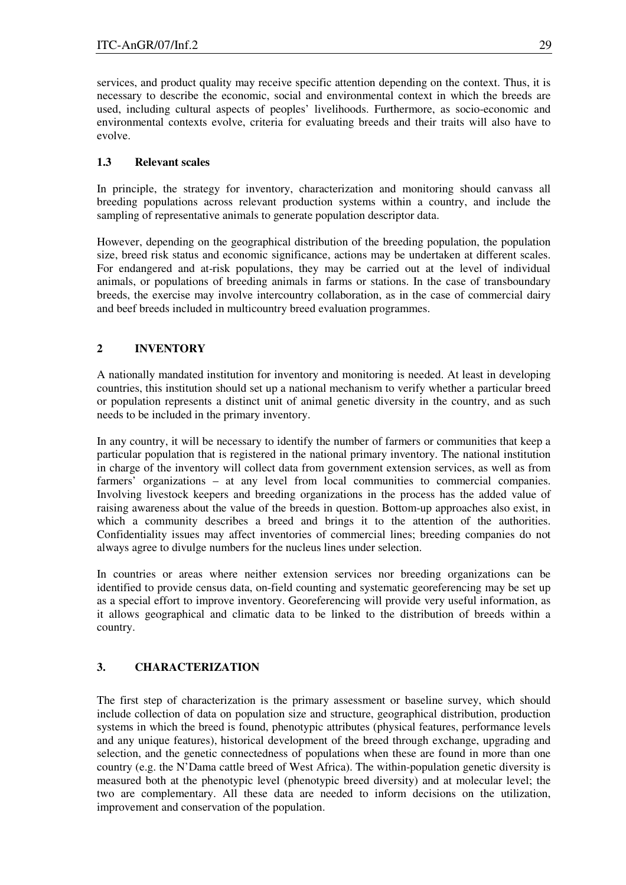services, and product quality may receive specific attention depending on the context. Thus, it is necessary to describe the economic, social and environmental context in which the breeds are used, including cultural aspects of peoples' livelihoods. Furthermore, as socio-economic and environmental contexts evolve, criteria for evaluating breeds and their traits will also have to evolve.

# **1.3 Relevant scales**

In principle, the strategy for inventory, characterization and monitoring should canvass all breeding populations across relevant production systems within a country, and include the sampling of representative animals to generate population descriptor data.

However, depending on the geographical distribution of the breeding population, the population size, breed risk status and economic significance, actions may be undertaken at different scales. For endangered and at-risk populations, they may be carried out at the level of individual animals, or populations of breeding animals in farms or stations. In the case of transboundary breeds, the exercise may involve intercountry collaboration, as in the case of commercial dairy and beef breeds included in multicountry breed evaluation programmes.

# **2 INVENTORY**

A nationally mandated institution for inventory and monitoring is needed. At least in developing countries, this institution should set up a national mechanism to verify whether a particular breed or population represents a distinct unit of animal genetic diversity in the country, and as such needs to be included in the primary inventory.

In any country, it will be necessary to identify the number of farmers or communities that keep a particular population that is registered in the national primary inventory. The national institution in charge of the inventory will collect data from government extension services, as well as from farmers' organizations – at any level from local communities to commercial companies. Involving livestock keepers and breeding organizations in the process has the added value of raising awareness about the value of the breeds in question. Bottom-up approaches also exist, in which a community describes a breed and brings it to the attention of the authorities. Confidentiality issues may affect inventories of commercial lines; breeding companies do not always agree to divulge numbers for the nucleus lines under selection.

In countries or areas where neither extension services nor breeding organizations can be identified to provide census data, on-field counting and systematic georeferencing may be set up as a special effort to improve inventory. Georeferencing will provide very useful information, as it allows geographical and climatic data to be linked to the distribution of breeds within a country.

# **3. CHARACTERIZATION**

The first step of characterization is the primary assessment or baseline survey, which should include collection of data on population size and structure, geographical distribution, production systems in which the breed is found, phenotypic attributes (physical features, performance levels and any unique features), historical development of the breed through exchange, upgrading and selection, and the genetic connectedness of populations when these are found in more than one country (e.g. the N'Dama cattle breed of West Africa). The within-population genetic diversity is measured both at the phenotypic level (phenotypic breed diversity) and at molecular level; the two are complementary. All these data are needed to inform decisions on the utilization, improvement and conservation of the population.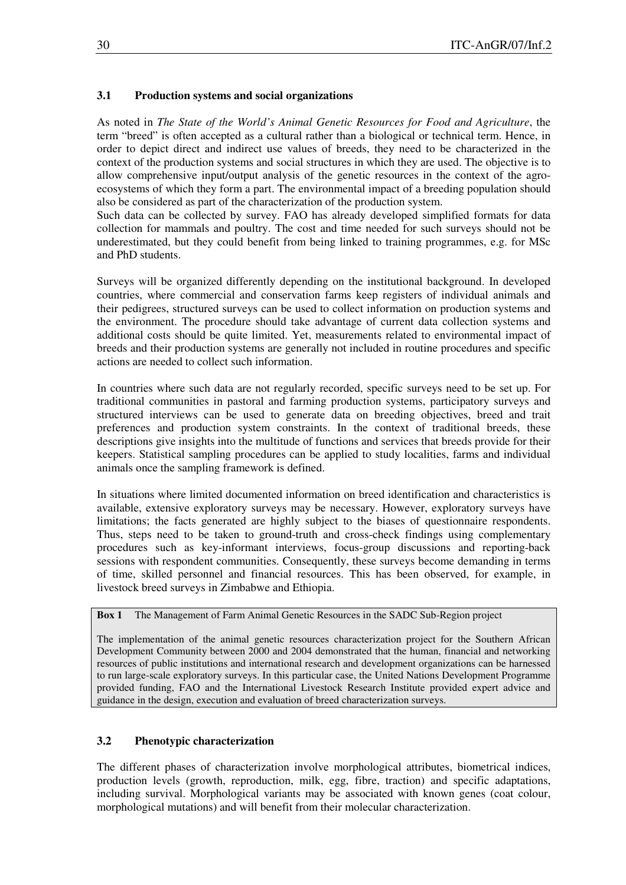# **3.1 Production systems and social organizations**

As noted in *The State of the World's Animal Genetic Resources for Food and Agriculture*, the term "breed" is often accepted as a cultural rather than a biological or technical term. Hence, in order to depict direct and indirect use values of breeds, they need to be characterized in the context of the production systems and social structures in which they are used. The objective is to allow comprehensive input/output analysis of the genetic resources in the context of the agroecosystems of which they form a part. The environmental impact of a breeding population should also be considered as part of the characterization of the production system.

Such data can be collected by survey. FAO has already developed simplified formats for data collection for mammals and poultry. The cost and time needed for such surveys should not be underestimated, but they could benefit from being linked to training programmes, e.g. for MSc and PhD students.

Surveys will be organized differently depending on the institutional background. In developed countries, where commercial and conservation farms keep registers of individual animals and their pedigrees, structured surveys can be used to collect information on production systems and the environment. The procedure should take advantage of current data collection systems and additional costs should be quite limited. Yet, measurements related to environmental impact of breeds and their production systems are generally not included in routine procedures and specific actions are needed to collect such information.

In countries where such data are not regularly recorded, specific surveys need to be set up. For traditional communities in pastoral and farming production systems, participatory surveys and structured interviews can be used to generate data on breeding objectives, breed and trait preferences and production system constraints. In the context of traditional breeds, these descriptions give insights into the multitude of functions and services that breeds provide for their keepers. Statistical sampling procedures can be applied to study localities, farms and individual animals once the sampling framework is defined.

In situations where limited documented information on breed identification and characteristics is available, extensive exploratory surveys may be necessary. However, exploratory surveys have limitations; the facts generated are highly subject to the biases of questionnaire respondents. Thus, steps need to be taken to ground-truth and cross-check findings using complementary procedures such as key-informant interviews, focus-group discussions and reporting-back sessions with respondent communities. Consequently, these surveys become demanding in terms of time, skilled personnel and financial resources. This has been observed, for example, in livestock breed surveys in Zimbabwe and Ethiopia.

#### **Box 1** The Management of Farm Animal Genetic Resources in the SADC Sub-Region project

The implementation of the animal genetic resources characterization project for the Southern African Development Community between 2000 and 2004 demonstrated that the human, financial and networking resources of public institutions and international research and development organizations can be harnessed to run large-scale exploratory surveys. In this particular case, the United Nations Development Programme provided funding, FAO and the International Livestock Research Institute provided expert advice and guidance in the design, execution and evaluation of breed characterization surveys.

# **3.2 Phenotypic characterization**

The different phases of characterization involve morphological attributes, biometrical indices, production levels (growth, reproduction, milk, egg, fibre, traction) and specific adaptations, including survival. Morphological variants may be associated with known genes (coat colour, morphological mutations) and will benefit from their molecular characterization.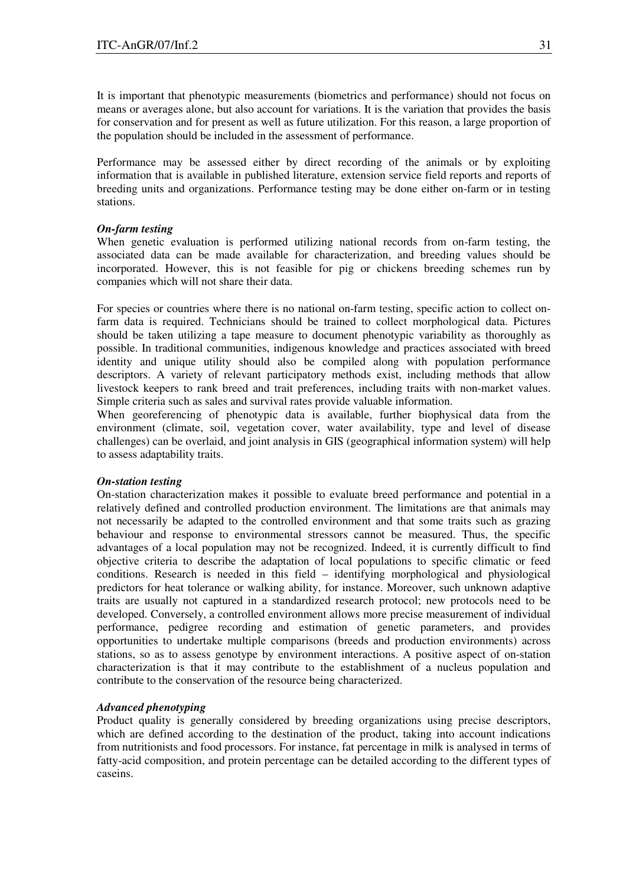It is important that phenotypic measurements (biometrics and performance) should not focus on means or averages alone, but also account for variations. It is the variation that provides the basis for conservation and for present as well as future utilization. For this reason, a large proportion of the population should be included in the assessment of performance.

Performance may be assessed either by direct recording of the animals or by exploiting information that is available in published literature, extension service field reports and reports of breeding units and organizations. Performance testing may be done either on-farm or in testing stations.

## *On-farm testing*

When genetic evaluation is performed utilizing national records from on-farm testing, the associated data can be made available for characterization, and breeding values should be incorporated. However, this is not feasible for pig or chickens breeding schemes run by companies which will not share their data.

For species or countries where there is no national on-farm testing, specific action to collect onfarm data is required. Technicians should be trained to collect morphological data. Pictures should be taken utilizing a tape measure to document phenotypic variability as thoroughly as possible. In traditional communities, indigenous knowledge and practices associated with breed identity and unique utility should also be compiled along with population performance descriptors. A variety of relevant participatory methods exist, including methods that allow livestock keepers to rank breed and trait preferences, including traits with non-market values. Simple criteria such as sales and survival rates provide valuable information.

When georeferencing of phenotypic data is available, further biophysical data from the environment (climate, soil, vegetation cover, water availability, type and level of disease challenges) can be overlaid, and joint analysis in GIS (geographical information system) will help to assess adaptability traits.

## *On-station testing*

On-station characterization makes it possible to evaluate breed performance and potential in a relatively defined and controlled production environment. The limitations are that animals may not necessarily be adapted to the controlled environment and that some traits such as grazing behaviour and response to environmental stressors cannot be measured. Thus, the specific advantages of a local population may not be recognized. Indeed, it is currently difficult to find objective criteria to describe the adaptation of local populations to specific climatic or feed conditions. Research is needed in this field – identifying morphological and physiological predictors for heat tolerance or walking ability, for instance. Moreover, such unknown adaptive traits are usually not captured in a standardized research protocol; new protocols need to be developed. Conversely, a controlled environment allows more precise measurement of individual performance, pedigree recording and estimation of genetic parameters, and provides opportunities to undertake multiple comparisons (breeds and production environments) across stations, so as to assess genotype by environment interactions. A positive aspect of on-station characterization is that it may contribute to the establishment of a nucleus population and contribute to the conservation of the resource being characterized.

## *Advanced phenotyping*

Product quality is generally considered by breeding organizations using precise descriptors, which are defined according to the destination of the product, taking into account indications from nutritionists and food processors. For instance, fat percentage in milk is analysed in terms of fatty-acid composition, and protein percentage can be detailed according to the different types of caseins.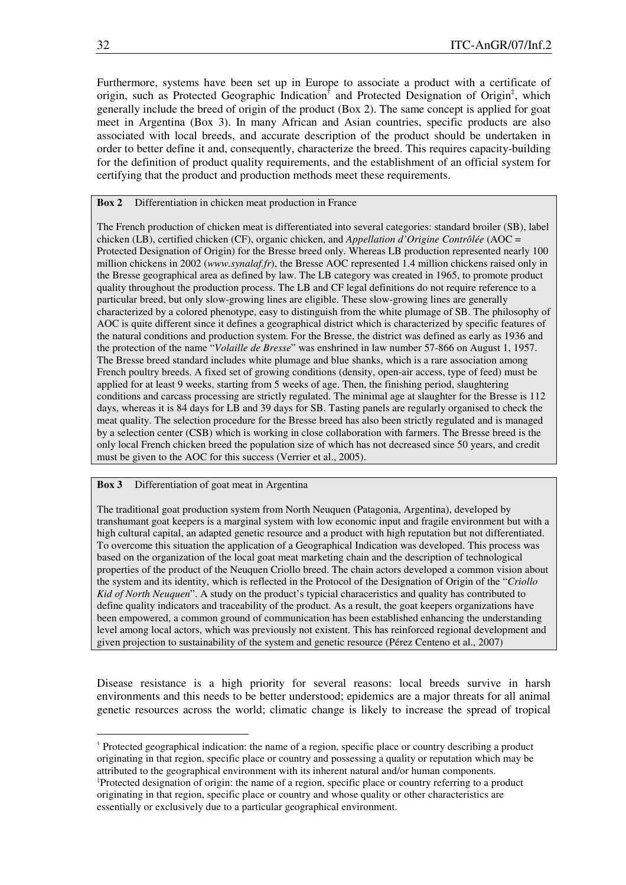Furthermore, systems have been set up in Europe to associate a product with a certificate of origin, such as Protected Geographic Indication<sup>†</sup> and Protected Designation of Origin<sup>‡</sup>, which generally include the breed of origin of the product (Box 2). The same concept is applied for goat meet in Argentina (Box 3). In many African and Asian countries, specific products are also associated with local breeds, and accurate description of the product should be undertaken in order to better define it and, consequently, characterize the breed. This requires capacity-building for the definition of product quality requirements, and the establishment of an official system for certifying that the product and production methods meet these requirements.

#### **Box 2** Differentiation in chicken meat production in France

The French production of chicken meat is differentiated into several categories: standard broiler (SB), label chicken (LB), certified chicken (CF), organic chicken, and *Appellation d'Origine Contrôlée* (AOC = Protected Designation of Origin) for the Bresse breed only. Whereas LB production represented nearly 100 million chickens in 2002 (*www.synalaf.fr*), the Bresse AOC represented 1.4 million chickens raised only in the Bresse geographical area as defined by law. The LB category was created in 1965, to promote product quality throughout the production process. The LB and CF legal definitions do not require reference to a particular breed, but only slow-growing lines are eligible. These slow-growing lines are generally characterized by a colored phenotype, easy to distinguish from the white plumage of SB. The philosophy of AOC is quite different since it defines a geographical district which is characterized by specific features of the natural conditions and production system. For the Bresse, the district was defined as early as 1936 and the protection of the name "*Volaille de Bresse*" was enshrined in law number 57-866 on August 1, 1957. The Bresse breed standard includes white plumage and blue shanks, which is a rare association among French poultry breeds. A fixed set of growing conditions (density, open-air access, type of feed) must be applied for at least 9 weeks, starting from 5 weeks of age. Then, the finishing period, slaughtering conditions and carcass processing are strictly regulated. The minimal age at slaughter for the Bresse is 112 days, whereas it is 84 days for LB and 39 days for SB. Tasting panels are regularly organised to check the meat quality. The selection procedure for the Bresse breed has also been strictly regulated and is managed by a selection center (CSB) which is working in close collaboration with farmers. The Bresse breed is the only local French chicken breed the population size of which has not decreased since 50 years, and credit must be given to the AOC for this success (Verrier et al., 2005).

#### **Box 3** Differentiation of goat meat in Argentina

The traditional goat production system from North Neuquen (Patagonia, Argentina), developed by transhumant goat keepers is a marginal system with low economic input and fragile environment but with a high cultural capital, an adapted genetic resource and a product with high reputation but not differentiated. To overcome this situation the application of a Geographical Indication was developed. This process was based on the organization of the local goat meat marketing chain and the description of technological properties of the product of the Neuquen Criollo breed. The chain actors developed a common vision about the system and its identity, which is reflected in the Protocol of the Designation of Origin of the "*Criollo Kid of North Neuquen*". A study on the product's typicial characeristics and quality has contributed to define quality indicators and traceability of the product. As a result, the goat keepers organizations have been empowered, a common ground of communication has been established enhancing the understanding level among local actors, which was previously not existent. This has reinforced regional development and given projection to sustainability of the system and genetic resource (Pérez Centeno et al., 2007)

Disease resistance is a high priority for several reasons: local breeds survive in harsh environments and this needs to be better understood; epidemics are a major threats for all animal genetic resources across the world; climatic change is likely to increase the spread of tropical

 $\overline{a}$ 

<sup>†</sup> Protected geographical indication: the name of a region, specific place or country describing a product originating in that region, specific place or country and possessing a quality or reputation which may be attributed to the geographical environment with its inherent natural and/or human components.

<sup>‡</sup>Protected designation of origin: the name of a region, specific place or country referring to a product originating in that region, specific place or country and whose quality or other characteristics are essentially or exclusively due to a particular geographical environment.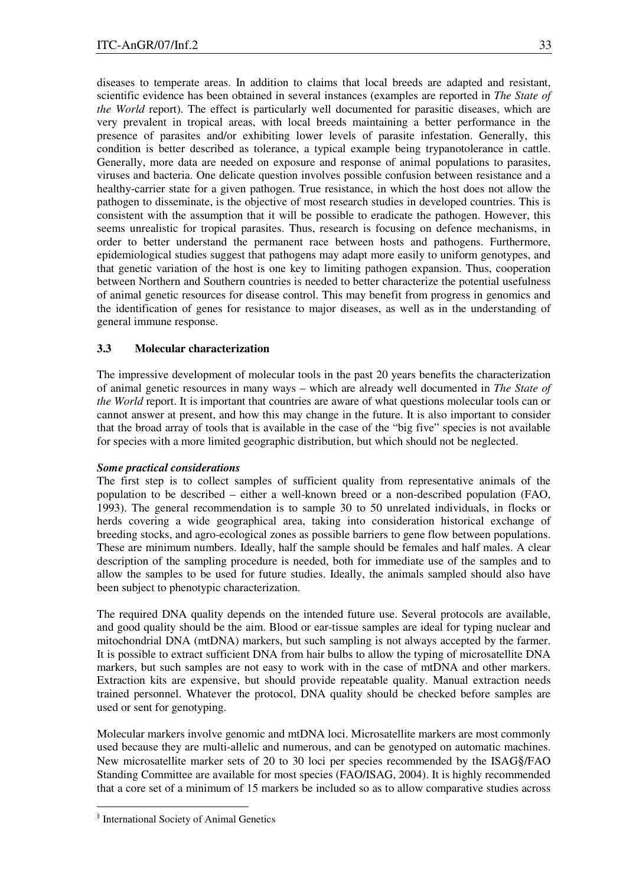diseases to temperate areas. In addition to claims that local breeds are adapted and resistant, scientific evidence has been obtained in several instances (examples are reported in *The State of the World* report). The effect is particularly well documented for parasitic diseases, which are very prevalent in tropical areas, with local breeds maintaining a better performance in the presence of parasites and/or exhibiting lower levels of parasite infestation. Generally, this condition is better described as tolerance, a typical example being trypanotolerance in cattle. Generally, more data are needed on exposure and response of animal populations to parasites, viruses and bacteria. One delicate question involves possible confusion between resistance and a healthy-carrier state for a given pathogen. True resistance, in which the host does not allow the pathogen to disseminate, is the objective of most research studies in developed countries. This is consistent with the assumption that it will be possible to eradicate the pathogen. However, this seems unrealistic for tropical parasites. Thus, research is focusing on defence mechanisms, in order to better understand the permanent race between hosts and pathogens. Furthermore, epidemiological studies suggest that pathogens may adapt more easily to uniform genotypes, and that genetic variation of the host is one key to limiting pathogen expansion. Thus, cooperation between Northern and Southern countries is needed to better characterize the potential usefulness of animal genetic resources for disease control. This may benefit from progress in genomics and the identification of genes for resistance to major diseases, as well as in the understanding of general immune response.

## **3.3 Molecular characterization**

The impressive development of molecular tools in the past 20 years benefits the characterization of animal genetic resources in many ways – which are already well documented in *The State of the World* report. It is important that countries are aware of what questions molecular tools can or cannot answer at present, and how this may change in the future. It is also important to consider that the broad array of tools that is available in the case of the "big five" species is not available for species with a more limited geographic distribution, but which should not be neglected.

## *Some practical considerations*

The first step is to collect samples of sufficient quality from representative animals of the population to be described – either a well-known breed or a non-described population (FAO, 1993). The general recommendation is to sample 30 to 50 unrelated individuals, in flocks or herds covering a wide geographical area, taking into consideration historical exchange of breeding stocks, and agro-ecological zones as possible barriers to gene flow between populations. These are minimum numbers. Ideally, half the sample should be females and half males. A clear description of the sampling procedure is needed, both for immediate use of the samples and to allow the samples to be used for future studies. Ideally, the animals sampled should also have been subject to phenotypic characterization.

The required DNA quality depends on the intended future use. Several protocols are available, and good quality should be the aim. Blood or ear-tissue samples are ideal for typing nuclear and mitochondrial DNA (mtDNA) markers, but such sampling is not always accepted by the farmer. It is possible to extract sufficient DNA from hair bulbs to allow the typing of microsatellite DNA markers, but such samples are not easy to work with in the case of mtDNA and other markers. Extraction kits are expensive, but should provide repeatable quality. Manual extraction needs trained personnel. Whatever the protocol, DNA quality should be checked before samples are used or sent for genotyping.

Molecular markers involve genomic and mtDNA loci. Microsatellite markers are most commonly used because they are multi-allelic and numerous, and can be genotyped on automatic machines. New microsatellite marker sets of 20 to 30 loci per species recommended by the ISAG§/FAO Standing Committee are available for most species (FAO/ISAG, 2004). It is highly recommended that a core set of a minimum of 15 markers be included so as to allow comparative studies across

 $\overline{a}$ 

<sup>§</sup> International Society of Animal Genetics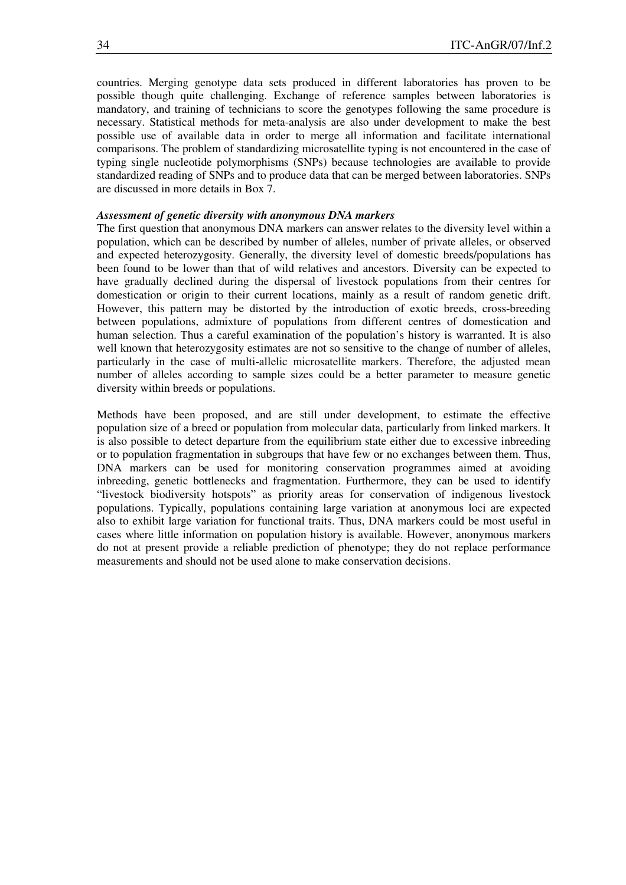countries. Merging genotype data sets produced in different laboratories has proven to be possible though quite challenging. Exchange of reference samples between laboratories is mandatory, and training of technicians to score the genotypes following the same procedure is necessary. Statistical methods for meta-analysis are also under development to make the best possible use of available data in order to merge all information and facilitate international comparisons. The problem of standardizing microsatellite typing is not encountered in the case of typing single nucleotide polymorphisms (SNPs) because technologies are available to provide standardized reading of SNPs and to produce data that can be merged between laboratories. SNPs are discussed in more details in Box 7.

#### *Assessment of genetic diversity with anonymous DNA markers*

The first question that anonymous DNA markers can answer relates to the diversity level within a population, which can be described by number of alleles, number of private alleles, or observed and expected heterozygosity. Generally, the diversity level of domestic breeds/populations has been found to be lower than that of wild relatives and ancestors. Diversity can be expected to have gradually declined during the dispersal of livestock populations from their centres for domestication or origin to their current locations, mainly as a result of random genetic drift. However, this pattern may be distorted by the introduction of exotic breeds, cross-breeding between populations, admixture of populations from different centres of domestication and human selection. Thus a careful examination of the population's history is warranted. It is also well known that heterozygosity estimates are not so sensitive to the change of number of alleles, particularly in the case of multi-allelic microsatellite markers. Therefore, the adjusted mean number of alleles according to sample sizes could be a better parameter to measure genetic diversity within breeds or populations.

Methods have been proposed, and are still under development, to estimate the effective population size of a breed or population from molecular data, particularly from linked markers. It is also possible to detect departure from the equilibrium state either due to excessive inbreeding or to population fragmentation in subgroups that have few or no exchanges between them. Thus, DNA markers can be used for monitoring conservation programmes aimed at avoiding inbreeding, genetic bottlenecks and fragmentation. Furthermore, they can be used to identify "livestock biodiversity hotspots" as priority areas for conservation of indigenous livestock populations. Typically, populations containing large variation at anonymous loci are expected also to exhibit large variation for functional traits. Thus, DNA markers could be most useful in cases where little information on population history is available. However, anonymous markers do not at present provide a reliable prediction of phenotype; they do not replace performance measurements and should not be used alone to make conservation decisions.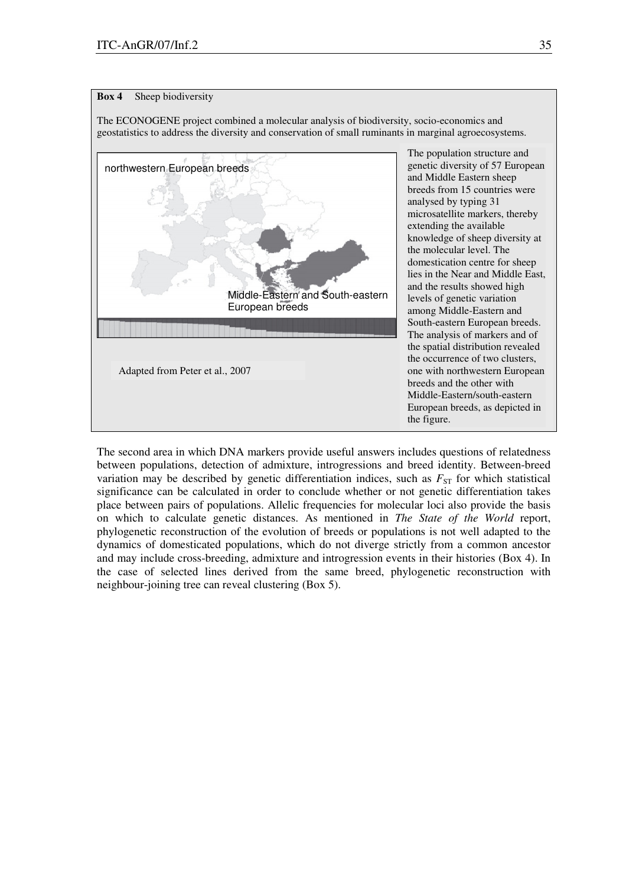#### **Box 4** Sheep biodiversity



The ECONOGENE project combined a molecular analysis of biodiversity, socio-economics and geostatistics to address the diversity and conservation of small ruminants in marginal agroecosystems.

The second area in which DNA markers provide useful answers includes questions of relatedness between populations, detection of admixture, introgressions and breed identity. Between-breed variation may be described by genetic differentiation indices, such as  $F_{ST}$  for which statistical significance can be calculated in order to conclude whether or not genetic differentiation takes place between pairs of populations. Allelic frequencies for molecular loci also provide the basis on which to calculate genetic distances. As mentioned in *The State of the World* report, phylogenetic reconstruction of the evolution of breeds or populations is not well adapted to the dynamics of domesticated populations, which do not diverge strictly from a common ancestor and may include cross-breeding, admixture and introgression events in their histories (Box 4). In the case of selected lines derived from the same breed, phylogenetic reconstruction with neighbour-joining tree can reveal clustering (Box 5).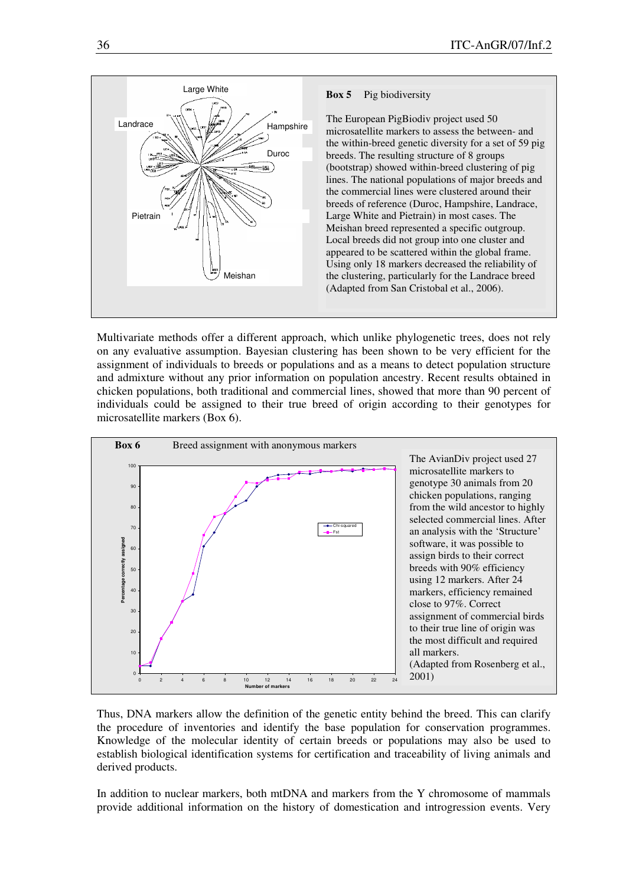

#### **Box 5** Pig biodiversity

The European PigBiodiv project used 50 microsatellite markers to assess the between- and the within-breed genetic diversity for a set of 59 pig breeds. The resulting structure of 8 groups (bootstrap) showed within-breed clustering of pig lines. The national populations of major breeds and the commercial lines were clustered around their breeds of reference (Duroc, Hampshire, Landrace, Large White and Pietrain) in most cases. The Meishan breed represented a specific outgroup. Local breeds did not group into one cluster and appeared to be scattered within the global frame. Using only 18 markers decreased the reliability of the clustering, particularly for the Landrace breed (Adapted from San Cristobal et al., 2006).

Multivariate methods offer a different approach, which unlike phylogenetic trees, does not rely on any evaluative assumption. Bayesian clustering has been shown to be very efficient for the assignment of individuals to breeds or populations and as a means to detect population structure and admixture without any prior information on population ancestry. Recent results obtained in chicken populations, both traditional and commercial lines, showed that more than 90 percent of individuals could be assigned to their true breed of origin according to their genotypes for microsatellite markers (Box 6).



Thus, DNA markers allow the definition of the genetic entity behind the breed. This can clarify the procedure of inventories and identify the base population for conservation programmes. Knowledge of the molecular identity of certain breeds or populations may also be used to establish biological identification systems for certification and traceability of living animals and derived products.

In addition to nuclear markers, both mtDNA and markers from the Y chromosome of mammals provide additional information on the history of domestication and introgression events. Very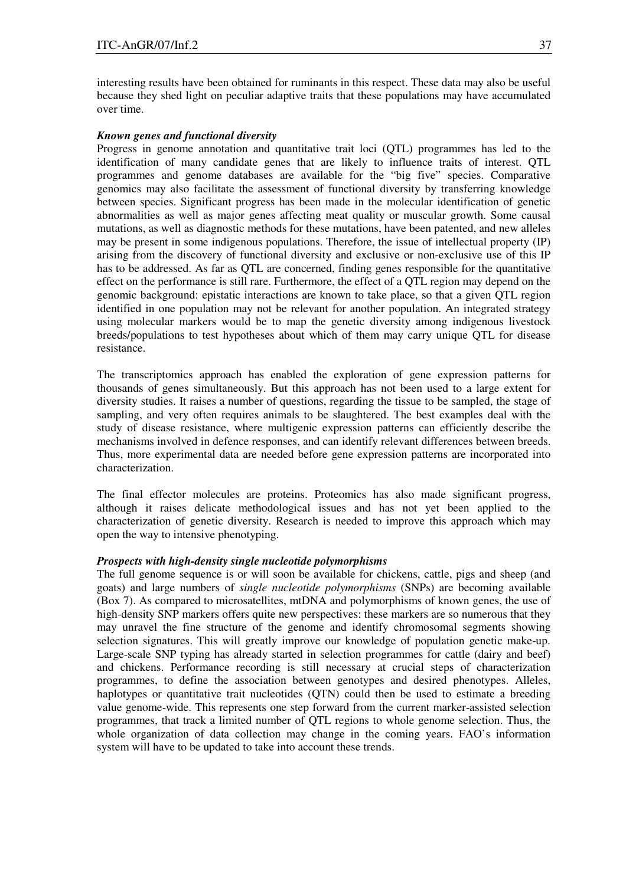interesting results have been obtained for ruminants in this respect. These data may also be useful because they shed light on peculiar adaptive traits that these populations may have accumulated over time.

### *Known genes and functional diversity*

Progress in genome annotation and quantitative trait loci (QTL) programmes has led to the identification of many candidate genes that are likely to influence traits of interest. QTL programmes and genome databases are available for the "big five" species. Comparative genomics may also facilitate the assessment of functional diversity by transferring knowledge between species. Significant progress has been made in the molecular identification of genetic abnormalities as well as major genes affecting meat quality or muscular growth. Some causal mutations, as well as diagnostic methods for these mutations, have been patented, and new alleles may be present in some indigenous populations. Therefore, the issue of intellectual property (IP) arising from the discovery of functional diversity and exclusive or non-exclusive use of this IP has to be addressed. As far as QTL are concerned, finding genes responsible for the quantitative effect on the performance is still rare. Furthermore, the effect of a QTL region may depend on the genomic background: epistatic interactions are known to take place, so that a given QTL region identified in one population may not be relevant for another population. An integrated strategy using molecular markers would be to map the genetic diversity among indigenous livestock breeds/populations to test hypotheses about which of them may carry unique QTL for disease resistance.

The transcriptomics approach has enabled the exploration of gene expression patterns for thousands of genes simultaneously. But this approach has not been used to a large extent for diversity studies. It raises a number of questions, regarding the tissue to be sampled, the stage of sampling, and very often requires animals to be slaughtered. The best examples deal with the study of disease resistance, where multigenic expression patterns can efficiently describe the mechanisms involved in defence responses, and can identify relevant differences between breeds. Thus, more experimental data are needed before gene expression patterns are incorporated into characterization.

The final effector molecules are proteins. Proteomics has also made significant progress, although it raises delicate methodological issues and has not yet been applied to the characterization of genetic diversity. Research is needed to improve this approach which may open the way to intensive phenotyping.

#### *Prospects with high-density single nucleotide polymorphisms*

The full genome sequence is or will soon be available for chickens, cattle, pigs and sheep (and goats) and large numbers of *single nucleotide polymorphisms* (SNPs) are becoming available (Box 7). As compared to microsatellites, mtDNA and polymorphisms of known genes, the use of high-density SNP markers offers quite new perspectives: these markers are so numerous that they may unravel the fine structure of the genome and identify chromosomal segments showing selection signatures. This will greatly improve our knowledge of population genetic make-up. Large-scale SNP typing has already started in selection programmes for cattle (dairy and beef) and chickens. Performance recording is still necessary at crucial steps of characterization programmes, to define the association between genotypes and desired phenotypes. Alleles, haplotypes or quantitative trait nucleotides (QTN) could then be used to estimate a breeding value genome-wide. This represents one step forward from the current marker-assisted selection programmes, that track a limited number of QTL regions to whole genome selection. Thus, the whole organization of data collection may change in the coming years. FAO's information system will have to be updated to take into account these trends.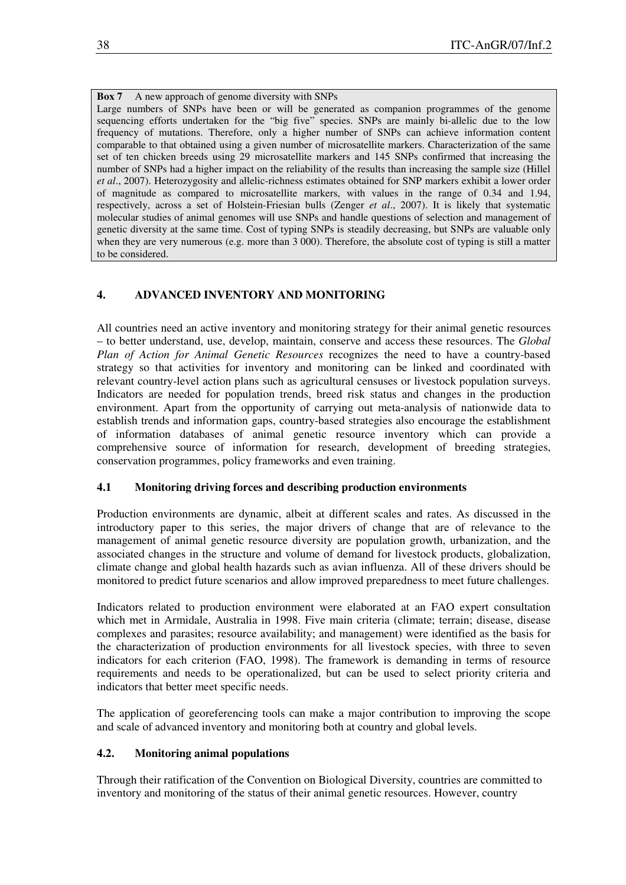**Box 7** A new approach of genome diversity with SNPs Large numbers of SNPs have been or will be generated as companion programmes of the genome sequencing efforts undertaken for the "big five" species. SNPs are mainly bi-allelic due to the low frequency of mutations. Therefore, only a higher number of SNPs can achieve information content comparable to that obtained using a given number of microsatellite markers. Characterization of the same set of ten chicken breeds using 29 microsatellite markers and 145 SNPs confirmed that increasing the number of SNPs had a higher impact on the reliability of the results than increasing the sample size (Hillel *et al*., 2007). Heterozygosity and allelic-richness estimates obtained for SNP markers exhibit a lower order of magnitude as compared to microsatellite markers, with values in the range of 0.34 and 1.94, respectively, across a set of Holstein-Friesian bulls (Zenger *et al*., 2007). It is likely that systematic molecular studies of animal genomes will use SNPs and handle questions of selection and management of genetic diversity at the same time. Cost of typing SNPs is steadily decreasing, but SNPs are valuable only when they are very numerous (e.g. more than 3 000). Therefore, the absolute cost of typing is still a matter to be considered.

# **4. ADVANCED INVENTORY AND MONITORING**

All countries need an active inventory and monitoring strategy for their animal genetic resources – to better understand, use, develop, maintain, conserve and access these resources. The *Global Plan of Action for Animal Genetic Resources* recognizes the need to have a country-based strategy so that activities for inventory and monitoring can be linked and coordinated with relevant country-level action plans such as agricultural censuses or livestock population surveys. Indicators are needed for population trends, breed risk status and changes in the production environment. Apart from the opportunity of carrying out meta-analysis of nationwide data to establish trends and information gaps, country-based strategies also encourage the establishment of information databases of animal genetic resource inventory which can provide a comprehensive source of information for research, development of breeding strategies, conservation programmes, policy frameworks and even training.

## **4.1 Monitoring driving forces and describing production environments**

Production environments are dynamic, albeit at different scales and rates. As discussed in the introductory paper to this series, the major drivers of change that are of relevance to the management of animal genetic resource diversity are population growth, urbanization, and the associated changes in the structure and volume of demand for livestock products, globalization, climate change and global health hazards such as avian influenza. All of these drivers should be monitored to predict future scenarios and allow improved preparedness to meet future challenges.

Indicators related to production environment were elaborated at an FAO expert consultation which met in Armidale, Australia in 1998. Five main criteria (climate; terrain; disease, disease complexes and parasites; resource availability; and management) were identified as the basis for the characterization of production environments for all livestock species, with three to seven indicators for each criterion (FAO, 1998). The framework is demanding in terms of resource requirements and needs to be operationalized, but can be used to select priority criteria and indicators that better meet specific needs.

The application of georeferencing tools can make a major contribution to improving the scope and scale of advanced inventory and monitoring both at country and global levels.

# **4.2. Monitoring animal populations**

Through their ratification of the Convention on Biological Diversity, countries are committed to inventory and monitoring of the status of their animal genetic resources. However, country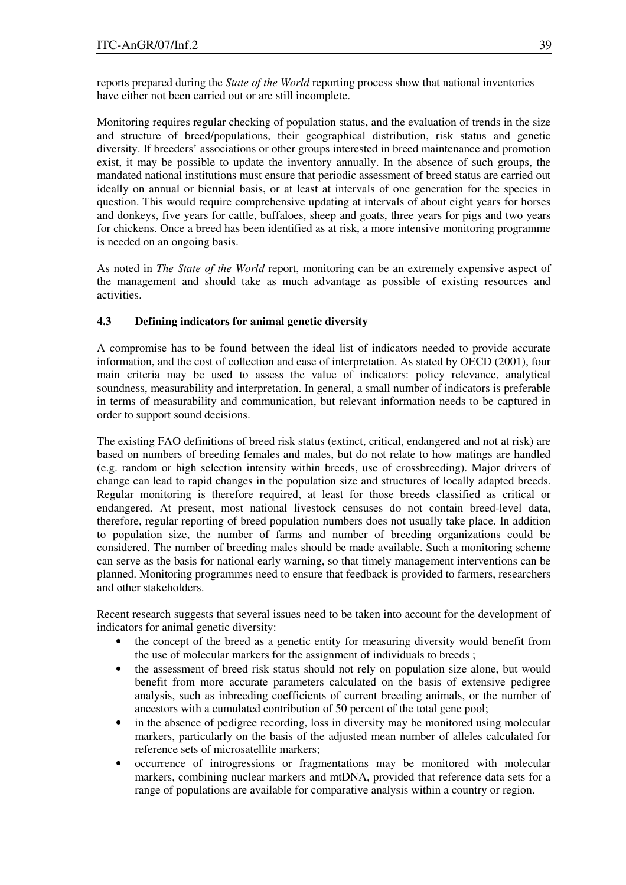reports prepared during the *State of the World* reporting process show that national inventories have either not been carried out or are still incomplete.

Monitoring requires regular checking of population status, and the evaluation of trends in the size and structure of breed/populations, their geographical distribution, risk status and genetic diversity. If breeders' associations or other groups interested in breed maintenance and promotion exist, it may be possible to update the inventory annually. In the absence of such groups, the mandated national institutions must ensure that periodic assessment of breed status are carried out ideally on annual or biennial basis, or at least at intervals of one generation for the species in question. This would require comprehensive updating at intervals of about eight years for horses and donkeys, five years for cattle, buffaloes, sheep and goats, three years for pigs and two years for chickens. Once a breed has been identified as at risk, a more intensive monitoring programme is needed on an ongoing basis.

As noted in *The State of the World* report, monitoring can be an extremely expensive aspect of the management and should take as much advantage as possible of existing resources and activities.

# **4.3 Defining indicators for animal genetic diversity**

A compromise has to be found between the ideal list of indicators needed to provide accurate information, and the cost of collection and ease of interpretation. As stated by OECD (2001), four main criteria may be used to assess the value of indicators: policy relevance, analytical soundness, measurability and interpretation. In general, a small number of indicators is preferable in terms of measurability and communication, but relevant information needs to be captured in order to support sound decisions.

The existing FAO definitions of breed risk status (extinct, critical, endangered and not at risk) are based on numbers of breeding females and males, but do not relate to how matings are handled (e.g. random or high selection intensity within breeds, use of crossbreeding). Major drivers of change can lead to rapid changes in the population size and structures of locally adapted breeds. Regular monitoring is therefore required, at least for those breeds classified as critical or endangered. At present, most national livestock censuses do not contain breed-level data, therefore, regular reporting of breed population numbers does not usually take place. In addition to population size, the number of farms and number of breeding organizations could be considered. The number of breeding males should be made available. Such a monitoring scheme can serve as the basis for national early warning, so that timely management interventions can be planned. Monitoring programmes need to ensure that feedback is provided to farmers, researchers and other stakeholders.

Recent research suggests that several issues need to be taken into account for the development of indicators for animal genetic diversity:

- the concept of the breed as a genetic entity for measuring diversity would benefit from the use of molecular markers for the assignment of individuals to breeds ;
- the assessment of breed risk status should not rely on population size alone, but would benefit from more accurate parameters calculated on the basis of extensive pedigree analysis, such as inbreeding coefficients of current breeding animals, or the number of ancestors with a cumulated contribution of 50 percent of the total gene pool;
- in the absence of pedigree recording, loss in diversity may be monitored using molecular markers, particularly on the basis of the adjusted mean number of alleles calculated for reference sets of microsatellite markers;
- occurrence of introgressions or fragmentations may be monitored with molecular markers, combining nuclear markers and mtDNA, provided that reference data sets for a range of populations are available for comparative analysis within a country or region.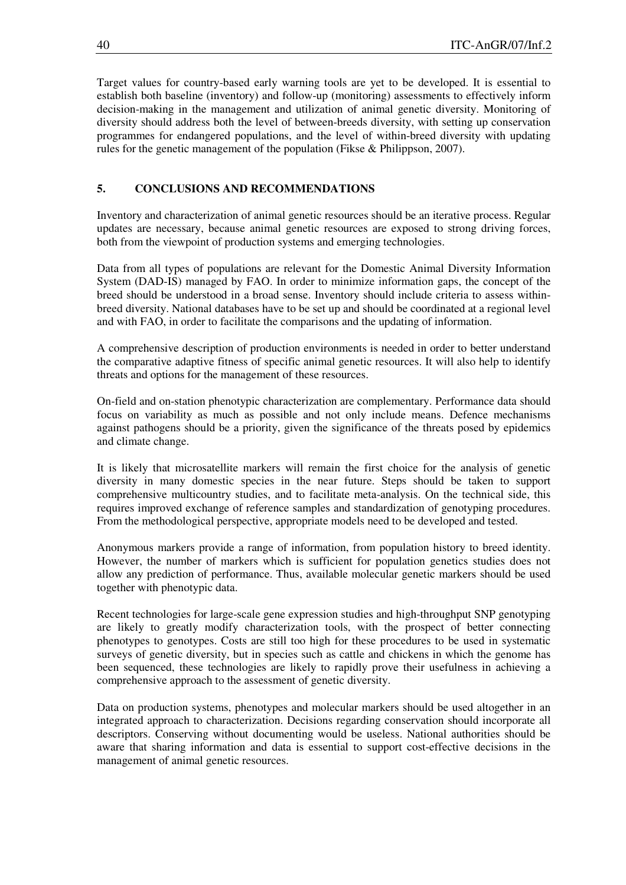Target values for country-based early warning tools are yet to be developed. It is essential to establish both baseline (inventory) and follow-up (monitoring) assessments to effectively inform decision-making in the management and utilization of animal genetic diversity. Monitoring of diversity should address both the level of between-breeds diversity, with setting up conservation programmes for endangered populations, and the level of within-breed diversity with updating rules for the genetic management of the population (Fikse & Philippson, 2007).

# **5. CONCLUSIONS AND RECOMMENDATIONS**

Inventory and characterization of animal genetic resources should be an iterative process. Regular updates are necessary, because animal genetic resources are exposed to strong driving forces, both from the viewpoint of production systems and emerging technologies.

Data from all types of populations are relevant for the Domestic Animal Diversity Information System (DAD-IS) managed by FAO. In order to minimize information gaps, the concept of the breed should be understood in a broad sense. Inventory should include criteria to assess withinbreed diversity. National databases have to be set up and should be coordinated at a regional level and with FAO, in order to facilitate the comparisons and the updating of information.

A comprehensive description of production environments is needed in order to better understand the comparative adaptive fitness of specific animal genetic resources. It will also help to identify threats and options for the management of these resources.

On-field and on-station phenotypic characterization are complementary. Performance data should focus on variability as much as possible and not only include means. Defence mechanisms against pathogens should be a priority, given the significance of the threats posed by epidemics and climate change.

It is likely that microsatellite markers will remain the first choice for the analysis of genetic diversity in many domestic species in the near future. Steps should be taken to support comprehensive multicountry studies, and to facilitate meta-analysis. On the technical side, this requires improved exchange of reference samples and standardization of genotyping procedures. From the methodological perspective, appropriate models need to be developed and tested.

Anonymous markers provide a range of information, from population history to breed identity. However, the number of markers which is sufficient for population genetics studies does not allow any prediction of performance. Thus, available molecular genetic markers should be used together with phenotypic data.

Recent technologies for large-scale gene expression studies and high-throughput SNP genotyping are likely to greatly modify characterization tools, with the prospect of better connecting phenotypes to genotypes. Costs are still too high for these procedures to be used in systematic surveys of genetic diversity, but in species such as cattle and chickens in which the genome has been sequenced, these technologies are likely to rapidly prove their usefulness in achieving a comprehensive approach to the assessment of genetic diversity.

Data on production systems, phenotypes and molecular markers should be used altogether in an integrated approach to characterization. Decisions regarding conservation should incorporate all descriptors. Conserving without documenting would be useless. National authorities should be aware that sharing information and data is essential to support cost-effective decisions in the management of animal genetic resources.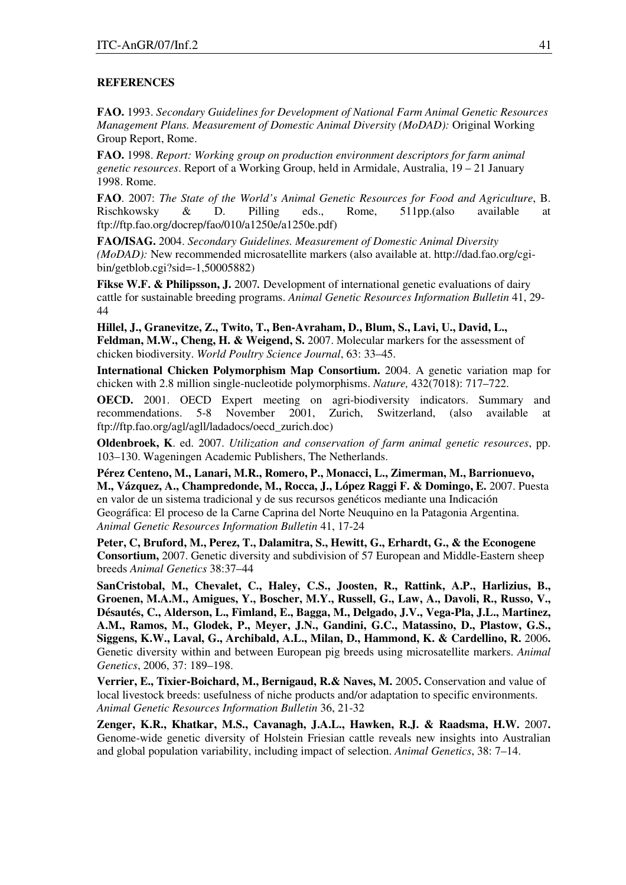#### **REFERENCES**

**FAO.** 1993. *Secondary Guidelines for Development of National Farm Animal Genetic Resources Management Plans. Measurement of Domestic Animal Diversity (MoDAD):* Original Working Group Report, Rome.

**FAO.** 1998. *Report: Working group on production environment descriptors for farm animal genetic resources*. Report of a Working Group, held in Armidale, Australia, 19 – 21 January 1998. Rome.

**FAO**. 2007: *The State of the World's Animal Genetic Resources for Food and Agriculture*, B. Rischkowsky & D. Pilling eds., Rome, 511pp.(also available at ftp://ftp.fao.org/docrep/fao/010/a1250e/a1250e.pdf)

**FAO/ISAG.** 2004. *Secondary Guidelines. Measurement of Domestic Animal Diversity (MoDAD):* New recommended microsatellite markers (also available at. http://dad.fao.org/cgibin/getblob.cgi?sid=-1,50005882)

**Fikse W.F. & Philipsson, J.** 2007. Development of international genetic evaluations of dairy cattle for sustainable breeding programs. *Animal Genetic Resources Information Bulletin* 41, 29- 44

**Hillel, J., Granevitze, Z., Twito, T., Ben-Avraham, D., Blum, S., Lavi, U., David, L.,**  Feldman, M.W., Cheng, H. & Weigend, S. 2007. Molecular markers for the assessment of chicken biodiversity. *World Poultry Science Journal*, 63: 33–45.

**International Chicken Polymorphism Map Consortium.** 2004. A genetic variation map for chicken with 2.8 million single-nucleotide polymorphisms. *Nature,* 432(7018): 717–722.

**OECD.** 2001. OECD Expert meeting on agri-biodiversity indicators. Summary and recommendations. 5-8 November 2001, Zurich, Switzerland, (also available at ftp://ftp.fao.org/agl/agll/ladadocs/oecd\_zurich.doc)

**Oldenbroek, K**. ed. 2007. *Utilization and conservation of farm animal genetic resources*, pp. 103–130. Wageningen Academic Publishers, The Netherlands.

**Pérez Centeno, M., Lanari, M.R., Romero, P., Monacci, L., Zimerman, M., Barrionuevo, M., Vázquez, A., Champredonde, M., Rocca, J., López Raggi F. & Domingo, E.** 2007. Puesta en valor de un sistema tradicional y de sus recursos genéticos mediante una Indicación Geográfica: El proceso de la Carne Caprina del Norte Neuquino en la Patagonia Argentina. *Animal Genetic Resources Information Bulletin* 41, 17-24

**Peter, C, Bruford, M., Perez, T., Dalamitra, S., Hewitt, G., Erhardt, G., & the Econogene Consortium,** 2007. Genetic diversity and subdivision of 57 European and Middle-Eastern sheep breeds *Animal Genetics* 38:37–44

**SanCristobal, M., Chevalet, C., Haley, C.S., Joosten, R., Rattink, A.P., Harlizius, B., Groenen, M.A.M., Amigues, Y., Boscher, M.Y., Russell, G., Law, A., Davoli, R., Russo, V., Désautés, C., Alderson, L., Fimland, E., Bagga, M., Delgado, J.V., Vega-Pla, J.L., Martinez, A.M., Ramos, M., Glodek, P., Meyer, J.N., Gandini, G.C., Matassino, D., Plastow, G.S., Siggens, K.W., Laval, G., Archibald, A.L., Milan, D., Hammond, K. & Cardellino, R.** 2006**.** Genetic diversity within and between European pig breeds using microsatellite markers. *Animal Genetics*, 2006, 37: 189–198.

**Verrier, E., Tixier-Boichard, M., Bernigaud, R.& Naves, M.** 2005**.** Conservation and value of local livestock breeds: usefulness of niche products and/or adaptation to specific environments. *Animal Genetic Resources Information Bulletin* 36, 21-32

**Zenger, K.R., Khatkar, M.S., Cavanagh, J.A.L., Hawken, R.J. & Raadsma, H.W.** 2007**.**  Genome-wide genetic diversity of Holstein Friesian cattle reveals new insights into Australian and global population variability, including impact of selection. *Animal Genetics*, 38: 7–14.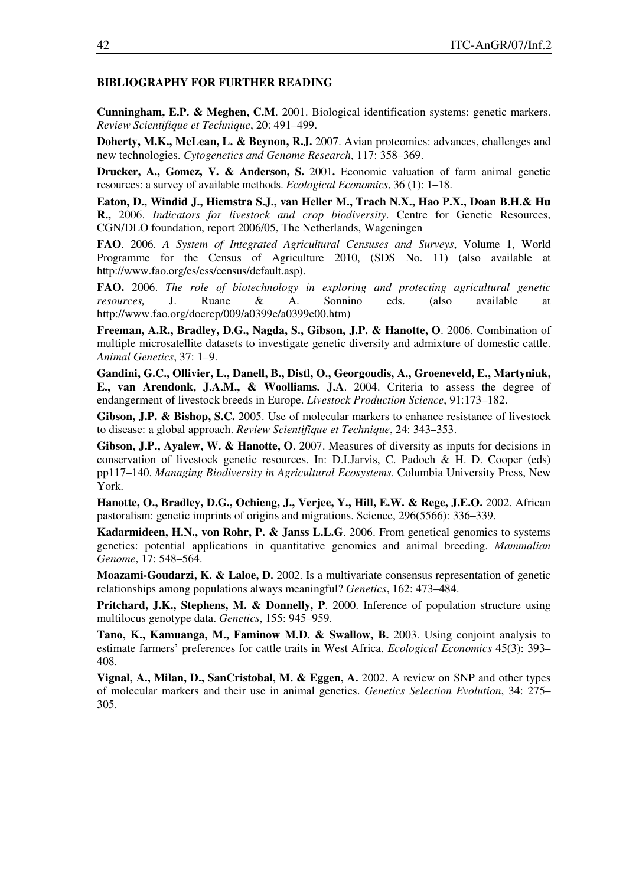#### **BIBLIOGRAPHY FOR FURTHER READING**

**Cunningham, E.P. & Meghen, C.M**. 2001. Biological identification systems: genetic markers. *Review Scientifique et Technique*, 20: 491–499.

**Doherty, M.K., McLean, L. & Beynon, R.J.** 2007. Avian proteomics: advances, challenges and new technologies. *Cytogenetics and Genome Research*, 117: 358–369.

**Drucker, A., Gomez, V. & Anderson, S.** 2001**.** Economic valuation of farm animal genetic resources: a survey of available methods. *Ecological Economics*, 36 (1): 1–18.

**Eaton, D., Windid J., Hiemstra S.J., van Heller M., Trach N.X., Hao P.X., Doan B.H.& Hu R.,** 2006. *Indicators for livestock and crop biodiversity*. Centre for Genetic Resources, CGN/DLO foundation, report 2006/05, The Netherlands, Wageningen

**FAO**. 2006. *A System of Integrated Agricultural Censuses and Surveys*, Volume 1, World Programme for the Census of Agriculture 2010, (SDS No. 11) (also available at http://www.fao.org/es/ess/census/default.asp).

**FAO.** 2006. *The role of biotechnology in exploring and protecting agricultural genetic resources,* J. Ruane & A. Sonnino eds. (also available at http://www.fao.org/docrep/009/a0399e/a0399e00.htm)

**Freeman, A.R., Bradley, D.G., Nagda, S., Gibson, J.P. & Hanotte, O**. 2006. Combination of multiple microsatellite datasets to investigate genetic diversity and admixture of domestic cattle. *Animal Genetics*, 37: 1–9.

**Gandini, G.C., Ollivier, L., Danell, B., Distl, O., Georgoudis, A., Groeneveld, E., Martyniuk, E., van Arendonk, J.A.M., & Woolliams. J.A**. 2004. Criteria to assess the degree of endangerment of livestock breeds in Europe. *Livestock Production Science*, 91:173–182.

**Gibson, J.P. & Bishop, S.C.** 2005. Use of molecular markers to enhance resistance of livestock to disease: a global approach. *Review Scientifique et Technique*, 24: 343–353.

**Gibson, J.P., Ayalew, W. & Hanotte, O**. 2007. Measures of diversity as inputs for decisions in conservation of livestock genetic resources. In: D.I.Jarvis, C. Padoch & H. D. Cooper (eds) pp117–140. *Managing Biodiversity in Agricultural Ecosystems*. Columbia University Press, New York.

**Hanotte, O., Bradley, D.G., Ochieng, J., Verjee, Y., Hill, E.W. & Rege, J.E.O.** 2002. African pastoralism: genetic imprints of origins and migrations. Science, 296(5566): 336–339.

**Kadarmideen, H.N., von Rohr, P. & Janss L.L.G**. 2006. From genetical genomics to systems genetics: potential applications in quantitative genomics and animal breeding. *Mammalian Genome*, 17: 548–564.

**Moazami-Goudarzi, K. & Laloe, D.** 2002. Is a multivariate consensus representation of genetic relationships among populations always meaningful? *Genetics*, 162: 473–484.

**Pritchard, J.K., Stephens, M. & Donnelly, P**. 2000. Inference of population structure using multilocus genotype data. *Genetics*, 155: 945–959.

**Tano, K., Kamuanga, M., Faminow M.D. & Swallow, B.** 2003. Using conjoint analysis to estimate farmers' preferences for cattle traits in West Africa. *Ecological Economics* 45(3): 393– 408.

**Vignal, A., Milan, D., SanCristobal, M. & Eggen, A.** 2002. A review on SNP and other types of molecular markers and their use in animal genetics. *Genetics Selection Evolution*, 34: 275– 305.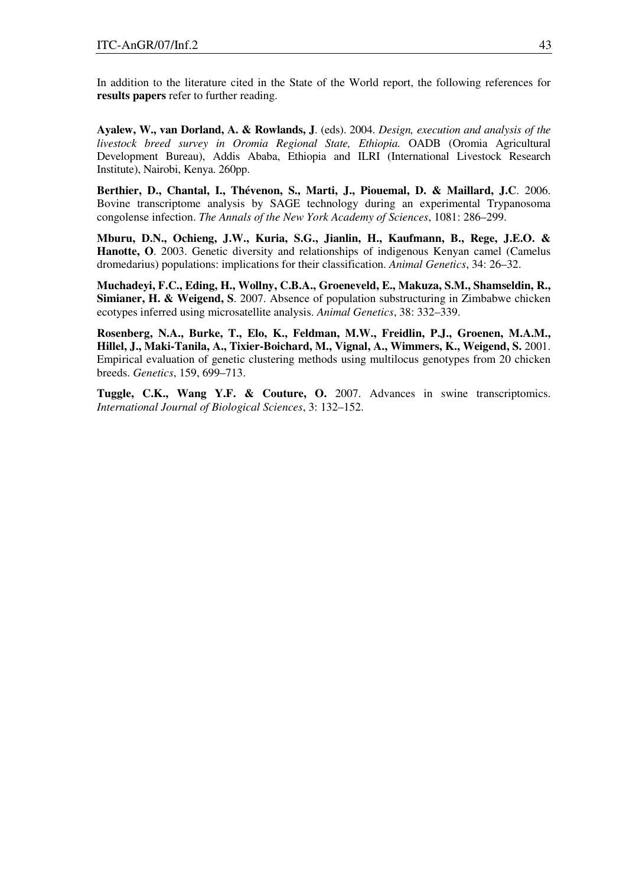In addition to the literature cited in the State of the World report, the following references for **results papers** refer to further reading.

**Ayalew, W., van Dorland, A. & Rowlands, J**. (eds). 2004. *Design, execution and analysis of the livestock breed survey in Oromia Regional State, Ethiopia.* OADB (Oromia Agricultural Development Bureau), Addis Ababa, Ethiopia and ILRI (International Livestock Research Institute), Nairobi, Kenya. 260pp.

**Berthier, D., Chantal, I., Thévenon, S., Marti, J., Piouemal, D. & Maillard, J.C**. 2006. Bovine transcriptome analysis by SAGE technology during an experimental Trypanosoma congolense infection. *The Annals of the New York Academy of Sciences*, 1081: 286–299.

**Mburu, D.N., Ochieng, J.W., Kuria, S.G., Jianlin, H., Kaufmann, B., Rege, J.E.O. & Hanotte, O**. 2003. Genetic diversity and relationships of indigenous Kenyan camel (Camelus dromedarius) populations: implications for their classification. *Animal Genetics*, 34: 26–32.

**Muchadeyi, F.C., Eding, H., Wollny, C.B.A., Groeneveld, E., Makuza, S.M., Shamseldin, R., Simianer, H. & Weigend, S**. 2007. Absence of population substructuring in Zimbabwe chicken ecotypes inferred using microsatellite analysis. *Animal Genetics*, 38: 332–339.

**Rosenberg, N.A., Burke, T., Elo, K., Feldman, M.W., Freidlin, P.J., Groenen, M.A.M., Hillel, J., Maki-Tanila, A., Tixier-Boichard, M., Vignal, A., Wimmers, K., Weigend, S.** 2001. Empirical evaluation of genetic clustering methods using multilocus genotypes from 20 chicken breeds. *Genetics*, 159, 699–713.

**Tuggle, C.K., Wang Y.F. & Couture, O.** 2007. Advances in swine transcriptomics. *International Journal of Biological Sciences*, 3: 132–152.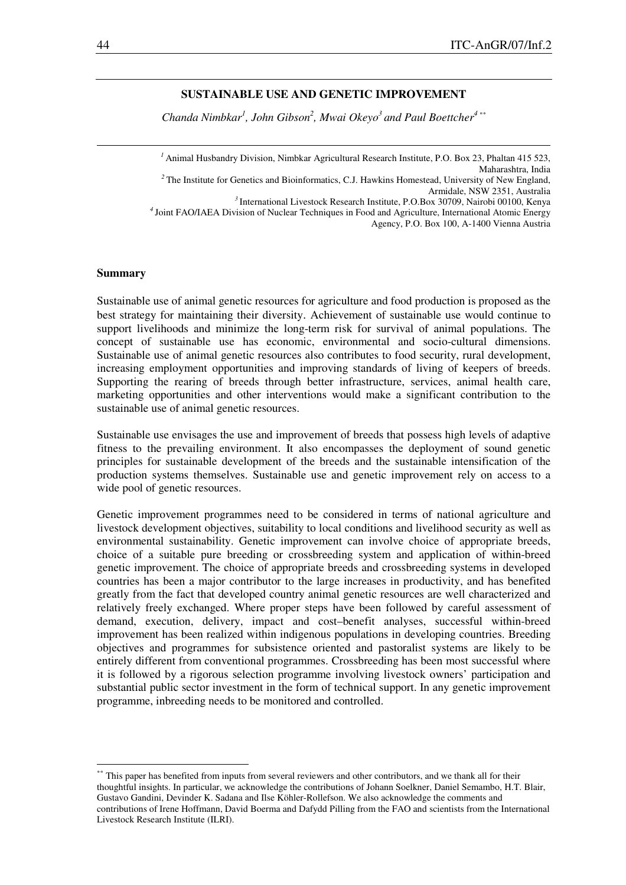#### **SUSTAINABLE USE AND GENETIC IMPROVEMENT**

*Chanda Nimbkar<sup>1</sup> , John Gibson<sup>2</sup> , Mwai Okeyo<sup>3</sup>and Paul Boettcher<sup>4</sup>\*\** 

*<sup>1</sup>*Animal Husbandry Division, Nimbkar Agricultural Research Institute, P.O. Box 23, Phaltan 415 523, Maharashtra, India *<sup>2</sup>*The Institute for Genetics and Bioinformatics, C.J. Hawkins Homestead, University of New England, Armidale, NSW 2351, Australia *<sup>3</sup>*International Livestock Research Institute, P.O.Box 30709, Nairobi 00100, Kenya *<sup>4</sup>*Joint FAO/IAEA Division of Nuclear Techniques in Food and Agriculture, International Atomic Energy Agency, P.O. Box 100, A-1400 Vienna Austria

#### **Summary**

 $\overline{a}$ 

Sustainable use of animal genetic resources for agriculture and food production is proposed as the best strategy for maintaining their diversity. Achievement of sustainable use would continue to support livelihoods and minimize the long-term risk for survival of animal populations. The concept of sustainable use has economic, environmental and socio-cultural dimensions. Sustainable use of animal genetic resources also contributes to food security, rural development, increasing employment opportunities and improving standards of living of keepers of breeds. Supporting the rearing of breeds through better infrastructure, services, animal health care, marketing opportunities and other interventions would make a significant contribution to the sustainable use of animal genetic resources.

Sustainable use envisages the use and improvement of breeds that possess high levels of adaptive fitness to the prevailing environment. It also encompasses the deployment of sound genetic principles for sustainable development of the breeds and the sustainable intensification of the production systems themselves. Sustainable use and genetic improvement rely on access to a wide pool of genetic resources.

Genetic improvement programmes need to be considered in terms of national agriculture and livestock development objectives, suitability to local conditions and livelihood security as well as environmental sustainability. Genetic improvement can involve choice of appropriate breeds, choice of a suitable pure breeding or crossbreeding system and application of within-breed genetic improvement. The choice of appropriate breeds and crossbreeding systems in developed countries has been a major contributor to the large increases in productivity, and has benefited greatly from the fact that developed country animal genetic resources are well characterized and relatively freely exchanged. Where proper steps have been followed by careful assessment of demand, execution, delivery, impact and cost–benefit analyses, successful within-breed improvement has been realized within indigenous populations in developing countries. Breeding objectives and programmes for subsistence oriented and pastoralist systems are likely to be entirely different from conventional programmes. Crossbreeding has been most successful where it is followed by a rigorous selection programme involving livestock owners' participation and substantial public sector investment in the form of technical support. In any genetic improvement programme, inbreeding needs to be monitored and controlled.

This paper has benefited from inputs from several reviewers and other contributors, and we thank all for their thoughtful insights. In particular, we acknowledge the contributions of Johann Soelkner, Daniel Semambo, H.T. Blair, Gustavo Gandini, Devinder K. Sadana and Ilse Köhler-Rollefson. We also acknowledge the comments and contributions of Irene Hoffmann, David Boerma and Dafydd Pilling from the FAO and scientists from the International Livestock Research Institute (ILRI).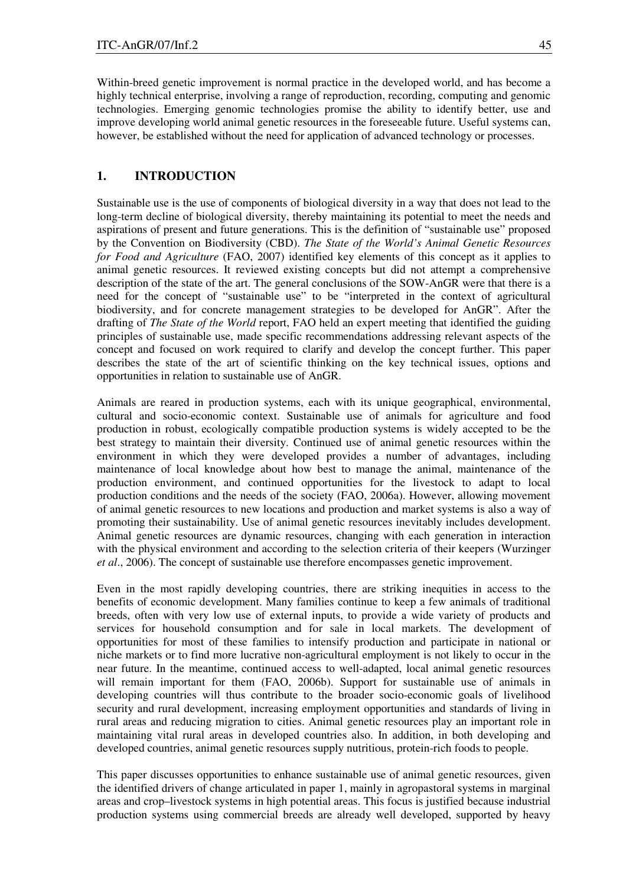Within-breed genetic improvement is normal practice in the developed world, and has become a highly technical enterprise, involving a range of reproduction, recording, computing and genomic technologies. Emerging genomic technologies promise the ability to identify better, use and improve developing world animal genetic resources in the foreseeable future. Useful systems can, however, be established without the need for application of advanced technology or processes.

# **1. INTRODUCTION**

Sustainable use is the use of components of biological diversity in a way that does not lead to the long-term decline of biological diversity, thereby maintaining its potential to meet the needs and aspirations of present and future generations. This is the definition of "sustainable use" proposed by the Convention on Biodiversity (CBD). *The State of the World's Animal Genetic Resources for Food and Agriculture* (FAO, 2007) identified key elements of this concept as it applies to animal genetic resources. It reviewed existing concepts but did not attempt a comprehensive description of the state of the art. The general conclusions of the SOW-AnGR were that there is a need for the concept of "sustainable use" to be "interpreted in the context of agricultural biodiversity, and for concrete management strategies to be developed for AnGR". After the drafting of *The State of the World* report, FAO held an expert meeting that identified the guiding principles of sustainable use, made specific recommendations addressing relevant aspects of the concept and focused on work required to clarify and develop the concept further. This paper describes the state of the art of scientific thinking on the key technical issues, options and opportunities in relation to sustainable use of AnGR.

Animals are reared in production systems, each with its unique geographical, environmental, cultural and socio-economic context. Sustainable use of animals for agriculture and food production in robust, ecologically compatible production systems is widely accepted to be the best strategy to maintain their diversity. Continued use of animal genetic resources within the environment in which they were developed provides a number of advantages, including maintenance of local knowledge about how best to manage the animal, maintenance of the production environment, and continued opportunities for the livestock to adapt to local production conditions and the needs of the society (FAO, 2006a). However, allowing movement of animal genetic resources to new locations and production and market systems is also a way of promoting their sustainability. Use of animal genetic resources inevitably includes development. Animal genetic resources are dynamic resources, changing with each generation in interaction with the physical environment and according to the selection criteria of their keepers (Wurzinger *et al*., 2006). The concept of sustainable use therefore encompasses genetic improvement.

Even in the most rapidly developing countries, there are striking inequities in access to the benefits of economic development. Many families continue to keep a few animals of traditional breeds, often with very low use of external inputs, to provide a wide variety of products and services for household consumption and for sale in local markets. The development of opportunities for most of these families to intensify production and participate in national or niche markets or to find more lucrative non-agricultural employment is not likely to occur in the near future. In the meantime, continued access to well-adapted, local animal genetic resources will remain important for them (FAO, 2006b). Support for sustainable use of animals in developing countries will thus contribute to the broader socio-economic goals of livelihood security and rural development, increasing employment opportunities and standards of living in rural areas and reducing migration to cities. Animal genetic resources play an important role in maintaining vital rural areas in developed countries also. In addition, in both developing and developed countries, animal genetic resources supply nutritious, protein-rich foods to people.

This paper discusses opportunities to enhance sustainable use of animal genetic resources, given the identified drivers of change articulated in paper 1, mainly in agropastoral systems in marginal areas and crop–livestock systems in high potential areas. This focus is justified because industrial production systems using commercial breeds are already well developed, supported by heavy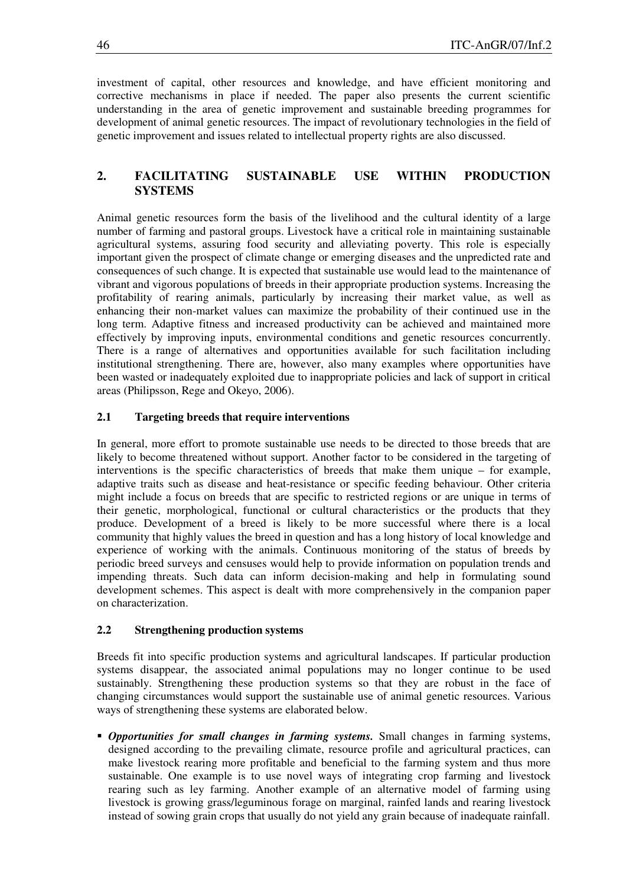investment of capital, other resources and knowledge, and have efficient monitoring and corrective mechanisms in place if needed. The paper also presents the current scientific understanding in the area of genetic improvement and sustainable breeding programmes for development of animal genetic resources. The impact of revolutionary technologies in the field of genetic improvement and issues related to intellectual property rights are also discussed.

# **2. FACILITATING SUSTAINABLE USE WITHIN PRODUCTION SYSTEMS**

Animal genetic resources form the basis of the livelihood and the cultural identity of a large number of farming and pastoral groups. Livestock have a critical role in maintaining sustainable agricultural systems, assuring food security and alleviating poverty. This role is especially important given the prospect of climate change or emerging diseases and the unpredicted rate and consequences of such change. It is expected that sustainable use would lead to the maintenance of vibrant and vigorous populations of breeds in their appropriate production systems. Increasing the profitability of rearing animals, particularly by increasing their market value, as well as enhancing their non-market values can maximize the probability of their continued use in the long term. Adaptive fitness and increased productivity can be achieved and maintained more effectively by improving inputs, environmental conditions and genetic resources concurrently. There is a range of alternatives and opportunities available for such facilitation including institutional strengthening. There are, however, also many examples where opportunities have been wasted or inadequately exploited due to inappropriate policies and lack of support in critical areas (Philipsson, Rege and Okeyo, 2006).

# **2.1 Targeting breeds that require interventions**

In general, more effort to promote sustainable use needs to be directed to those breeds that are likely to become threatened without support. Another factor to be considered in the targeting of interventions is the specific characteristics of breeds that make them unique – for example, adaptive traits such as disease and heat-resistance or specific feeding behaviour. Other criteria might include a focus on breeds that are specific to restricted regions or are unique in terms of their genetic, morphological, functional or cultural characteristics or the products that they produce. Development of a breed is likely to be more successful where there is a local community that highly values the breed in question and has a long history of local knowledge and experience of working with the animals. Continuous monitoring of the status of breeds by periodic breed surveys and censuses would help to provide information on population trends and impending threats. Such data can inform decision-making and help in formulating sound development schemes. This aspect is dealt with more comprehensively in the companion paper on characterization.

## **2.2 Strengthening production systems**

Breeds fit into specific production systems and agricultural landscapes. If particular production systems disappear, the associated animal populations may no longer continue to be used sustainably. Strengthening these production systems so that they are robust in the face of changing circumstances would support the sustainable use of animal genetic resources. Various ways of strengthening these systems are elaborated below.

 *Opportunities for small changes in farming systems.* Small changes in farming systems, designed according to the prevailing climate, resource profile and agricultural practices, can make livestock rearing more profitable and beneficial to the farming system and thus more sustainable. One example is to use novel ways of integrating crop farming and livestock rearing such as ley farming. Another example of an alternative model of farming using livestock is growing grass/leguminous forage on marginal, rainfed lands and rearing livestock instead of sowing grain crops that usually do not yield any grain because of inadequate rainfall.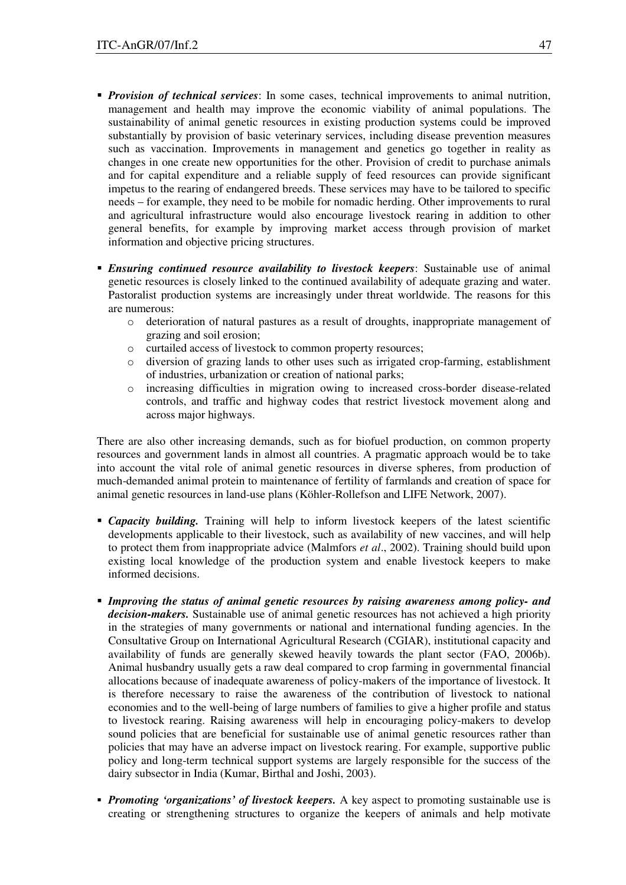- *Provision of technical services*: In some cases, technical improvements to animal nutrition, management and health may improve the economic viability of animal populations. The sustainability of animal genetic resources in existing production systems could be improved substantially by provision of basic veterinary services, including disease prevention measures such as vaccination. Improvements in management and genetics go together in reality as changes in one create new opportunities for the other. Provision of credit to purchase animals and for capital expenditure and a reliable supply of feed resources can provide significant impetus to the rearing of endangered breeds. These services may have to be tailored to specific needs – for example, they need to be mobile for nomadic herding. Other improvements to rural and agricultural infrastructure would also encourage livestock rearing in addition to other general benefits, for example by improving market access through provision of market information and objective pricing structures.
- *Ensuring continued resource availability to livestock keepers*: Sustainable use of animal genetic resources is closely linked to the continued availability of adequate grazing and water. Pastoralist production systems are increasingly under threat worldwide. The reasons for this are numerous:
	- o deterioration of natural pastures as a result of droughts, inappropriate management of grazing and soil erosion;
	- o curtailed access of livestock to common property resources;
	- o diversion of grazing lands to other uses such as irrigated crop-farming, establishment of industries, urbanization or creation of national parks;
	- o increasing difficulties in migration owing to increased cross-border disease-related controls, and traffic and highway codes that restrict livestock movement along and across major highways.

There are also other increasing demands, such as for biofuel production, on common property resources and government lands in almost all countries. A pragmatic approach would be to take into account the vital role of animal genetic resources in diverse spheres, from production of much-demanded animal protein to maintenance of fertility of farmlands and creation of space for animal genetic resources in land-use plans (Köhler-Rollefson and LIFE Network, 2007).

- *Capacity building.* Training will help to inform livestock keepers of the latest scientific developments applicable to their livestock, such as availability of new vaccines, and will help to protect them from inappropriate advice (Malmfors *et al*., 2002). Training should build upon existing local knowledge of the production system and enable livestock keepers to make informed decisions.
- *Improving the status of animal genetic resources by raising awareness among policy- and decision-makers.* Sustainable use of animal genetic resources has not achieved a high priority in the strategies of many governments or national and international funding agencies. In the Consultative Group on International Agricultural Research (CGIAR), institutional capacity and availability of funds are generally skewed heavily towards the plant sector (FAO, 2006b). Animal husbandry usually gets a raw deal compared to crop farming in governmental financial allocations because of inadequate awareness of policy-makers of the importance of livestock. It is therefore necessary to raise the awareness of the contribution of livestock to national economies and to the well-being of large numbers of families to give a higher profile and status to livestock rearing. Raising awareness will help in encouraging policy-makers to develop sound policies that are beneficial for sustainable use of animal genetic resources rather than policies that may have an adverse impact on livestock rearing. For example, supportive public policy and long-term technical support systems are largely responsible for the success of the dairy subsector in India (Kumar, Birthal and Joshi, 2003).
- **Promoting 'organizations' of livestock keepers.** A key aspect to promoting sustainable use is creating or strengthening structures to organize the keepers of animals and help motivate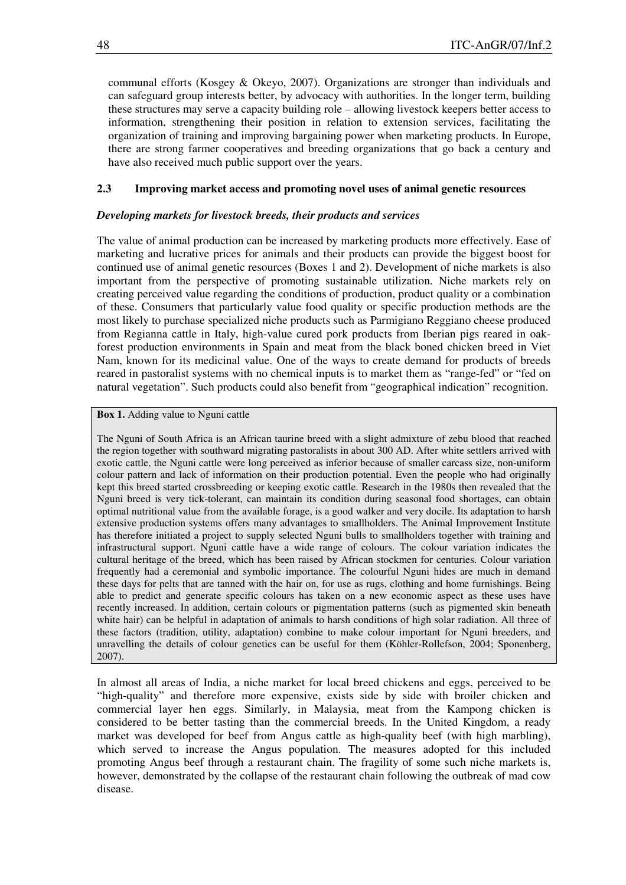communal efforts (Kosgey & Okeyo, 2007). Organizations are stronger than individuals and can safeguard group interests better, by advocacy with authorities. In the longer term, building these structures may serve a capacity building role – allowing livestock keepers better access to information, strengthening their position in relation to extension services, facilitating the organization of training and improving bargaining power when marketing products. In Europe, there are strong farmer cooperatives and breeding organizations that go back a century and have also received much public support over the years.

## **2.3 Improving market access and promoting novel uses of animal genetic resources**

### *Developing markets for livestock breeds, their products and services*

The value of animal production can be increased by marketing products more effectively. Ease of marketing and lucrative prices for animals and their products can provide the biggest boost for continued use of animal genetic resources (Boxes 1 and 2). Development of niche markets is also important from the perspective of promoting sustainable utilization. Niche markets rely on creating perceived value regarding the conditions of production, product quality or a combination of these. Consumers that particularly value food quality or specific production methods are the most likely to purchase specialized niche products such as Parmigiano Reggiano cheese produced from Regianna cattle in Italy, high-value cured pork products from Iberian pigs reared in oakforest production environments in Spain and meat from the black boned chicken breed in Viet Nam, known for its medicinal value. One of the ways to create demand for products of breeds reared in pastoralist systems with no chemical inputs is to market them as "range-fed" or "fed on natural vegetation". Such products could also benefit from "geographical indication" recognition.

#### **Box 1.** Adding value to Nguni cattle

The Nguni of South Africa is an African taurine breed with a slight admixture of zebu blood that reached the region together with southward migrating pastoralists in about 300 AD. After white settlers arrived with exotic cattle, the Nguni cattle were long perceived as inferior because of smaller carcass size, non-uniform colour pattern and lack of information on their production potential. Even the people who had originally kept this breed started crossbreeding or keeping exotic cattle. Research in the 1980s then revealed that the Nguni breed is very tick-tolerant, can maintain its condition during seasonal food shortages, can obtain optimal nutritional value from the available forage, is a good walker and very docile. Its adaptation to harsh extensive production systems offers many advantages to smallholders. The Animal Improvement Institute has therefore initiated a project to supply selected Nguni bulls to smallholders together with training and infrastructural support. Nguni cattle have a wide range of colours. The colour variation indicates the cultural heritage of the breed, which has been raised by African stockmen for centuries. Colour variation frequently had a ceremonial and symbolic importance. The colourful Nguni hides are much in demand these days for pelts that are tanned with the hair on, for use as rugs, clothing and home furnishings. Being able to predict and generate specific colours has taken on a new economic aspect as these uses have recently increased. In addition, certain colours or pigmentation patterns (such as pigmented skin beneath white hair) can be helpful in adaptation of animals to harsh conditions of high solar radiation. All three of these factors (tradition, utility, adaptation) combine to make colour important for Nguni breeders, and unravelling the details of colour genetics can be useful for them (Köhler-Rollefson, 2004; Sponenberg, 2007).

In almost all areas of India, a niche market for local breed chickens and eggs, perceived to be "high-quality" and therefore more expensive, exists side by side with broiler chicken and commercial layer hen eggs. Similarly, in Malaysia, meat from the Kampong chicken is considered to be better tasting than the commercial breeds. In the United Kingdom, a ready market was developed for beef from Angus cattle as high-quality beef (with high marbling), which served to increase the Angus population. The measures adopted for this included promoting Angus beef through a restaurant chain. The fragility of some such niche markets is, however, demonstrated by the collapse of the restaurant chain following the outbreak of mad cow disease.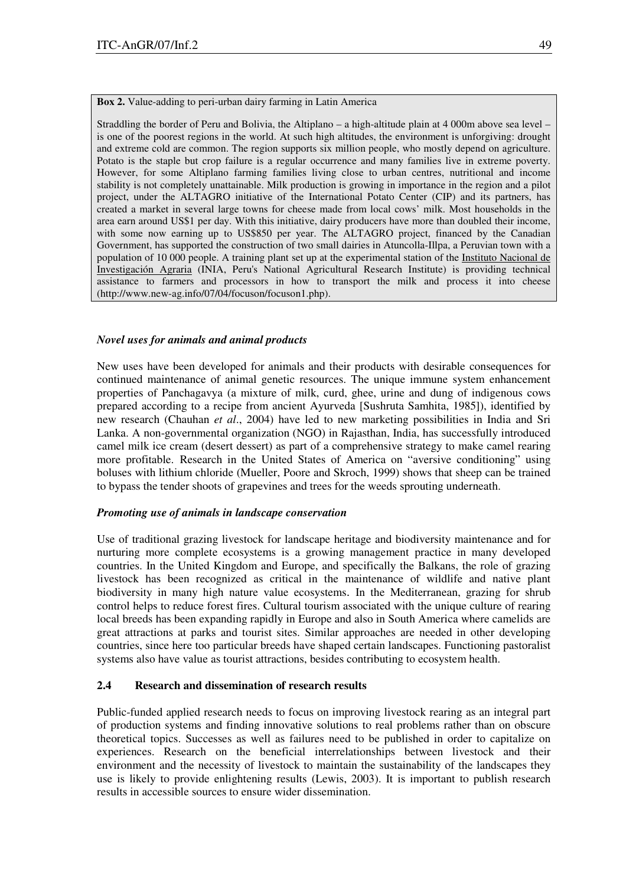### **Box 2.** Value-adding to peri-urban dairy farming in Latin America

Straddling the border of Peru and Bolivia, the Altiplano – a high-altitude plain at 4 000m above sea level – is one of the poorest regions in the world. At such high altitudes, the environment is unforgiving: drought and extreme cold are common. The region supports six million people, who mostly depend on agriculture. Potato is the staple but crop failure is a regular occurrence and many families live in extreme poverty. However, for some Altiplano farming families living close to urban centres, nutritional and income stability is not completely unattainable. Milk production is growing in importance in the region and a pilot project, under the ALTAGRO initiative of the International Potato Center (CIP) and its partners, has created a market in several large towns for cheese made from local cows' milk. Most households in the area earn around US\$1 per day. With this initiative, dairy producers have more than doubled their income, with some now earning up to US\$850 per year. The ALTAGRO project, financed by the Canadian Government, has supported the construction of two small dairies in Atuncolla-Illpa, a Peruvian town with a population of 10 000 people. A training plant set up at the experimental station of the Instituto Nacional de Investigación Agraria (INIA, Peru's National Agricultural Research Institute) is providing technical assistance to farmers and processors in how to transport the milk and process it into cheese (http://www.new-ag.info/07/04/focuson/focuson1.php).

# *Novel uses for animals and animal products*

New uses have been developed for animals and their products with desirable consequences for continued maintenance of animal genetic resources. The unique immune system enhancement properties of Panchagavya (a mixture of milk, curd, ghee, urine and dung of indigenous cows prepared according to a recipe from ancient Ayurveda [Sushruta Samhita, 1985]), identified by new research (Chauhan *et al*., 2004) have led to new marketing possibilities in India and Sri Lanka. A non-governmental organization (NGO) in Rajasthan, India, has successfully introduced camel milk ice cream (desert dessert) as part of a comprehensive strategy to make camel rearing more profitable. Research in the United States of America on "aversive conditioning" using boluses with lithium chloride (Mueller, Poore and Skroch, 1999) shows that sheep can be trained to bypass the tender shoots of grapevines and trees for the weeds sprouting underneath.

## *Promoting use of animals in landscape conservation*

Use of traditional grazing livestock for landscape heritage and biodiversity maintenance and for nurturing more complete ecosystems is a growing management practice in many developed countries. In the United Kingdom and Europe, and specifically the Balkans, the role of grazing livestock has been recognized as critical in the maintenance of wildlife and native plant biodiversity in many high nature value ecosystems. In the Mediterranean, grazing for shrub control helps to reduce forest fires. Cultural tourism associated with the unique culture of rearing local breeds has been expanding rapidly in Europe and also in South America where camelids are great attractions at parks and tourist sites. Similar approaches are needed in other developing countries, since here too particular breeds have shaped certain landscapes. Functioning pastoralist systems also have value as tourist attractions, besides contributing to ecosystem health.

## **2.4 Research and dissemination of research results**

Public-funded applied research needs to focus on improving livestock rearing as an integral part of production systems and finding innovative solutions to real problems rather than on obscure theoretical topics. Successes as well as failures need to be published in order to capitalize on experiences. Research on the beneficial interrelationships between livestock and their environment and the necessity of livestock to maintain the sustainability of the landscapes they use is likely to provide enlightening results (Lewis, 2003). It is important to publish research results in accessible sources to ensure wider dissemination.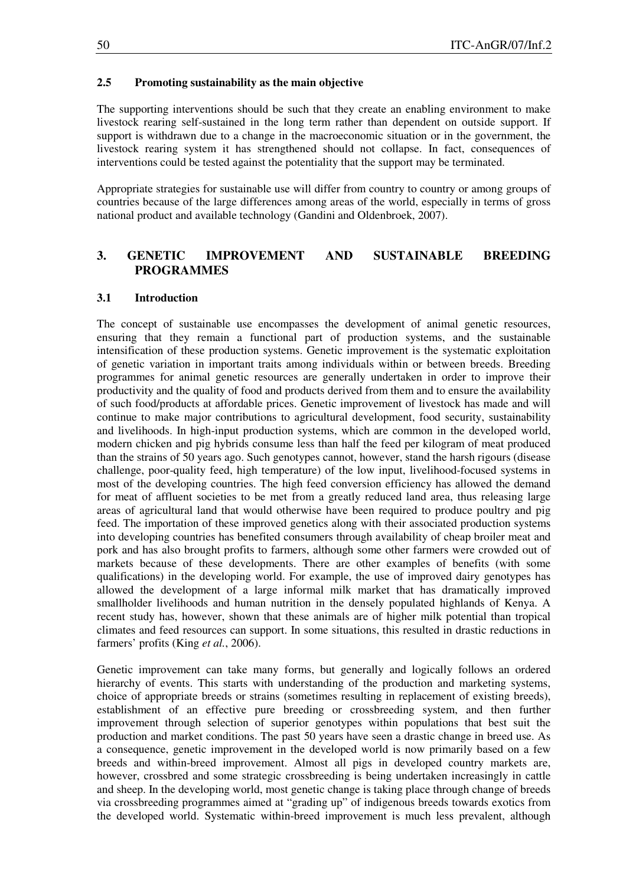### **2.5 Promoting sustainability as the main objective**

The supporting interventions should be such that they create an enabling environment to make livestock rearing self-sustained in the long term rather than dependent on outside support. If support is withdrawn due to a change in the macroeconomic situation or in the government, the livestock rearing system it has strengthened should not collapse. In fact, consequences of interventions could be tested against the potentiality that the support may be terminated.

Appropriate strategies for sustainable use will differ from country to country or among groups of countries because of the large differences among areas of the world, especially in terms of gross national product and available technology (Gandini and Oldenbroek, 2007).

# **3. GENETIC IMPROVEMENT AND SUSTAINABLE BREEDING PROGRAMMES**

#### **3.1 Introduction**

The concept of sustainable use encompasses the development of animal genetic resources, ensuring that they remain a functional part of production systems, and the sustainable intensification of these production systems. Genetic improvement is the systematic exploitation of genetic variation in important traits among individuals within or between breeds. Breeding programmes for animal genetic resources are generally undertaken in order to improve their productivity and the quality of food and products derived from them and to ensure the availability of such food/products at affordable prices. Genetic improvement of livestock has made and will continue to make major contributions to agricultural development, food security, sustainability and livelihoods. In high-input production systems, which are common in the developed world, modern chicken and pig hybrids consume less than half the feed per kilogram of meat produced than the strains of 50 years ago. Such genotypes cannot, however, stand the harsh rigours (disease challenge, poor-quality feed, high temperature) of the low input, livelihood-focused systems in most of the developing countries. The high feed conversion efficiency has allowed the demand for meat of affluent societies to be met from a greatly reduced land area, thus releasing large areas of agricultural land that would otherwise have been required to produce poultry and pig feed. The importation of these improved genetics along with their associated production systems into developing countries has benefited consumers through availability of cheap broiler meat and pork and has also brought profits to farmers, although some other farmers were crowded out of markets because of these developments. There are other examples of benefits (with some qualifications) in the developing world. For example, the use of improved dairy genotypes has allowed the development of a large informal milk market that has dramatically improved smallholder livelihoods and human nutrition in the densely populated highlands of Kenya. A recent study has, however, shown that these animals are of higher milk potential than tropical climates and feed resources can support. In some situations, this resulted in drastic reductions in farmers' profits (King *et al.*, 2006).

Genetic improvement can take many forms, but generally and logically follows an ordered hierarchy of events. This starts with understanding of the production and marketing systems, choice of appropriate breeds or strains (sometimes resulting in replacement of existing breeds), establishment of an effective pure breeding or crossbreeding system, and then further improvement through selection of superior genotypes within populations that best suit the production and market conditions. The past 50 years have seen a drastic change in breed use. As a consequence, genetic improvement in the developed world is now primarily based on a few breeds and within-breed improvement. Almost all pigs in developed country markets are, however, crossbred and some strategic crossbreeding is being undertaken increasingly in cattle and sheep. In the developing world, most genetic change is taking place through change of breeds via crossbreeding programmes aimed at "grading up" of indigenous breeds towards exotics from the developed world. Systematic within-breed improvement is much less prevalent, although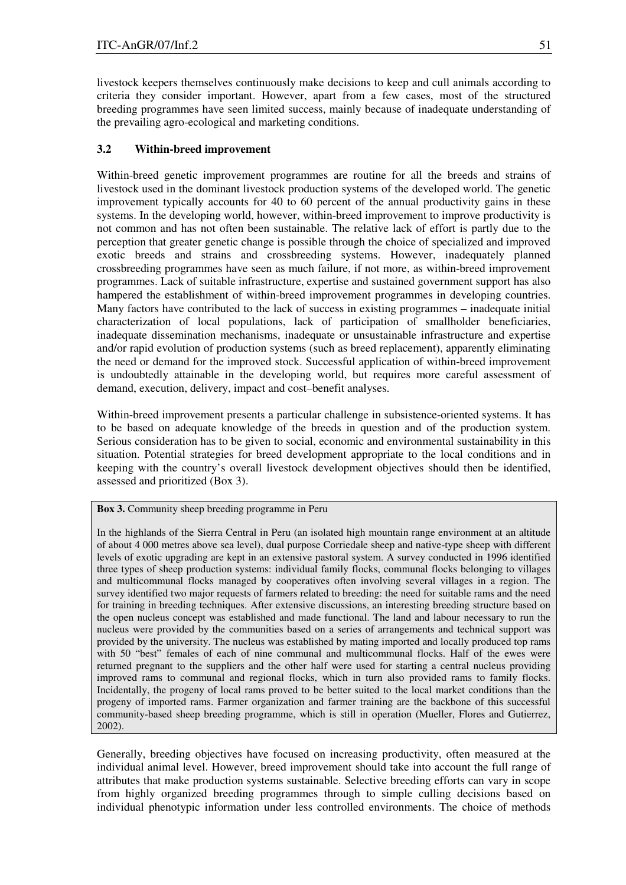livestock keepers themselves continuously make decisions to keep and cull animals according to criteria they consider important. However, apart from a few cases, most of the structured breeding programmes have seen limited success, mainly because of inadequate understanding of the prevailing agro-ecological and marketing conditions.

# **3.2 Within-breed improvement**

Within-breed genetic improvement programmes are routine for all the breeds and strains of livestock used in the dominant livestock production systems of the developed world. The genetic improvement typically accounts for 40 to 60 percent of the annual productivity gains in these systems. In the developing world, however, within-breed improvement to improve productivity is not common and has not often been sustainable. The relative lack of effort is partly due to the perception that greater genetic change is possible through the choice of specialized and improved exotic breeds and strains and crossbreeding systems. However, inadequately planned crossbreeding programmes have seen as much failure, if not more, as within-breed improvement programmes. Lack of suitable infrastructure, expertise and sustained government support has also hampered the establishment of within-breed improvement programmes in developing countries. Many factors have contributed to the lack of success in existing programmes – inadequate initial characterization of local populations, lack of participation of smallholder beneficiaries, inadequate dissemination mechanisms, inadequate or unsustainable infrastructure and expertise and/or rapid evolution of production systems (such as breed replacement), apparently eliminating the need or demand for the improved stock. Successful application of within-breed improvement is undoubtedly attainable in the developing world, but requires more careful assessment of demand, execution, delivery, impact and cost–benefit analyses.

Within-breed improvement presents a particular challenge in subsistence-oriented systems. It has to be based on adequate knowledge of the breeds in question and of the production system. Serious consideration has to be given to social, economic and environmental sustainability in this situation. Potential strategies for breed development appropriate to the local conditions and in keeping with the country's overall livestock development objectives should then be identified, assessed and prioritized (Box 3).

## **Box 3.** Community sheep breeding programme in Peru

In the highlands of the Sierra Central in Peru (an isolated high mountain range environment at an altitude of about 4 000 metres above sea level), dual purpose Corriedale sheep and native-type sheep with different levels of exotic upgrading are kept in an extensive pastoral system. A survey conducted in 1996 identified three types of sheep production systems: individual family flocks, communal flocks belonging to villages and multicommunal flocks managed by cooperatives often involving several villages in a region. The survey identified two major requests of farmers related to breeding: the need for suitable rams and the need for training in breeding techniques. After extensive discussions, an interesting breeding structure based on the open nucleus concept was established and made functional. The land and labour necessary to run the nucleus were provided by the communities based on a series of arrangements and technical support was provided by the university. The nucleus was established by mating imported and locally produced top rams with 50 "best" females of each of nine communal and multicommunal flocks. Half of the ewes were returned pregnant to the suppliers and the other half were used for starting a central nucleus providing improved rams to communal and regional flocks, which in turn also provided rams to family flocks. Incidentally, the progeny of local rams proved to be better suited to the local market conditions than the progeny of imported rams. Farmer organization and farmer training are the backbone of this successful community-based sheep breeding programme, which is still in operation (Mueller, Flores and Gutierrez, 2002).

Generally, breeding objectives have focused on increasing productivity, often measured at the individual animal level. However, breed improvement should take into account the full range of attributes that make production systems sustainable. Selective breeding efforts can vary in scope from highly organized breeding programmes through to simple culling decisions based on individual phenotypic information under less controlled environments. The choice of methods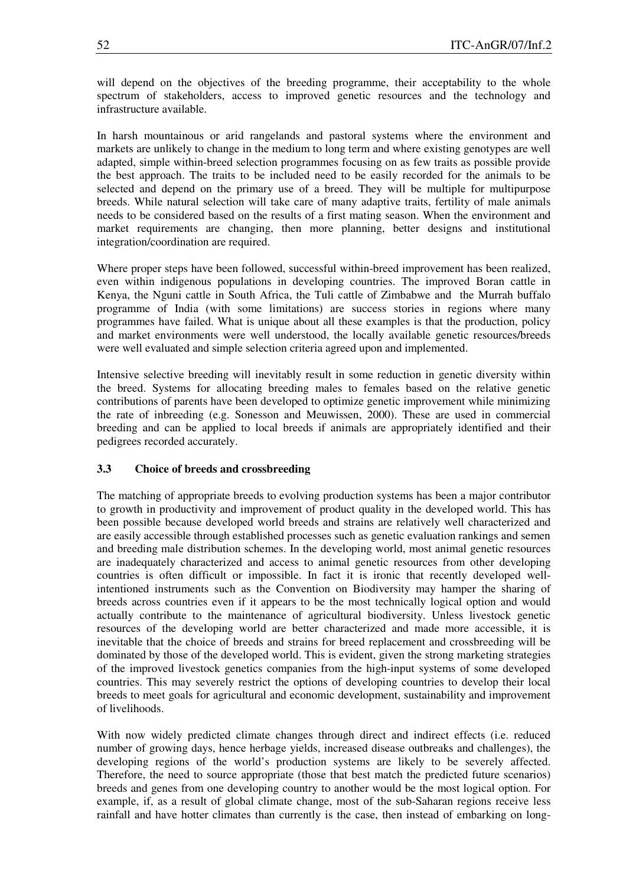will depend on the objectives of the breeding programme, their acceptability to the whole spectrum of stakeholders, access to improved genetic resources and the technology and infrastructure available.

In harsh mountainous or arid rangelands and pastoral systems where the environment and markets are unlikely to change in the medium to long term and where existing genotypes are well adapted, simple within-breed selection programmes focusing on as few traits as possible provide the best approach. The traits to be included need to be easily recorded for the animals to be selected and depend on the primary use of a breed. They will be multiple for multipurpose breeds. While natural selection will take care of many adaptive traits, fertility of male animals needs to be considered based on the results of a first mating season. When the environment and market requirements are changing, then more planning, better designs and institutional integration/coordination are required.

Where proper steps have been followed, successful within-breed improvement has been realized, even within indigenous populations in developing countries. The improved Boran cattle in Kenya, the Nguni cattle in South Africa, the Tuli cattle of Zimbabwe and the Murrah buffalo programme of India (with some limitations) are success stories in regions where many programmes have failed. What is unique about all these examples is that the production, policy and market environments were well understood, the locally available genetic resources/breeds were well evaluated and simple selection criteria agreed upon and implemented.

Intensive selective breeding will inevitably result in some reduction in genetic diversity within the breed. Systems for allocating breeding males to females based on the relative genetic contributions of parents have been developed to optimize genetic improvement while minimizing the rate of inbreeding (e.g. Sonesson and Meuwissen, 2000). These are used in commercial breeding and can be applied to local breeds if animals are appropriately identified and their pedigrees recorded accurately.

## **3.3 Choice of breeds and crossbreeding**

The matching of appropriate breeds to evolving production systems has been a major contributor to growth in productivity and improvement of product quality in the developed world. This has been possible because developed world breeds and strains are relatively well characterized and are easily accessible through established processes such as genetic evaluation rankings and semen and breeding male distribution schemes. In the developing world, most animal genetic resources are inadequately characterized and access to animal genetic resources from other developing countries is often difficult or impossible. In fact it is ironic that recently developed wellintentioned instruments such as the Convention on Biodiversity may hamper the sharing of breeds across countries even if it appears to be the most technically logical option and would actually contribute to the maintenance of agricultural biodiversity. Unless livestock genetic resources of the developing world are better characterized and made more accessible, it is inevitable that the choice of breeds and strains for breed replacement and crossbreeding will be dominated by those of the developed world. This is evident, given the strong marketing strategies of the improved livestock genetics companies from the high-input systems of some developed countries. This may severely restrict the options of developing countries to develop their local breeds to meet goals for agricultural and economic development, sustainability and improvement of livelihoods.

With now widely predicted climate changes through direct and indirect effects (i.e. reduced number of growing days, hence herbage yields, increased disease outbreaks and challenges), the developing regions of the world's production systems are likely to be severely affected. Therefore, the need to source appropriate (those that best match the predicted future scenarios) breeds and genes from one developing country to another would be the most logical option. For example, if, as a result of global climate change, most of the sub-Saharan regions receive less rainfall and have hotter climates than currently is the case, then instead of embarking on long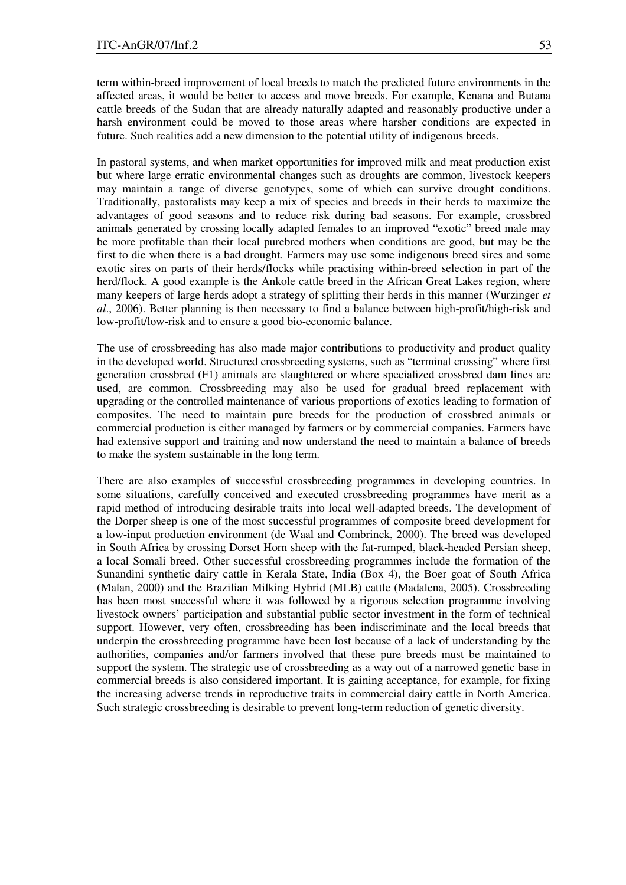term within-breed improvement of local breeds to match the predicted future environments in the affected areas, it would be better to access and move breeds. For example, Kenana and Butana cattle breeds of the Sudan that are already naturally adapted and reasonably productive under a harsh environment could be moved to those areas where harsher conditions are expected in future. Such realities add a new dimension to the potential utility of indigenous breeds.

In pastoral systems, and when market opportunities for improved milk and meat production exist but where large erratic environmental changes such as droughts are common, livestock keepers may maintain a range of diverse genotypes, some of which can survive drought conditions. Traditionally, pastoralists may keep a mix of species and breeds in their herds to maximize the advantages of good seasons and to reduce risk during bad seasons. For example, crossbred animals generated by crossing locally adapted females to an improved "exotic" breed male may be more profitable than their local purebred mothers when conditions are good, but may be the first to die when there is a bad drought. Farmers may use some indigenous breed sires and some exotic sires on parts of their herds/flocks while practising within-breed selection in part of the herd/flock. A good example is the Ankole cattle breed in the African Great Lakes region, where many keepers of large herds adopt a strategy of splitting their herds in this manner (Wurzinger *et al*., 2006). Better planning is then necessary to find a balance between high-profit/high-risk and low-profit/low-risk and to ensure a good bio-economic balance.

The use of crossbreeding has also made major contributions to productivity and product quality in the developed world. Structured crossbreeding systems, such as "terminal crossing" where first generation crossbred (F1) animals are slaughtered or where specialized crossbred dam lines are used, are common. Crossbreeding may also be used for gradual breed replacement with upgrading or the controlled maintenance of various proportions of exotics leading to formation of composites. The need to maintain pure breeds for the production of crossbred animals or commercial production is either managed by farmers or by commercial companies. Farmers have had extensive support and training and now understand the need to maintain a balance of breeds to make the system sustainable in the long term.

There are also examples of successful crossbreeding programmes in developing countries. In some situations, carefully conceived and executed crossbreeding programmes have merit as a rapid method of introducing desirable traits into local well-adapted breeds. The development of the Dorper sheep is one of the most successful programmes of composite breed development for a low-input production environment (de Waal and Combrinck, 2000). The breed was developed in South Africa by crossing Dorset Horn sheep with the fat-rumped, black-headed Persian sheep, a local Somali breed. Other successful crossbreeding programmes include the formation of the Sunandini synthetic dairy cattle in Kerala State, India (Box 4), the Boer goat of South Africa (Malan, 2000) and the Brazilian Milking Hybrid (MLB) cattle (Madalena, 2005). Crossbreeding has been most successful where it was followed by a rigorous selection programme involving livestock owners' participation and substantial public sector investment in the form of technical support. However, very often, crossbreeding has been indiscriminate and the local breeds that underpin the crossbreeding programme have been lost because of a lack of understanding by the authorities, companies and/or farmers involved that these pure breeds must be maintained to support the system. The strategic use of crossbreeding as a way out of a narrowed genetic base in commercial breeds is also considered important. It is gaining acceptance, for example, for fixing the increasing adverse trends in reproductive traits in commercial dairy cattle in North America. Such strategic crossbreeding is desirable to prevent long-term reduction of genetic diversity.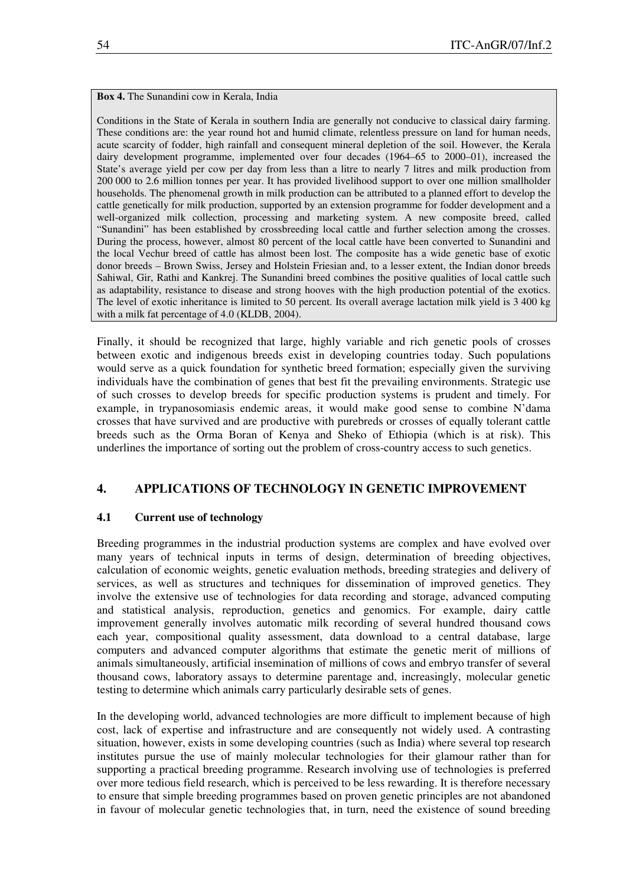#### **Box 4.** The Sunandini cow in Kerala, India

Conditions in the State of Kerala in southern India are generally not conducive to classical dairy farming. These conditions are: the year round hot and humid climate, relentless pressure on land for human needs, acute scarcity of fodder, high rainfall and consequent mineral depletion of the soil. However, the Kerala dairy development programme, implemented over four decades (1964–65 to 2000–01), increased the State's average yield per cow per day from less than a litre to nearly 7 litres and milk production from 200 000 to 2.6 million tonnes per year. It has provided livelihood support to over one million smallholder households. The phenomenal growth in milk production can be attributed to a planned effort to develop the cattle genetically for milk production, supported by an extension programme for fodder development and a well-organized milk collection, processing and marketing system. A new composite breed, called "Sunandini" has been established by crossbreeding local cattle and further selection among the crosses. During the process, however, almost 80 percent of the local cattle have been converted to Sunandini and the local Vechur breed of cattle has almost been lost. The composite has a wide genetic base of exotic donor breeds – Brown Swiss, Jersey and Holstein Friesian and, to a lesser extent, the Indian donor breeds Sahiwal, Gir, Rathi and Kankrej. The Sunandini breed combines the positive qualities of local cattle such as adaptability, resistance to disease and strong hooves with the high production potential of the exotics. The level of exotic inheritance is limited to 50 percent. Its overall average lactation milk yield is 3 400 kg with a milk fat percentage of 4.0 (KLDB, 2004).

Finally, it should be recognized that large, highly variable and rich genetic pools of crosses between exotic and indigenous breeds exist in developing countries today. Such populations would serve as a quick foundation for synthetic breed formation; especially given the surviving individuals have the combination of genes that best fit the prevailing environments. Strategic use of such crosses to develop breeds for specific production systems is prudent and timely. For example, in trypanosomiasis endemic areas, it would make good sense to combine N'dama crosses that have survived and are productive with purebreds or crosses of equally tolerant cattle breeds such as the Orma Boran of Kenya and Sheko of Ethiopia (which is at risk). This underlines the importance of sorting out the problem of cross-country access to such genetics.

# **4. APPLICATIONS OF TECHNOLOGY IN GENETIC IMPROVEMENT**

## **4.1 Current use of technology**

Breeding programmes in the industrial production systems are complex and have evolved over many years of technical inputs in terms of design, determination of breeding objectives, calculation of economic weights, genetic evaluation methods, breeding strategies and delivery of services, as well as structures and techniques for dissemination of improved genetics. They involve the extensive use of technologies for data recording and storage, advanced computing and statistical analysis, reproduction, genetics and genomics. For example, dairy cattle improvement generally involves automatic milk recording of several hundred thousand cows each year, compositional quality assessment, data download to a central database, large computers and advanced computer algorithms that estimate the genetic merit of millions of animals simultaneously, artificial insemination of millions of cows and embryo transfer of several thousand cows, laboratory assays to determine parentage and, increasingly, molecular genetic testing to determine which animals carry particularly desirable sets of genes.

In the developing world, advanced technologies are more difficult to implement because of high cost, lack of expertise and infrastructure and are consequently not widely used. A contrasting situation, however, exists in some developing countries (such as India) where several top research institutes pursue the use of mainly molecular technologies for their glamour rather than for supporting a practical breeding programme. Research involving use of technologies is preferred over more tedious field research, which is perceived to be less rewarding. It is therefore necessary to ensure that simple breeding programmes based on proven genetic principles are not abandoned in favour of molecular genetic technologies that, in turn, need the existence of sound breeding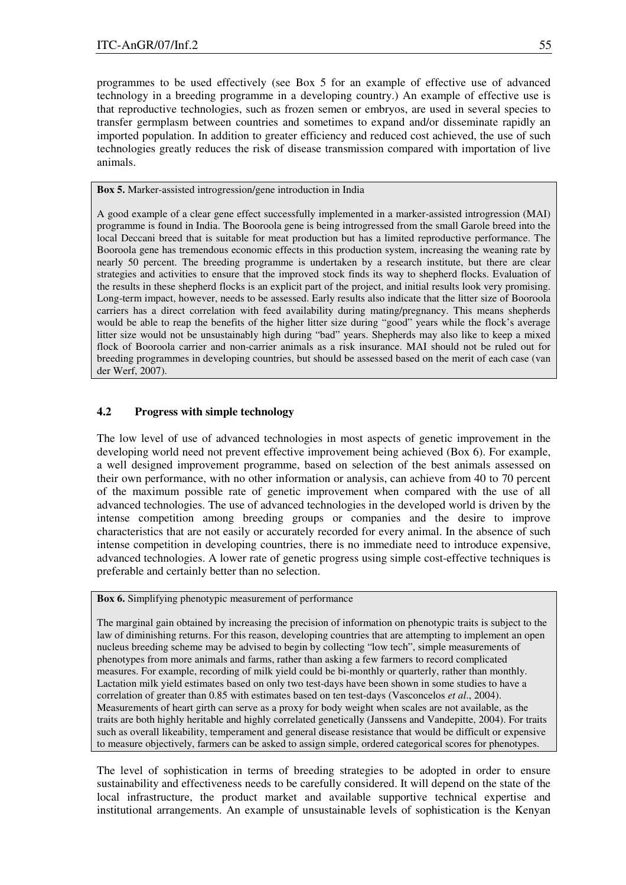programmes to be used effectively (see Box 5 for an example of effective use of advanced technology in a breeding programme in a developing country.) An example of effective use is that reproductive technologies, such as frozen semen or embryos, are used in several species to transfer germplasm between countries and sometimes to expand and/or disseminate rapidly an imported population. In addition to greater efficiency and reduced cost achieved, the use of such technologies greatly reduces the risk of disease transmission compared with importation of live animals.

**Box 5.** Marker-assisted introgression/gene introduction in India

A good example of a clear gene effect successfully implemented in a marker-assisted introgression (MAI) programme is found in India. The Booroola gene is being introgressed from the small Garole breed into the local Deccani breed that is suitable for meat production but has a limited reproductive performance. The Booroola gene has tremendous economic effects in this production system, increasing the weaning rate by nearly 50 percent. The breeding programme is undertaken by a research institute, but there are clear strategies and activities to ensure that the improved stock finds its way to shepherd flocks. Evaluation of the results in these shepherd flocks is an explicit part of the project, and initial results look very promising. Long-term impact, however, needs to be assessed. Early results also indicate that the litter size of Booroola carriers has a direct correlation with feed availability during mating/pregnancy. This means shepherds would be able to reap the benefits of the higher litter size during "good" years while the flock's average litter size would not be unsustainably high during "bad" years. Shepherds may also like to keep a mixed flock of Booroola carrier and non-carrier animals as a risk insurance. MAI should not be ruled out for breeding programmes in developing countries, but should be assessed based on the merit of each case (van der Werf, 2007).

# **4.2 Progress with simple technology**

The low level of use of advanced technologies in most aspects of genetic improvement in the developing world need not prevent effective improvement being achieved (Box 6). For example, a well designed improvement programme, based on selection of the best animals assessed on their own performance, with no other information or analysis, can achieve from 40 to 70 percent of the maximum possible rate of genetic improvement when compared with the use of all advanced technologies. The use of advanced technologies in the developed world is driven by the intense competition among breeding groups or companies and the desire to improve characteristics that are not easily or accurately recorded for every animal. In the absence of such intense competition in developing countries, there is no immediate need to introduce expensive, advanced technologies. A lower rate of genetic progress using simple cost-effective techniques is preferable and certainly better than no selection.

**Box 6.** Simplifying phenotypic measurement of performance

The marginal gain obtained by increasing the precision of information on phenotypic traits is subject to the law of diminishing returns. For this reason, developing countries that are attempting to implement an open nucleus breeding scheme may be advised to begin by collecting "low tech", simple measurements of phenotypes from more animals and farms, rather than asking a few farmers to record complicated measures. For example, recording of milk yield could be bi-monthly or quarterly, rather than monthly. Lactation milk yield estimates based on only two test-days have been shown in some studies to have a correlation of greater than 0.85 with estimates based on ten test-days (Vasconcelos *et al*., 2004). Measurements of heart girth can serve as a proxy for body weight when scales are not available, as the traits are both highly heritable and highly correlated genetically (Janssens and Vandepitte, 2004). For traits such as overall likeability, temperament and general disease resistance that would be difficult or expensive to measure objectively, farmers can be asked to assign simple, ordered categorical scores for phenotypes.

The level of sophistication in terms of breeding strategies to be adopted in order to ensure sustainability and effectiveness needs to be carefully considered. It will depend on the state of the local infrastructure, the product market and available supportive technical expertise and institutional arrangements. An example of unsustainable levels of sophistication is the Kenyan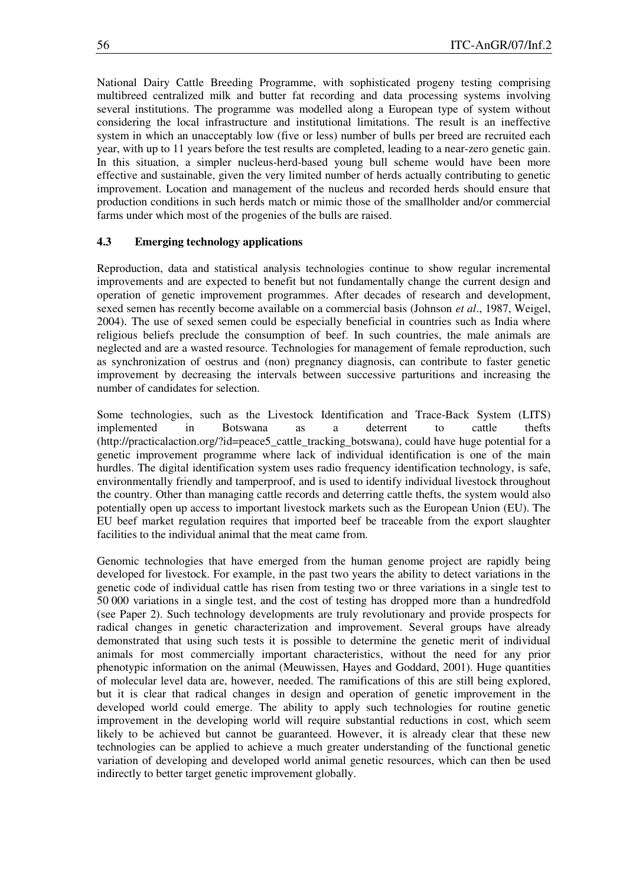National Dairy Cattle Breeding Programme, with sophisticated progeny testing comprising multibreed centralized milk and butter fat recording and data processing systems involving several institutions. The programme was modelled along a European type of system without considering the local infrastructure and institutional limitations. The result is an ineffective system in which an unacceptably low (five or less) number of bulls per breed are recruited each year, with up to 11 years before the test results are completed, leading to a near-zero genetic gain. In this situation, a simpler nucleus-herd-based young bull scheme would have been more effective and sustainable, given the very limited number of herds actually contributing to genetic improvement. Location and management of the nucleus and recorded herds should ensure that production conditions in such herds match or mimic those of the smallholder and/or commercial farms under which most of the progenies of the bulls are raised.

## **4.3 Emerging technology applications**

Reproduction, data and statistical analysis technologies continue to show regular incremental improvements and are expected to benefit but not fundamentally change the current design and operation of genetic improvement programmes. After decades of research and development, sexed semen has recently become available on a commercial basis (Johnson *et al*., 1987, Weigel, 2004). The use of sexed semen could be especially beneficial in countries such as India where religious beliefs preclude the consumption of beef. In such countries, the male animals are neglected and are a wasted resource. Technologies for management of female reproduction, such as synchronization of oestrus and (non) pregnancy diagnosis, can contribute to faster genetic improvement by decreasing the intervals between successive parturitions and increasing the number of candidates for selection.

Some technologies, such as the Livestock Identification and Trace-Back System (LITS) implemented in Botswana as a deterrent to cattle thefts (http://practicalaction.org/?id=peace5\_cattle\_tracking\_botswana), could have huge potential for a genetic improvement programme where lack of individual identification is one of the main hurdles. The digital identification system uses radio frequency identification technology, is safe, environmentally friendly and tamperproof, and is used to identify individual livestock throughout the country. Other than managing cattle records and deterring cattle thefts, the system would also potentially open up access to important livestock markets such as the European Union (EU). The EU beef market regulation requires that imported beef be traceable from the export slaughter facilities to the individual animal that the meat came from.

Genomic technologies that have emerged from the human genome project are rapidly being developed for livestock. For example, in the past two years the ability to detect variations in the genetic code of individual cattle has risen from testing two or three variations in a single test to 50 000 variations in a single test, and the cost of testing has dropped more than a hundredfold (see Paper 2). Such technology developments are truly revolutionary and provide prospects for radical changes in genetic characterization and improvement. Several groups have already demonstrated that using such tests it is possible to determine the genetic merit of individual animals for most commercially important characteristics, without the need for any prior phenotypic information on the animal (Meuwissen, Hayes and Goddard, 2001). Huge quantities of molecular level data are, however, needed. The ramifications of this are still being explored, but it is clear that radical changes in design and operation of genetic improvement in the developed world could emerge. The ability to apply such technologies for routine genetic improvement in the developing world will require substantial reductions in cost, which seem likely to be achieved but cannot be guaranteed. However, it is already clear that these new technologies can be applied to achieve a much greater understanding of the functional genetic variation of developing and developed world animal genetic resources, which can then be used indirectly to better target genetic improvement globally.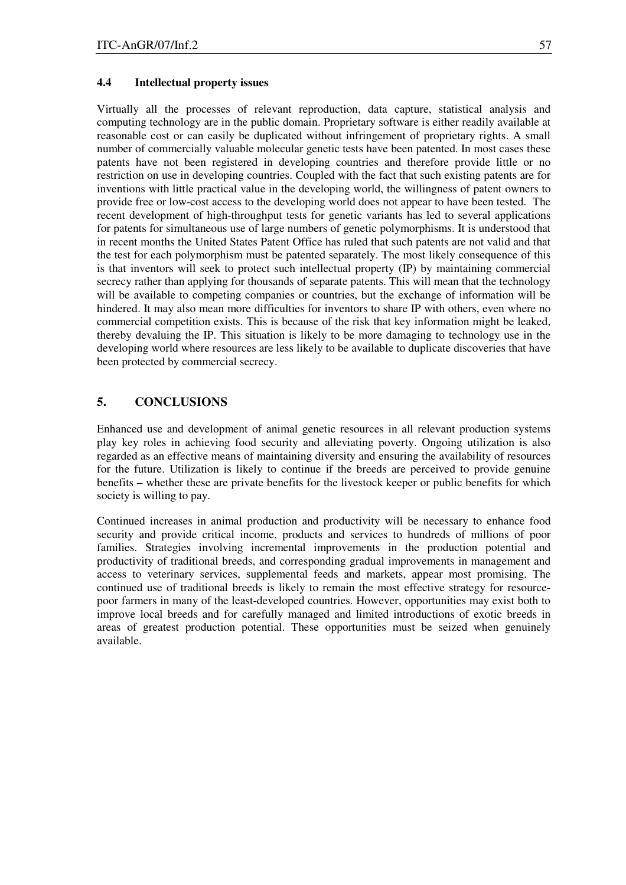### **4.4 Intellectual property issues**

Virtually all the processes of relevant reproduction, data capture, statistical analysis and computing technology are in the public domain. Proprietary software is either readily available at reasonable cost or can easily be duplicated without infringement of proprietary rights. A small number of commercially valuable molecular genetic tests have been patented. In most cases these patents have not been registered in developing countries and therefore provide little or no restriction on use in developing countries. Coupled with the fact that such existing patents are for inventions with little practical value in the developing world, the willingness of patent owners to provide free or low-cost access to the developing world does not appear to have been tested. The recent development of high-throughput tests for genetic variants has led to several applications for patents for simultaneous use of large numbers of genetic polymorphisms. It is understood that in recent months the United States Patent Office has ruled that such patents are not valid and that the test for each polymorphism must be patented separately. The most likely consequence of this is that inventors will seek to protect such intellectual property (IP) by maintaining commercial secrecy rather than applying for thousands of separate patents. This will mean that the technology will be available to competing companies or countries, but the exchange of information will be hindered. It may also mean more difficulties for inventors to share IP with others, even where no commercial competition exists. This is because of the risk that key information might be leaked, thereby devaluing the IP. This situation is likely to be more damaging to technology use in the developing world where resources are less likely to be available to duplicate discoveries that have been protected by commercial secrecy.

# **5. CONCLUSIONS**

Enhanced use and development of animal genetic resources in all relevant production systems play key roles in achieving food security and alleviating poverty. Ongoing utilization is also regarded as an effective means of maintaining diversity and ensuring the availability of resources for the future. Utilization is likely to continue if the breeds are perceived to provide genuine benefits – whether these are private benefits for the livestock keeper or public benefits for which society is willing to pay.

Continued increases in animal production and productivity will be necessary to enhance food security and provide critical income, products and services to hundreds of millions of poor families. Strategies involving incremental improvements in the production potential and productivity of traditional breeds, and corresponding gradual improvements in management and access to veterinary services, supplemental feeds and markets, appear most promising. The continued use of traditional breeds is likely to remain the most effective strategy for resourcepoor farmers in many of the least-developed countries. However, opportunities may exist both to improve local breeds and for carefully managed and limited introductions of exotic breeds in areas of greatest production potential. These opportunities must be seized when genuinely available.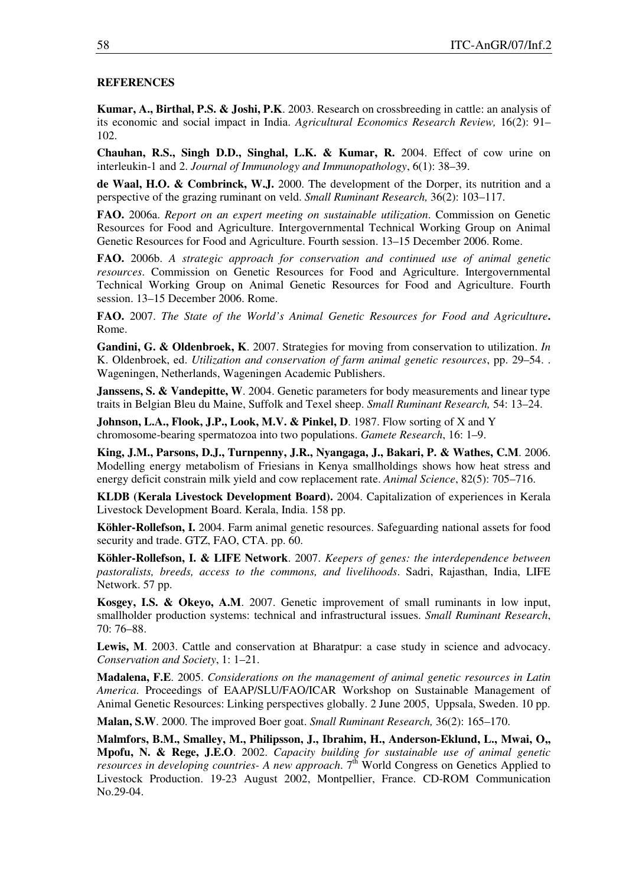#### **REFERENCES**

**Kumar, A., Birthal, P.S. & Joshi, P.K**. 2003. Research on crossbreeding in cattle: an analysis of its economic and social impact in India. *Agricultural Economics Research Review,* 16(2): 91– 102.

**Chauhan, R.S., Singh D.D., Singhal, L.K. & Kumar, R.** 2004. Effect of cow urine on interleukin-1 and 2. *Journal of Immunology and Immunopathology*, 6(1): 38–39.

**de Waal, H.O. & Combrinck, W.J.** 2000. The development of the Dorper, its nutrition and a perspective of the grazing ruminant on veld. *Small Ruminant Research,* 36(2): 103–117.

**FAO.** 2006a. *Report on an expert meeting on sustainable utilization*. Commission on Genetic Resources for Food and Agriculture. Intergovernmental Technical Working Group on Animal Genetic Resources for Food and Agriculture. Fourth session. 13–15 December 2006. Rome.

**FAO.** 2006b. *A strategic approach for conservation and continued use of animal genetic resources*. Commission on Genetic Resources for Food and Agriculture. Intergovernmental Technical Working Group on Animal Genetic Resources for Food and Agriculture. Fourth session. 13–15 December 2006. Rome.

**FAO.** 2007. *The State of the World's Animal Genetic Resources for Food and Agriculture***.**  Rome.

**Gandini, G. & Oldenbroek, K**. 2007. Strategies for moving from conservation to utilization. *In* K. Oldenbroek, ed. *Utilization and conservation of farm animal genetic resources*, pp. 29–54. . Wageningen, Netherlands, Wageningen Academic Publishers.

**Janssens, S. & Vandepitte, W.** 2004. Genetic parameters for body measurements and linear type traits in Belgian Bleu du Maine, Suffolk and Texel sheep. *Small Ruminant Research,* 54: 13–24.

**Johnson, L.A., Flook, J.P., Look, M.V. & Pinkel, D**. 1987. Flow sorting of X and Y chromosome-bearing spermatozoa into two populations. *Gamete Research*, 16: 1–9.

**King, J.M., Parsons, D.J., Turnpenny, J.R., Nyangaga, J., Bakari, P. & Wathes, C.M**. 2006. Modelling energy metabolism of Friesians in Kenya smallholdings shows how heat stress and energy deficit constrain milk yield and cow replacement rate. *Animal Science*, 82(5): 705–716.

**KLDB (Kerala Livestock Development Board).** 2004. Capitalization of experiences in Kerala Livestock Development Board. Kerala, India. 158 pp.

**Köhler-Rollefson, I.** 2004. Farm animal genetic resources. Safeguarding national assets for food security and trade. GTZ, FAO, CTA. pp. 60.

**Köhler-Rollefson, I. & LIFE Network**. 2007. *Keepers of genes: the interdependence between pastoralists, breeds, access to the commons, and livelihoods*. Sadri, Rajasthan, India, LIFE Network. 57 pp.

**Kosgey, I.S. & Okeyo, A.M**. 2007. Genetic improvement of small ruminants in low input, smallholder production systems: technical and infrastructural issues. *Small Ruminant Research*, 70: 76–88.

**Lewis, M**. 2003. Cattle and conservation at Bharatpur: a case study in science and advocacy. *Conservation and Society*, 1: 1–21.

**Madalena, F.E**. 2005. *Considerations on the management of animal genetic resources in Latin America*. Proceedings of EAAP/SLU/FAO/ICAR Workshop on Sustainable Management of Animal Genetic Resources: Linking perspectives globally. 2 June 2005, Uppsala, Sweden. 10 pp.

**Malan, S.W**. 2000. The improved Boer goat. *Small Ruminant Research,* 36(2): 165–170.

**Malmfors, B.M., Smalley, M., Philipsson, J., Ibrahim, H., Anderson-Eklund, L., Mwai, O,, Mpofu, N. & Rege, J.E.O**. 2002. *Capacity building for sustainable use of animal genetic resources in developing countries- A new approach.* 7<sup>th</sup> World Congress on Genetics Applied to Livestock Production. 19-23 August 2002, Montpellier, France. CD-ROM Communication No.29-04.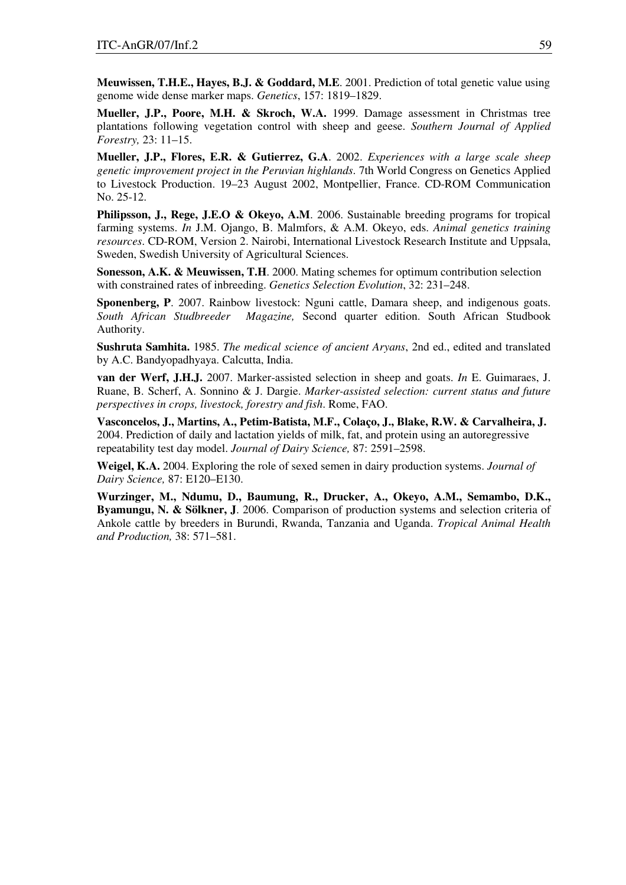**Meuwissen, T.H.E., Hayes, B.J. & Goddard, M.E**. 2001. Prediction of total genetic value using genome wide dense marker maps. *Genetics*, 157: 1819–1829.

**Mueller, J.P., Poore, M.H. & Skroch, W.A.** 1999. Damage assessment in Christmas tree plantations following vegetation control with sheep and geese. *Southern Journal of Applied Forestry,* 23: 11–15.

**Mueller, J.P., Flores, E.R. & Gutierrez, G.A**. 2002. *Experiences with a large scale sheep genetic improvement project in the Peruvian highlands*. 7th World Congress on Genetics Applied to Livestock Production. 19–23 August 2002, Montpellier, France. CD-ROM Communication No. 25-12.

**Philipsson, J., Rege, J.E.O & Okeyo, A.M**. 2006. Sustainable breeding programs for tropical farming systems. *In* J.M. Ojango, B. Malmfors, & A.M. Okeyo, eds. *Animal genetics training resources*. CD-ROM, Version 2. Nairobi, International Livestock Research Institute and Uppsala, Sweden, Swedish University of Agricultural Sciences.

**Sonesson, A.K. & Meuwissen, T.H**. 2000. Mating schemes for optimum contribution selection with constrained rates of inbreeding. *Genetics Selection Evolution*, 32: 231–248.

**Sponenberg, P**. 2007. Rainbow livestock: Nguni cattle, Damara sheep, and indigenous goats. *South African Studbreeder Magazine,* Second quarter edition. South African Studbook Authority.

**Sushruta Samhita.** 1985. *The medical science of ancient Aryans*, 2nd ed., edited and translated by A.C. Bandyopadhyaya. Calcutta, India.

**van der Werf, J.H.J.** 2007. Marker-assisted selection in sheep and goats. *In* E. Guimaraes, J. Ruane, B. Scherf, A. Sonnino & J. Dargie. *Marker-assisted selection: current status and future perspectives in crops, livestock, forestry and fish*. Rome, FAO.

**Vasconcelos, J., Martins, A., Petim-Batista, M.F., Colaço, J., Blake, R.W. & Carvalheira, J.** 2004. Prediction of daily and lactation yields of milk, fat, and protein using an autoregressive repeatability test day model. *Journal of Dairy Science,* 87: 2591–2598.

**Weigel, K.A.** 2004. Exploring the role of sexed semen in dairy production systems. *Journal of Dairy Science,* 87: E120–E130.

**Wurzinger, M., Ndumu, D., Baumung, R., Drucker, A., Okeyo, A.M., Semambo, D.K., Byamungu, N. & Sölkner, J**. 2006. Comparison of production systems and selection criteria of Ankole cattle by breeders in Burundi, Rwanda, Tanzania and Uganda. *Tropical Animal Health and Production,* 38: 571–581.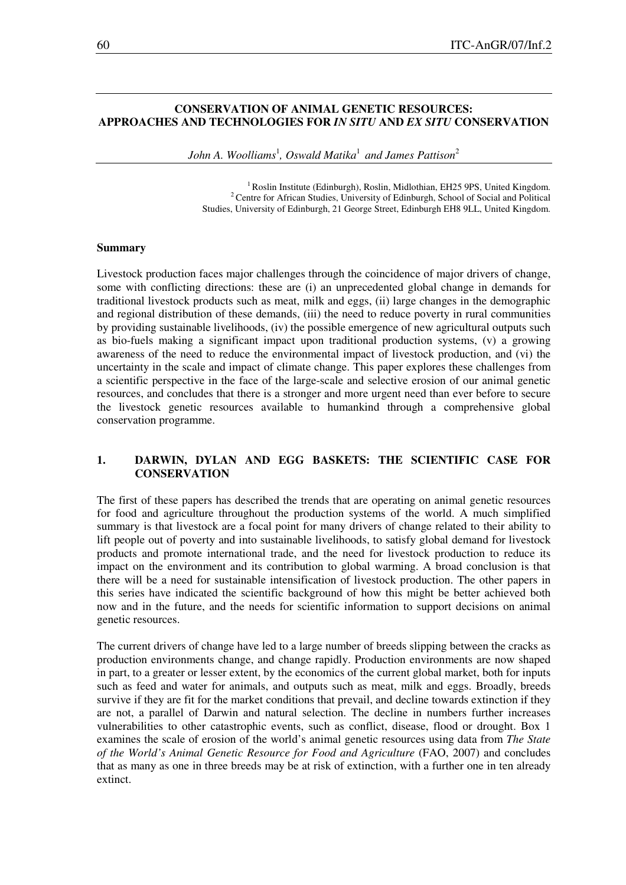#### **CONSERVATION OF ANIMAL GENETIC RESOURCES: APPROACHES AND TECHNOLOGIES FOR** *IN SITU* **AND** *EX SITU* **CONSERVATION**

*John A. Woolliams*<sup>1</sup> *, Oswald Matika*<sup>1</sup>*and James Pattison*<sup>2</sup>

<sup>1</sup> Roslin Institute (Edinburgh), Roslin, Midlothian, EH25 9PS, United Kingdom. <sup>2</sup> Centre for African Studies, University of Edinburgh, School of Social and Political Studies, University of Edinburgh, 21 George Street, Edinburgh EH8 9LL, United Kingdom.

#### **Summary**

Livestock production faces major challenges through the coincidence of major drivers of change, some with conflicting directions: these are (i) an unprecedented global change in demands for traditional livestock products such as meat, milk and eggs, (ii) large changes in the demographic and regional distribution of these demands, (iii) the need to reduce poverty in rural communities by providing sustainable livelihoods, (iv) the possible emergence of new agricultural outputs such as bio-fuels making a significant impact upon traditional production systems, (v) a growing awareness of the need to reduce the environmental impact of livestock production, and (vi) the uncertainty in the scale and impact of climate change. This paper explores these challenges from a scientific perspective in the face of the large-scale and selective erosion of our animal genetic resources, and concludes that there is a stronger and more urgent need than ever before to secure the livestock genetic resources available to humankind through a comprehensive global conservation programme.

## **1. DARWIN, DYLAN AND EGG BASKETS: THE SCIENTIFIC CASE FOR CONSERVATION**

The first of these papers has described the trends that are operating on animal genetic resources for food and agriculture throughout the production systems of the world. A much simplified summary is that livestock are a focal point for many drivers of change related to their ability to lift people out of poverty and into sustainable livelihoods, to satisfy global demand for livestock products and promote international trade, and the need for livestock production to reduce its impact on the environment and its contribution to global warming. A broad conclusion is that there will be a need for sustainable intensification of livestock production. The other papers in this series have indicated the scientific background of how this might be better achieved both now and in the future, and the needs for scientific information to support decisions on animal genetic resources.

The current drivers of change have led to a large number of breeds slipping between the cracks as production environments change, and change rapidly. Production environments are now shaped in part, to a greater or lesser extent, by the economics of the current global market, both for inputs such as feed and water for animals, and outputs such as meat, milk and eggs. Broadly, breeds survive if they are fit for the market conditions that prevail, and decline towards extinction if they are not, a parallel of Darwin and natural selection. The decline in numbers further increases vulnerabilities to other catastrophic events, such as conflict, disease, flood or drought. Box 1 examines the scale of erosion of the world's animal genetic resources using data from *The State of the World's Animal Genetic Resource for Food and Agriculture* (FAO, 2007) and concludes that as many as one in three breeds may be at risk of extinction, with a further one in ten already extinct.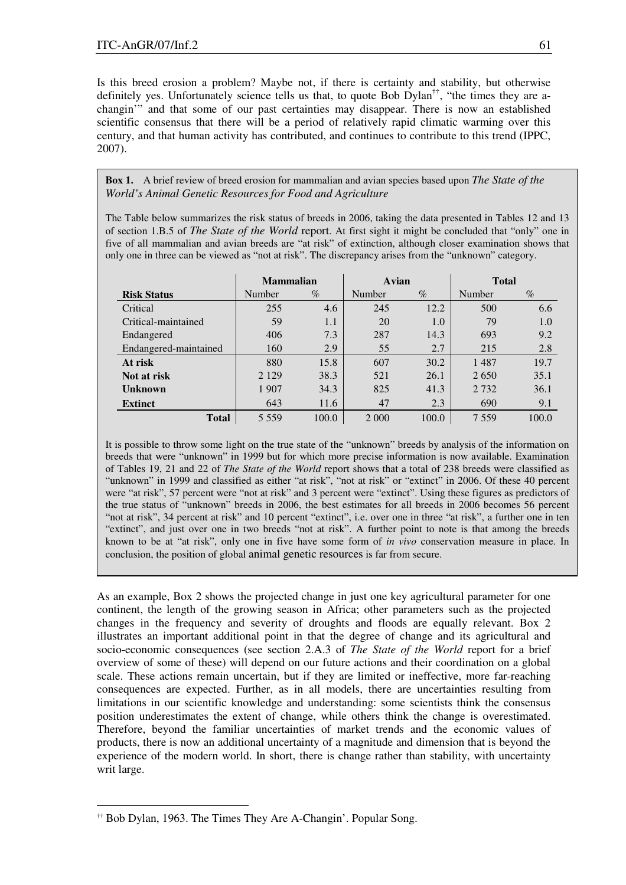Is this breed erosion a problem? Maybe not, if there is certainty and stability, but otherwise definitely yes. Unfortunately science tells us that, to quote Bob Dylan††, "the times they are achangin'" and that some of our past certainties may disappear. There is now an established scientific consensus that there will be a period of relatively rapid climatic warming over this century, and that human activity has contributed, and continues to contribute to this trend (IPPC, 2007).

**Box 1.** A brief review of breed erosion for mammalian and avian species based upon *The State of the World's Animal Genetic Resources for Food and Agriculture*

The Table below summarizes the risk status of breeds in 2006, taking the data presented in Tables 12 and 13 of section 1.B.5 of *The State of the World* report. At first sight it might be concluded that "only" one in five of all mammalian and avian breeds are "at risk" of extinction, although closer examination shows that only one in three can be viewed as "not at risk". The discrepancy arises from the "unknown" category.

|                       | <b>Mammalian</b> |       | Avian   |       | <b>Total</b> |       |
|-----------------------|------------------|-------|---------|-------|--------------|-------|
| <b>Risk Status</b>    | Number           | $\%$  | Number  | $\%$  | Number       | $\%$  |
| Critical              | 255              | 4.6   | 245     | 12.2  | 500          | 6.6   |
| Critical-maintained   | 59               | 1.1   | 20      | 1.0   | 79           | 1.0   |
| Endangered            | 406              | 7.3   | 287     | 14.3  | 693          | 9.2   |
| Endangered-maintained | 160              | 2.9   | 55      | 2.7   | 215          | 2.8   |
| At risk               | 880              | 15.8  | 607     | 30.2  | 1487         | 19.7  |
| Not at risk           | 2 1 2 9          | 38.3  | 521     | 26.1  | 2650         | 35.1  |
| Unknown               | 1 907            | 34.3  | 825     | 41.3  | 2 7 3 2      | 36.1  |
| <b>Extinct</b>        | 643              | 11.6  | 47      | 2.3   | 690          | 9.1   |
| <b>Total</b>          | 5 5 5 9          | 100.0 | 2 0 0 0 | 100.0 | 7 5 5 9      | 100.0 |

It is possible to throw some light on the true state of the "unknown" breeds by analysis of the information on breeds that were "unknown" in 1999 but for which more precise information is now available. Examination of Tables 19, 21 and 22 of *The State of the World* report shows that a total of 238 breeds were classified as "unknown" in 1999 and classified as either "at risk", "not at risk" or "extinct" in 2006. Of these 40 percent were "at risk", 57 percent were "not at risk" and 3 percent were "extinct". Using these figures as predictors of the true status of "unknown" breeds in 2006, the best estimates for all breeds in 2006 becomes 56 percent "not at risk", 34 percent at risk" and 10 percent "extinct", i.e. over one in three "at risk", a further one in ten "extinct", and just over one in two breeds "not at risk". A further point to note is that among the breeds known to be at "at risk", only one in five have some form of *in vivo* conservation measure in place. In conclusion, the position of global animal genetic resources is far from secure.

As an example, Box 2 shows the projected change in just one key agricultural parameter for one continent, the length of the growing season in Africa; other parameters such as the projected changes in the frequency and severity of droughts and floods are equally relevant. Box 2 illustrates an important additional point in that the degree of change and its agricultural and socio-economic consequences (see section 2.A.3 of *The State of the World* report for a brief overview of some of these) will depend on our future actions and their coordination on a global scale. These actions remain uncertain, but if they are limited or ineffective, more far-reaching consequences are expected. Further, as in all models, there are uncertainties resulting from limitations in our scientific knowledge and understanding: some scientists think the consensus position underestimates the extent of change, while others think the change is overestimated. Therefore, beyond the familiar uncertainties of market trends and the economic values of products, there is now an additional uncertainty of a magnitude and dimension that is beyond the experience of the modern world. In short, there is change rather than stability, with uncertainty writ large.

 $\overline{a}$ 

<sup>††</sup> Bob Dylan, 1963. The Times They Are A-Changin'. Popular Song.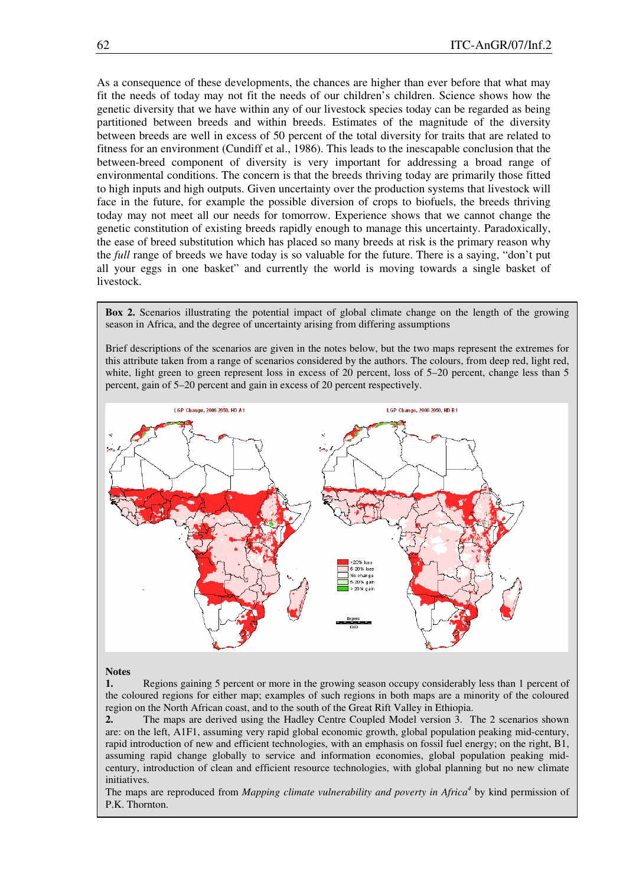As a consequence of these developments, the chances are higher than ever before that what may fit the needs of today may not fit the needs of our children's children. Science shows how the genetic diversity that we have within any of our livestock species today can be regarded as being partitioned between breeds and within breeds. Estimates of the magnitude of the diversity between breeds are well in excess of 50 percent of the total diversity for traits that are related to fitness for an environment (Cundiff et al., 1986). This leads to the inescapable conclusion that the between-breed component of diversity is very important for addressing a broad range of environmental conditions. The concern is that the breeds thriving today are primarily those fitted to high inputs and high outputs. Given uncertainty over the production systems that livestock will face in the future, for example the possible diversion of crops to biofuels, the breeds thriving today may not meet all our needs for tomorrow. Experience shows that we cannot change the genetic constitution of existing breeds rapidly enough to manage this uncertainty. Paradoxically, the ease of breed substitution which has placed so many breeds at risk is the primary reason why the *full* range of breeds we have today is so valuable for the future. There is a saying, "don't put all your eggs in one basket" and currently the world is moving towards a single basket of livestock.

**Box 2.** Scenarios illustrating the potential impact of global climate change on the length of the growing season in Africa, and the degree of uncertainty arising from differing assumptions

Brief descriptions of the scenarios are given in the notes below, but the two maps represent the extremes for this attribute taken from a range of scenarios considered by the authors. The colours, from deep red, light red, white, light green to green represent loss in excess of 20 percent, loss of 5–20 percent, change less than 5 percent, gain of 5–20 percent and gain in excess of 20 percent respectively.



#### **Notes**

**1.** Regions gaining 5 percent or more in the growing season occupy considerably less than 1 percent of the coloured regions for either map; examples of such regions in both maps are a minority of the coloured region on the North African coast, and to the south of the Great Rift Valley in Ethiopia.

**2.** The maps are derived using the Hadley Centre Coupled Model version 3. The 2 scenarios shown are: on the left, A1F1, assuming very rapid global economic growth, global population peaking mid-century, rapid introduction of new and efficient technologies, with an emphasis on fossil fuel energy; on the right, B1, assuming rapid change globally to service and information economies, global population peaking midcentury, introduction of clean and efficient resource technologies, with global planning but no new climate initiatives.

The maps are reproduced from *Mapping climate vulnerability and poverty in Africa<sup>4</sup>* by kind permission of P.K. Thornton.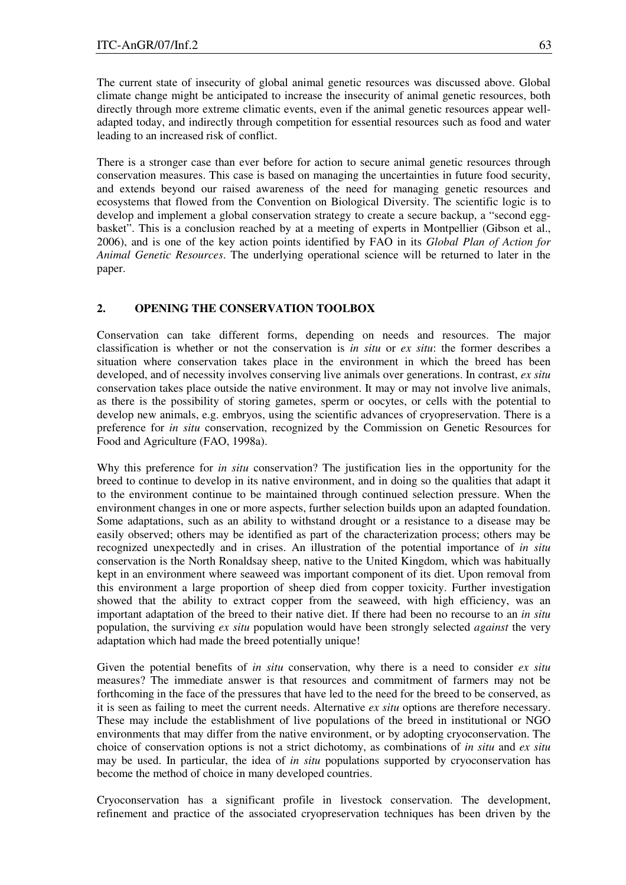The current state of insecurity of global animal genetic resources was discussed above. Global climate change might be anticipated to increase the insecurity of animal genetic resources, both directly through more extreme climatic events, even if the animal genetic resources appear welladapted today, and indirectly through competition for essential resources such as food and water leading to an increased risk of conflict.

There is a stronger case than ever before for action to secure animal genetic resources through conservation measures. This case is based on managing the uncertainties in future food security, and extends beyond our raised awareness of the need for managing genetic resources and ecosystems that flowed from the Convention on Biological Diversity. The scientific logic is to develop and implement a global conservation strategy to create a secure backup, a "second eggbasket". This is a conclusion reached by at a meeting of experts in Montpellier (Gibson et al., 2006), and is one of the key action points identified by FAO in its *Global Plan of Action for Animal Genetic Resources*. The underlying operational science will be returned to later in the paper.

# **2. OPENING THE CONSERVATION TOOLBOX**

Conservation can take different forms, depending on needs and resources. The major classification is whether or not the conservation is *in situ* or *ex situ*: the former describes a situation where conservation takes place in the environment in which the breed has been developed, and of necessity involves conserving live animals over generations. In contrast, *ex situ* conservation takes place outside the native environment. It may or may not involve live animals, as there is the possibility of storing gametes, sperm or oocytes, or cells with the potential to develop new animals, e.g. embryos, using the scientific advances of cryopreservation. There is a preference for *in situ* conservation, recognized by the Commission on Genetic Resources for Food and Agriculture (FAO, 1998a).

Why this preference for *in situ* conservation? The justification lies in the opportunity for the breed to continue to develop in its native environment, and in doing so the qualities that adapt it to the environment continue to be maintained through continued selection pressure. When the environment changes in one or more aspects, further selection builds upon an adapted foundation. Some adaptations, such as an ability to withstand drought or a resistance to a disease may be easily observed; others may be identified as part of the characterization process; others may be recognized unexpectedly and in crises. An illustration of the potential importance of *in situ*  conservation is the North Ronaldsay sheep, native to the United Kingdom, which was habitually kept in an environment where seaweed was important component of its diet. Upon removal from this environment a large proportion of sheep died from copper toxicity. Further investigation showed that the ability to extract copper from the seaweed, with high efficiency, was an important adaptation of the breed to their native diet. If there had been no recourse to an *in situ* population, the surviving *ex situ* population would have been strongly selected *against* the very adaptation which had made the breed potentially unique!

Given the potential benefits of *in situ* conservation, why there is a need to consider *ex situ*  measures? The immediate answer is that resources and commitment of farmers may not be forthcoming in the face of the pressures that have led to the need for the breed to be conserved, as it is seen as failing to meet the current needs. Alternative *ex situ* options are therefore necessary. These may include the establishment of live populations of the breed in institutional or NGO environments that may differ from the native environment, or by adopting cryoconservation. The choice of conservation options is not a strict dichotomy, as combinations of *in situ* and *ex situ* may be used. In particular, the idea of *in situ* populations supported by cryoconservation has become the method of choice in many developed countries.

Cryoconservation has a significant profile in livestock conservation. The development, refinement and practice of the associated cryopreservation techniques has been driven by the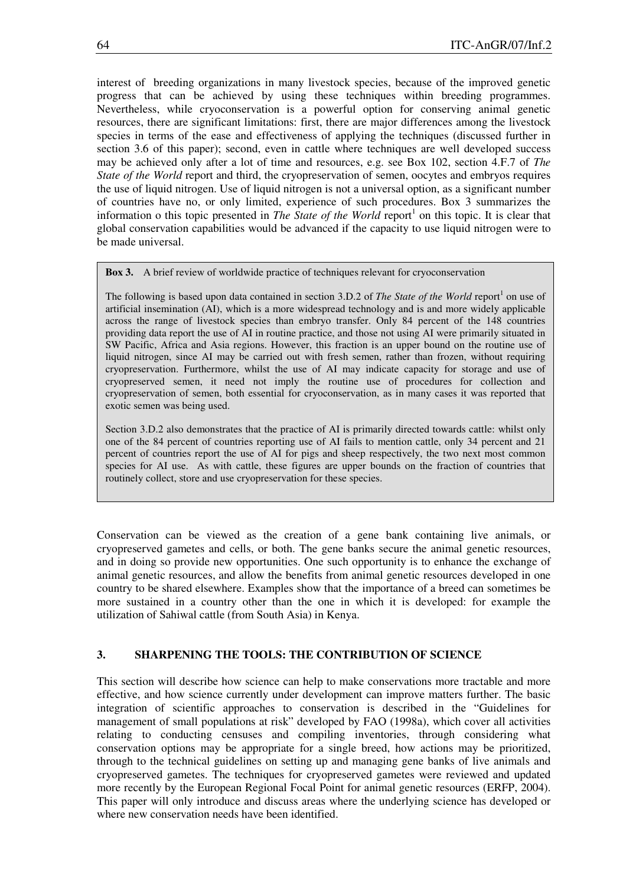interest of breeding organizations in many livestock species, because of the improved genetic progress that can be achieved by using these techniques within breeding programmes. Nevertheless, while cryoconservation is a powerful option for conserving animal genetic resources, there are significant limitations: first, there are major differences among the livestock species in terms of the ease and effectiveness of applying the techniques (discussed further in section 3.6 of this paper); second, even in cattle where techniques are well developed success may be achieved only after a lot of time and resources, e.g. see Box 102, section 4.F.7 of *The State of the World* report and third, the cryopreservation of semen, oocytes and embryos requires the use of liquid nitrogen. Use of liquid nitrogen is not a universal option, as a significant number of countries have no, or only limited, experience of such procedures. Box 3 summarizes the information o this topic presented in *The State of the World* report<sup>1</sup> on this topic. It is clear that global conservation capabilities would be advanced if the capacity to use liquid nitrogen were to be made universal.

**Box 3.** A brief review of worldwide practice of techniques relevant for cryoconservation

The following is based upon data contained in section 3.D.2 of *The State of the World* report<sup>1</sup> on use of artificial insemination (AI), which is a more widespread technology and is and more widely applicable across the range of livestock species than embryo transfer. Only 84 percent of the 148 countries providing data report the use of AI in routine practice, and those not using AI were primarily situated in SW Pacific, Africa and Asia regions. However, this fraction is an upper bound on the routine use of liquid nitrogen, since AI may be carried out with fresh semen, rather than frozen, without requiring cryopreservation. Furthermore, whilst the use of AI may indicate capacity for storage and use of cryopreserved semen, it need not imply the routine use of procedures for collection and cryopreservation of semen, both essential for cryoconservation, as in many cases it was reported that exotic semen was being used.

Section 3.D.2 also demonstrates that the practice of AI is primarily directed towards cattle: whilst only one of the 84 percent of countries reporting use of AI fails to mention cattle, only 34 percent and 21 percent of countries report the use of AI for pigs and sheep respectively, the two next most common species for AI use. As with cattle, these figures are upper bounds on the fraction of countries that routinely collect, store and use cryopreservation for these species.

Conservation can be viewed as the creation of a gene bank containing live animals, or cryopreserved gametes and cells, or both. The gene banks secure the animal genetic resources, and in doing so provide new opportunities. One such opportunity is to enhance the exchange of animal genetic resources, and allow the benefits from animal genetic resources developed in one country to be shared elsewhere. Examples show that the importance of a breed can sometimes be more sustained in a country other than the one in which it is developed: for example the utilization of Sahiwal cattle (from South Asia) in Kenya.

## **3. SHARPENING THE TOOLS: THE CONTRIBUTION OF SCIENCE**

This section will describe how science can help to make conservations more tractable and more effective, and how science currently under development can improve matters further. The basic integration of scientific approaches to conservation is described in the "Guidelines for management of small populations at risk" developed by FAO (1998a), which cover all activities relating to conducting censuses and compiling inventories, through considering what conservation options may be appropriate for a single breed, how actions may be prioritized, through to the technical guidelines on setting up and managing gene banks of live animals and cryopreserved gametes. The techniques for cryopreserved gametes were reviewed and updated more recently by the European Regional Focal Point for animal genetic resources (ERFP, 2004). This paper will only introduce and discuss areas where the underlying science has developed or where new conservation needs have been identified.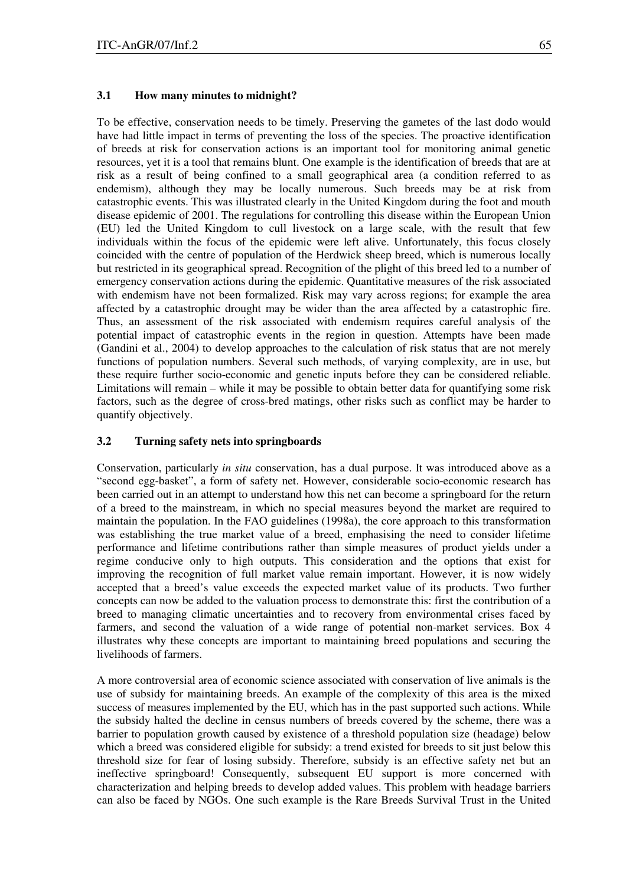## **3.1 How many minutes to midnight?**

To be effective, conservation needs to be timely. Preserving the gametes of the last dodo would have had little impact in terms of preventing the loss of the species. The proactive identification of breeds at risk for conservation actions is an important tool for monitoring animal genetic resources, yet it is a tool that remains blunt. One example is the identification of breeds that are at risk as a result of being confined to a small geographical area (a condition referred to as endemism), although they may be locally numerous. Such breeds may be at risk from catastrophic events. This was illustrated clearly in the United Kingdom during the foot and mouth disease epidemic of 2001. The regulations for controlling this disease within the European Union (EU) led the United Kingdom to cull livestock on a large scale, with the result that few individuals within the focus of the epidemic were left alive. Unfortunately, this focus closely coincided with the centre of population of the Herdwick sheep breed, which is numerous locally but restricted in its geographical spread. Recognition of the plight of this breed led to a number of emergency conservation actions during the epidemic. Quantitative measures of the risk associated with endemism have not been formalized. Risk may vary across regions; for example the area affected by a catastrophic drought may be wider than the area affected by a catastrophic fire. Thus, an assessment of the risk associated with endemism requires careful analysis of the potential impact of catastrophic events in the region in question. Attempts have been made (Gandini et al., 2004) to develop approaches to the calculation of risk status that are not merely functions of population numbers. Several such methods, of varying complexity, are in use, but these require further socio-economic and genetic inputs before they can be considered reliable. Limitations will remain – while it may be possible to obtain better data for quantifying some risk factors, such as the degree of cross-bred matings, other risks such as conflict may be harder to quantify objectively.

#### **3.2 Turning safety nets into springboards**

Conservation, particularly *in situ* conservation, has a dual purpose. It was introduced above as a "second egg-basket", a form of safety net. However, considerable socio-economic research has been carried out in an attempt to understand how this net can become a springboard for the return of a breed to the mainstream, in which no special measures beyond the market are required to maintain the population. In the FAO guidelines (1998a), the core approach to this transformation was establishing the true market value of a breed, emphasising the need to consider lifetime performance and lifetime contributions rather than simple measures of product yields under a regime conducive only to high outputs. This consideration and the options that exist for improving the recognition of full market value remain important. However, it is now widely accepted that a breed's value exceeds the expected market value of its products. Two further concepts can now be added to the valuation process to demonstrate this: first the contribution of a breed to managing climatic uncertainties and to recovery from environmental crises faced by farmers, and second the valuation of a wide range of potential non-market services. Box 4 illustrates why these concepts are important to maintaining breed populations and securing the livelihoods of farmers.

A more controversial area of economic science associated with conservation of live animals is the use of subsidy for maintaining breeds. An example of the complexity of this area is the mixed success of measures implemented by the EU, which has in the past supported such actions. While the subsidy halted the decline in census numbers of breeds covered by the scheme, there was a barrier to population growth caused by existence of a threshold population size (headage) below which a breed was considered eligible for subsidy: a trend existed for breeds to sit just below this threshold size for fear of losing subsidy. Therefore, subsidy is an effective safety net but an ineffective springboard! Consequently, subsequent EU support is more concerned with characterization and helping breeds to develop added values. This problem with headage barriers can also be faced by NGOs. One such example is the Rare Breeds Survival Trust in the United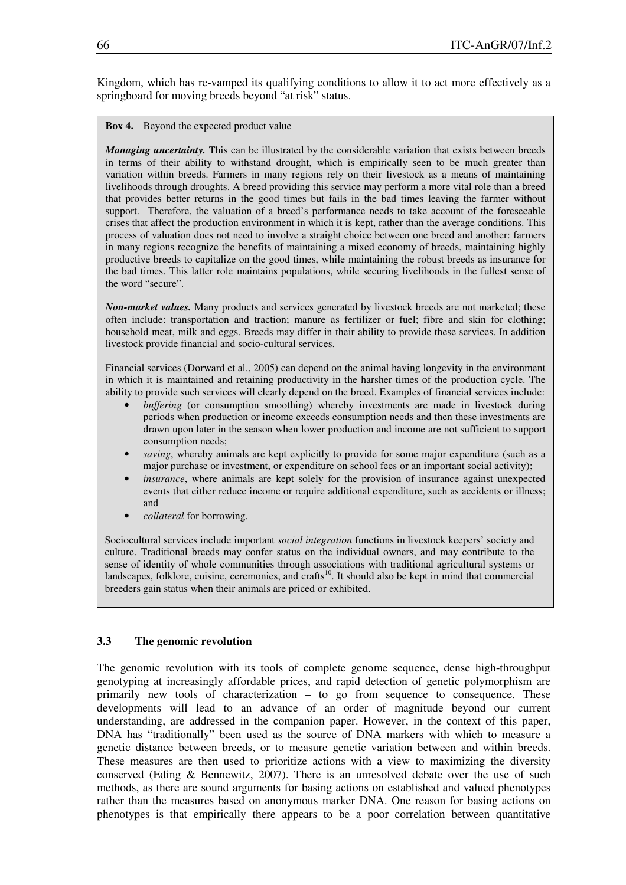Kingdom, which has re-vamped its qualifying conditions to allow it to act more effectively as a springboard for moving breeds beyond "at risk" status.

**Box 4.** Beyond the expected product value

*Managing uncertainty*. This can be illustrated by the considerable variation that exists between breeds in terms of their ability to withstand drought, which is empirically seen to be much greater than variation within breeds. Farmers in many regions rely on their livestock as a means of maintaining livelihoods through droughts. A breed providing this service may perform a more vital role than a breed that provides better returns in the good times but fails in the bad times leaving the farmer without support. Therefore, the valuation of a breed's performance needs to take account of the foreseeable crises that affect the production environment in which it is kept, rather than the average conditions. This process of valuation does not need to involve a straight choice between one breed and another: farmers in many regions recognize the benefits of maintaining a mixed economy of breeds, maintaining highly productive breeds to capitalize on the good times, while maintaining the robust breeds as insurance for the bad times. This latter role maintains populations, while securing livelihoods in the fullest sense of the word "secure".

*Non-market values.* Many products and services generated by livestock breeds are not marketed; these often include: transportation and traction; manure as fertilizer or fuel; fibre and skin for clothing; household meat, milk and eggs. Breeds may differ in their ability to provide these services. In addition livestock provide financial and socio-cultural services.

Financial services (Dorward et al., 2005) can depend on the animal having longevity in the environment in which it is maintained and retaining productivity in the harsher times of the production cycle. The ability to provide such services will clearly depend on the breed. Examples of financial services include:

- *buffering* (or consumption smoothing) whereby investments are made in livestock during periods when production or income exceeds consumption needs and then these investments are drawn upon later in the season when lower production and income are not sufficient to support consumption needs;
- *saving*, whereby animals are kept explicitly to provide for some major expenditure (such as a major purchase or investment, or expenditure on school fees or an important social activity);
- *insurance*, where animals are kept solely for the provision of insurance against unexpected events that either reduce income or require additional expenditure, such as accidents or illness; and
- *collateral* for borrowing.

Sociocultural services include important *social integration* functions in livestock keepers' society and culture. Traditional breeds may confer status on the individual owners, and may contribute to the sense of identity of whole communities through associations with traditional agricultural systems or landscapes, folklore, cuisine, ceremonies, and crafts<sup>10</sup>. It should also be kept in mind that commercial breeders gain status when their animals are priced or exhibited.

## **3.3 The genomic revolution**

The genomic revolution with its tools of complete genome sequence, dense high-throughput genotyping at increasingly affordable prices, and rapid detection of genetic polymorphism are primarily new tools of characterization – to go from sequence to consequence. These developments will lead to an advance of an order of magnitude beyond our current understanding, are addressed in the companion paper. However, in the context of this paper, DNA has "traditionally" been used as the source of DNA markers with which to measure a genetic distance between breeds, or to measure genetic variation between and within breeds. These measures are then used to prioritize actions with a view to maximizing the diversity conserved (Eding & Bennewitz, 2007). There is an unresolved debate over the use of such methods, as there are sound arguments for basing actions on established and valued phenotypes rather than the measures based on anonymous marker DNA. One reason for basing actions on phenotypes is that empirically there appears to be a poor correlation between quantitative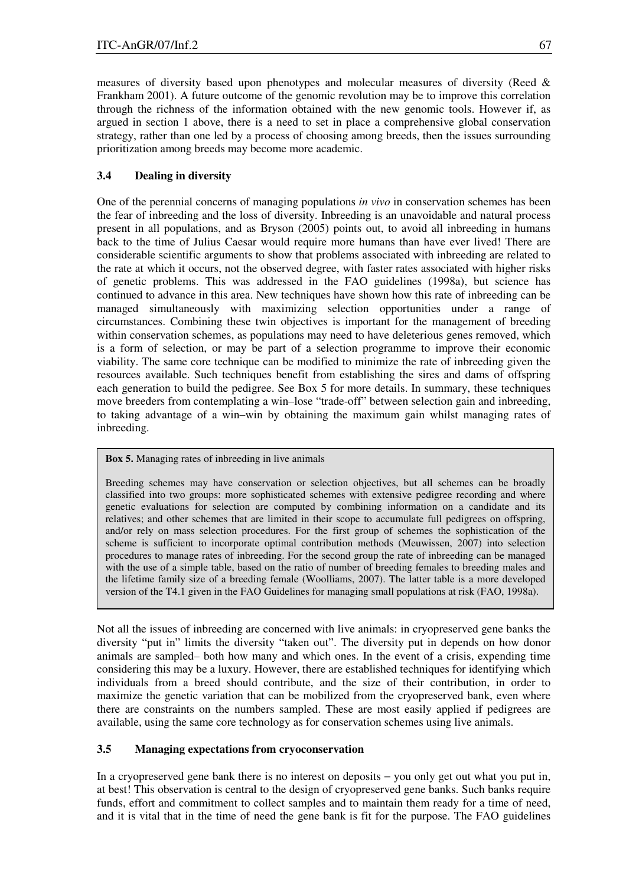measures of diversity based upon phenotypes and molecular measures of diversity (Reed & Frankham 2001). A future outcome of the genomic revolution may be to improve this correlation through the richness of the information obtained with the new genomic tools. However if, as argued in section 1 above, there is a need to set in place a comprehensive global conservation strategy, rather than one led by a process of choosing among breeds, then the issues surrounding prioritization among breeds may become more academic.

# **3.4 Dealing in diversity**

One of the perennial concerns of managing populations *in vivo* in conservation schemes has been the fear of inbreeding and the loss of diversity. Inbreeding is an unavoidable and natural process present in all populations, and as Bryson (2005) points out, to avoid all inbreeding in humans back to the time of Julius Caesar would require more humans than have ever lived! There are considerable scientific arguments to show that problems associated with inbreeding are related to the rate at which it occurs, not the observed degree, with faster rates associated with higher risks of genetic problems. This was addressed in the FAO guidelines (1998a), but science has continued to advance in this area. New techniques have shown how this rate of inbreeding can be managed simultaneously with maximizing selection opportunities under a range of circumstances. Combining these twin objectives is important for the management of breeding within conservation schemes, as populations may need to have deleterious genes removed, which is a form of selection, or may be part of a selection programme to improve their economic viability. The same core technique can be modified to minimize the rate of inbreeding given the resources available. Such techniques benefit from establishing the sires and dams of offspring each generation to build the pedigree. See Box 5 for more details. In summary, these techniques move breeders from contemplating a win–lose "trade-off" between selection gain and inbreeding, to taking advantage of a win–win by obtaining the maximum gain whilst managing rates of inbreeding.

**Box 5.** Managing rates of inbreeding in live animals

Breeding schemes may have conservation or selection objectives, but all schemes can be broadly classified into two groups: more sophisticated schemes with extensive pedigree recording and where genetic evaluations for selection are computed by combining information on a candidate and its relatives; and other schemes that are limited in their scope to accumulate full pedigrees on offspring, and/or rely on mass selection procedures. For the first group of schemes the sophistication of the scheme is sufficient to incorporate optimal contribution methods (Meuwissen, 2007) into selection procedures to manage rates of inbreeding. For the second group the rate of inbreeding can be managed with the use of a simple table, based on the ratio of number of breeding females to breeding males and the lifetime family size of a breeding female (Woolliams, 2007). The latter table is a more developed version of the T4.1 given in the FAO Guidelines for managing small populations at risk (FAO, 1998a).

Not all the issues of inbreeding are concerned with live animals: in cryopreserved gene banks the diversity "put in" limits the diversity "taken out". The diversity put in depends on how donor animals are sampled– both how many and which ones. In the event of a crisis, expending time considering this may be a luxury. However, there are established techniques for identifying which individuals from a breed should contribute, and the size of their contribution, in order to maximize the genetic variation that can be mobilized from the cryopreserved bank, even where there are constraints on the numbers sampled. These are most easily applied if pedigrees are available, using the same core technology as for conservation schemes using live animals.

# **3.5 Managing expectations from cryoconservation**

In a cryopreserved gene bank there is no interest on deposits − you only get out what you put in, at best! This observation is central to the design of cryopreserved gene banks. Such banks require funds, effort and commitment to collect samples and to maintain them ready for a time of need, and it is vital that in the time of need the gene bank is fit for the purpose. The FAO guidelines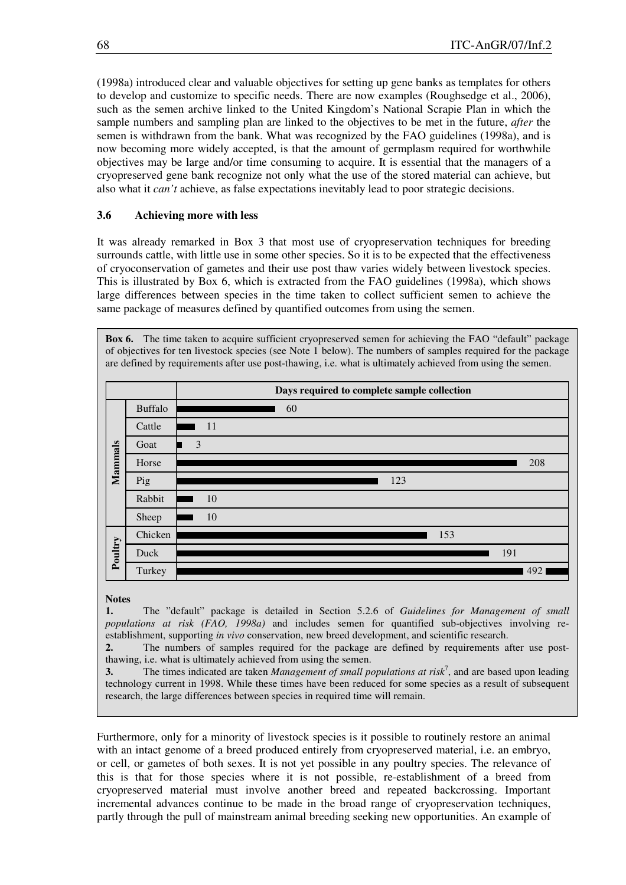(1998a) introduced clear and valuable objectives for setting up gene banks as templates for others to develop and customize to specific needs. There are now examples (Roughsedge et al., 2006), such as the semen archive linked to the United Kingdom's National Scrapie Plan in which the sample numbers and sampling plan are linked to the objectives to be met in the future, *after* the semen is withdrawn from the bank. What was recognized by the FAO guidelines (1998a), and is now becoming more widely accepted, is that the amount of germplasm required for worthwhile objectives may be large and/or time consuming to acquire. It is essential that the managers of a cryopreserved gene bank recognize not only what the use of the stored material can achieve, but also what it *can't* achieve, as false expectations inevitably lead to poor strategic decisions.

## **3.6 Achieving more with less**

It was already remarked in Box 3 that most use of cryopreservation techniques for breeding surrounds cattle, with little use in some other species. So it is to be expected that the effectiveness of cryoconservation of gametes and their use post thaw varies widely between livestock species. This is illustrated by Box 6, which is extracted from the FAO guidelines (1998a), which shows large differences between species in the time taken to collect sufficient semen to achieve the same package of measures defined by quantified outcomes from using the semen.

**Box 6.** The time taken to acquire sufficient cryopreserved semen for achieving the FAO "default" package of objectives for ten livestock species (see Note 1 below). The numbers of samples required for the package are defined by requirements after use post-thawing, i.e. what is ultimately achieved from using the semen.

|         |                | Days required to complete sample collection |
|---------|----------------|---------------------------------------------|
|         | <b>Buffalo</b> | 60                                          |
|         | Cattle         | -11                                         |
|         | Goat           | 3                                           |
| Mammals | Horse          | 208                                         |
|         | Pig            | 123                                         |
|         | Rabbit         | 10                                          |
|         | Sheep          | 10                                          |
| Poultry | Chicken        | 153                                         |
|         | Duck           | 191                                         |
|         | Turkey         | 492                                         |

#### **Notes**

**1.** The "default" package is detailed in Section 5.2.6 of *Guidelines for Management of small populations at risk (FAO, 1998a)* and includes semen for quantified sub-objectives involving reestablishment, supporting *in vivo* conservation, new breed development, and scientific research.

**2.** The numbers of samples required for the package are defined by requirements after use postthawing, i.e. what is ultimately achieved from using the semen.

**3.** The times indicated are taken *Management of small populations at risk*<sup>7</sup>, and are based upon leading technology current in 1998. While these times have been reduced for some species as a result of subsequent research, the large differences between species in required time will remain.

Furthermore, only for a minority of livestock species is it possible to routinely restore an animal with an intact genome of a breed produced entirely from cryopreserved material, i.e. an embryo, or cell, or gametes of both sexes. It is not yet possible in any poultry species. The relevance of this is that for those species where it is not possible, re-establishment of a breed from cryopreserved material must involve another breed and repeated backcrossing. Important incremental advances continue to be made in the broad range of cryopreservation techniques, partly through the pull of mainstream animal breeding seeking new opportunities. An example of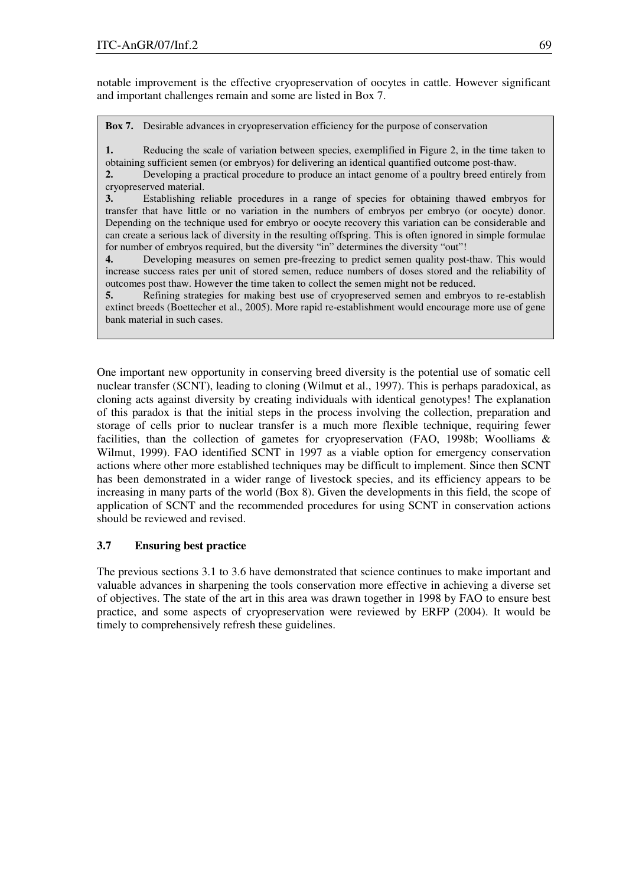notable improvement is the effective cryopreservation of oocytes in cattle. However significant and important challenges remain and some are listed in Box 7.

**Box 7.** Desirable advances in cryopreservation efficiency for the purpose of conservation

**1.** Reducing the scale of variation between species, exemplified in Figure 2, in the time taken to obtaining sufficient semen (or embryos) for delivering an identical quantified outcome post-thaw.

**2.** Developing a practical procedure to produce an intact genome of a poultry breed entirely from cryopreserved material.

**3.** Establishing reliable procedures in a range of species for obtaining thawed embryos for transfer that have little or no variation in the numbers of embryos per embryo (or oocyte) donor. Depending on the technique used for embryo or oocyte recovery this variation can be considerable and can create a serious lack of diversity in the resulting offspring. This is often ignored in simple formulae for number of embryos required, but the diversity "in" determines the diversity "out"!

**4.** Developing measures on semen pre-freezing to predict semen quality post-thaw. This would increase success rates per unit of stored semen, reduce numbers of doses stored and the reliability of outcomes post thaw. However the time taken to collect the semen might not be reduced.

**5.** Refining strategies for making best use of cryopreserved semen and embryos to re-establish extinct breeds (Boettecher et al., 2005). More rapid re-establishment would encourage more use of gene bank material in such cases.

One important new opportunity in conserving breed diversity is the potential use of somatic cell nuclear transfer (SCNT), leading to cloning (Wilmut et al., 1997). This is perhaps paradoxical, as cloning acts against diversity by creating individuals with identical genotypes! The explanation of this paradox is that the initial steps in the process involving the collection, preparation and storage of cells prior to nuclear transfer is a much more flexible technique, requiring fewer facilities, than the collection of gametes for cryopreservation (FAO, 1998b; Woolliams & Wilmut, 1999). FAO identified SCNT in 1997 as a viable option for emergency conservation actions where other more established techniques may be difficult to implement. Since then SCNT has been demonstrated in a wider range of livestock species, and its efficiency appears to be increasing in many parts of the world (Box 8). Given the developments in this field, the scope of application of SCNT and the recommended procedures for using SCNT in conservation actions should be reviewed and revised.

# **3.7 Ensuring best practice**

The previous sections 3.1 to 3.6 have demonstrated that science continues to make important and valuable advances in sharpening the tools conservation more effective in achieving a diverse set of objectives. The state of the art in this area was drawn together in 1998 by FAO to ensure best practice, and some aspects of cryopreservation were reviewed by ERFP (2004). It would be timely to comprehensively refresh these guidelines.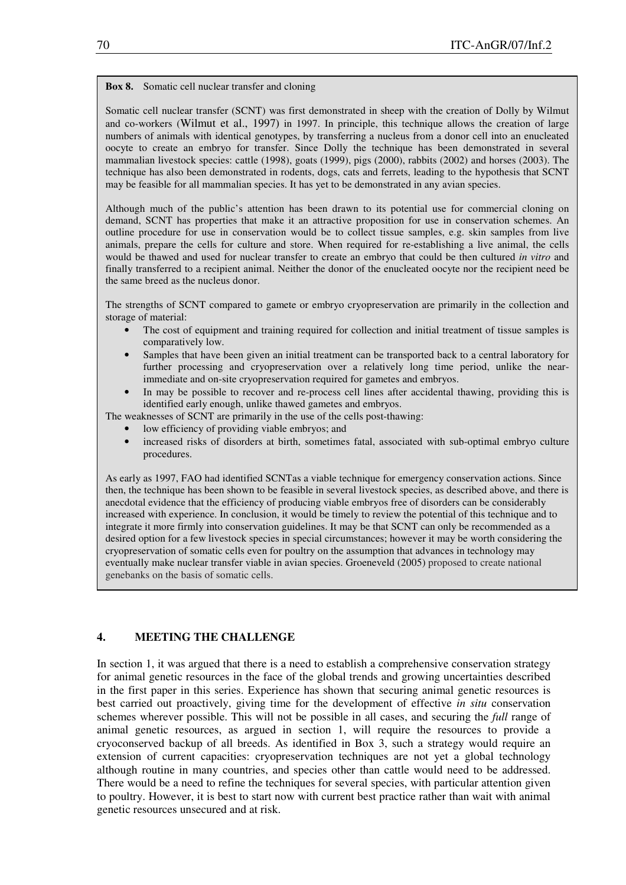#### **Box 8.** Somatic cell nuclear transfer and cloning

Somatic cell nuclear transfer (SCNT) was first demonstrated in sheep with the creation of Dolly by Wilmut and co-workers (Wilmut et al., 1997) in 1997. In principle, this technique allows the creation of large numbers of animals with identical genotypes, by transferring a nucleus from a donor cell into an enucleated oocyte to create an embryo for transfer. Since Dolly the technique has been demonstrated in several mammalian livestock species: cattle (1998), goats (1999), pigs (2000), rabbits (2002) and horses (2003). The technique has also been demonstrated in rodents, dogs, cats and ferrets, leading to the hypothesis that SCNT may be feasible for all mammalian species. It has yet to be demonstrated in any avian species.

Although much of the public's attention has been drawn to its potential use for commercial cloning on demand, SCNT has properties that make it an attractive proposition for use in conservation schemes. An outline procedure for use in conservation would be to collect tissue samples, e.g. skin samples from live animals, prepare the cells for culture and store. When required for re-establishing a live animal, the cells would be thawed and used for nuclear transfer to create an embryo that could be then cultured *in vitro* and finally transferred to a recipient animal. Neither the donor of the enucleated oocyte nor the recipient need be the same breed as the nucleus donor.

The strengths of SCNT compared to gamete or embryo cryopreservation are primarily in the collection and storage of material:

- The cost of equipment and training required for collection and initial treatment of tissue samples is comparatively low.
- Samples that have been given an initial treatment can be transported back to a central laboratory for further processing and cryopreservation over a relatively long time period, unlike the nearimmediate and on-site cryopreservation required for gametes and embryos.
- In may be possible to recover and re-process cell lines after accidental thawing, providing this is identified early enough, unlike thawed gametes and embryos.

The weaknesses of SCNT are primarily in the use of the cells post-thawing:

- low efficiency of providing viable embryos; and
- increased risks of disorders at birth, sometimes fatal, associated with sub-optimal embryo culture procedures.

As early as 1997, FAO had identified SCNTas a viable technique for emergency conservation actions. Since then, the technique has been shown to be feasible in several livestock species, as described above, and there is anecdotal evidence that the efficiency of producing viable embryos free of disorders can be considerably increased with experience. In conclusion, it would be timely to review the potential of this technique and to integrate it more firmly into conservation guidelines. It may be that SCNT can only be recommended as a desired option for a few livestock species in special circumstances; however it may be worth considering the cryopreservation of somatic cells even for poultry on the assumption that advances in technology may eventually make nuclear transfer viable in avian species. Groeneveld (2005) proposed to create national genebanks on the basis of somatic cells.

## **4. MEETING THE CHALLENGE**

In section 1, it was argued that there is a need to establish a comprehensive conservation strategy for animal genetic resources in the face of the global trends and growing uncertainties described in the first paper in this series. Experience has shown that securing animal genetic resources is best carried out proactively, giving time for the development of effective *in situ* conservation schemes wherever possible. This will not be possible in all cases, and securing the *full* range of animal genetic resources, as argued in section 1, will require the resources to provide a cryoconserved backup of all breeds. As identified in Box 3, such a strategy would require an extension of current capacities: cryopreservation techniques are not yet a global technology although routine in many countries, and species other than cattle would need to be addressed. There would be a need to refine the techniques for several species, with particular attention given to poultry. However, it is best to start now with current best practice rather than wait with animal genetic resources unsecured and at risk.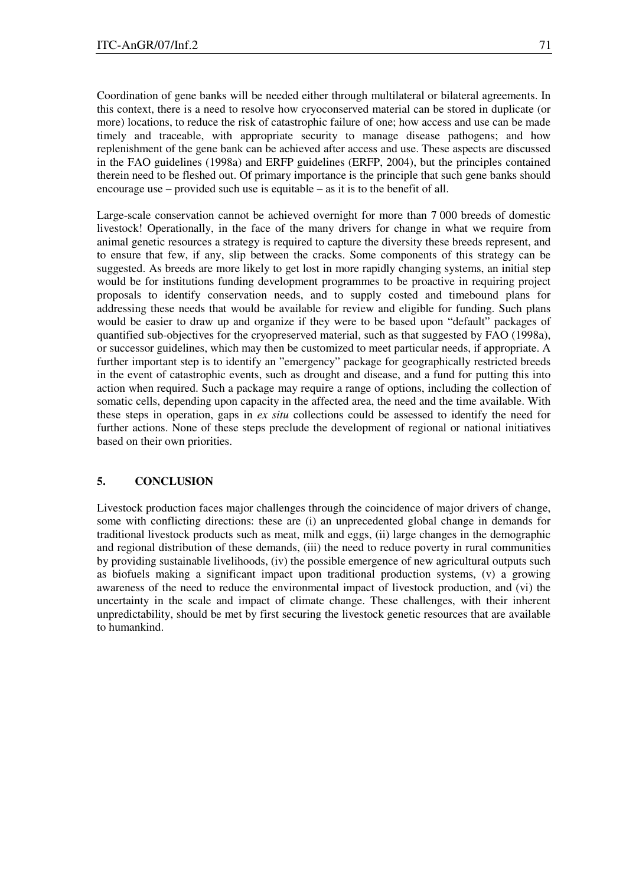Coordination of gene banks will be needed either through multilateral or bilateral agreements. In this context, there is a need to resolve how cryoconserved material can be stored in duplicate (or more) locations, to reduce the risk of catastrophic failure of one; how access and use can be made timely and traceable, with appropriate security to manage disease pathogens; and how replenishment of the gene bank can be achieved after access and use. These aspects are discussed in the FAO guidelines (1998a) and ERFP guidelines (ERFP, 2004), but the principles contained therein need to be fleshed out. Of primary importance is the principle that such gene banks should encourage use – provided such use is equitable – as it is to the benefit of all.

Large-scale conservation cannot be achieved overnight for more than 7 000 breeds of domestic livestock! Operationally, in the face of the many drivers for change in what we require from animal genetic resources a strategy is required to capture the diversity these breeds represent, and to ensure that few, if any, slip between the cracks. Some components of this strategy can be suggested. As breeds are more likely to get lost in more rapidly changing systems, an initial step would be for institutions funding development programmes to be proactive in requiring project proposals to identify conservation needs, and to supply costed and timebound plans for addressing these needs that would be available for review and eligible for funding. Such plans would be easier to draw up and organize if they were to be based upon "default" packages of quantified sub-objectives for the cryopreserved material, such as that suggested by FAO (1998a), or successor guidelines, which may then be customized to meet particular needs, if appropriate. A further important step is to identify an "emergency" package for geographically restricted breeds in the event of catastrophic events, such as drought and disease, and a fund for putting this into action when required. Such a package may require a range of options, including the collection of somatic cells, depending upon capacity in the affected area, the need and the time available. With these steps in operation, gaps in *ex situ* collections could be assessed to identify the need for further actions. None of these steps preclude the development of regional or national initiatives based on their own priorities.

## **5. CONCLUSION**

Livestock production faces major challenges through the coincidence of major drivers of change, some with conflicting directions: these are (i) an unprecedented global change in demands for traditional livestock products such as meat, milk and eggs, (ii) large changes in the demographic and regional distribution of these demands, (iii) the need to reduce poverty in rural communities by providing sustainable livelihoods, (iv) the possible emergence of new agricultural outputs such as biofuels making a significant impact upon traditional production systems, (v) a growing awareness of the need to reduce the environmental impact of livestock production, and (vi) the uncertainty in the scale and impact of climate change. These challenges, with their inherent unpredictability, should be met by first securing the livestock genetic resources that are available to humankind.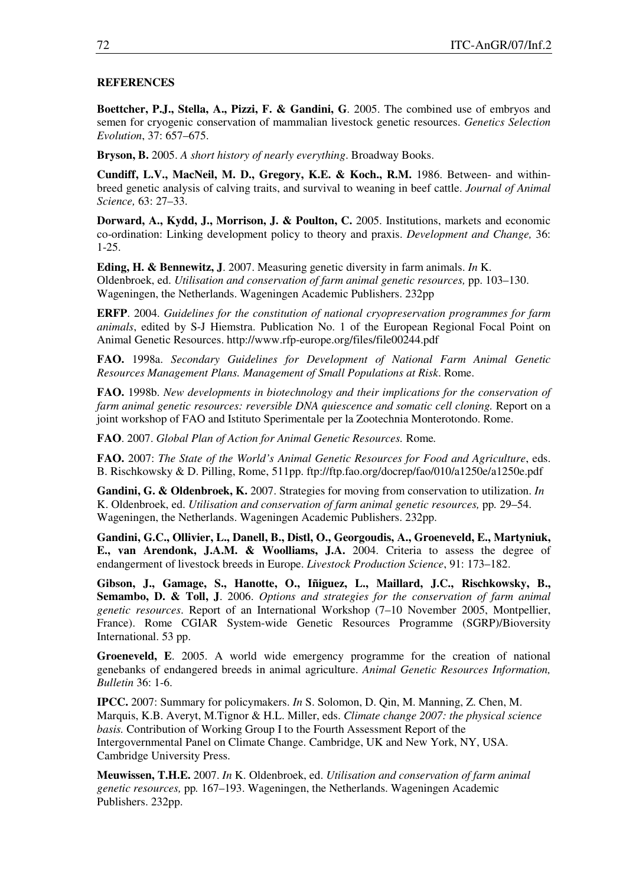## **REFERENCES**

**Boettcher, P.J., Stella, A., Pizzi, F. & Gandini, G**. 2005. The combined use of embryos and semen for cryogenic conservation of mammalian livestock genetic resources. *Genetics Selection Evolution*, 37: 657–675.

**Bryson, B.** 2005. *A short history of nearly everything*. Broadway Books.

**Cundiff, L.V., MacNeil, M. D., Gregory, K.E. & Koch., R.M.** 1986. Between- and withinbreed genetic analysis of calving traits, and survival to weaning in beef cattle. *Journal of Animal Science,* 63: 27–33.

**Dorward, A., Kydd, J., Morrison, J. & Poulton, C.** 2005. Institutions, markets and economic co-ordination: Linking development policy to theory and praxis. *Development and Change,* 36: 1-25.

**Eding, H. & Bennewitz, J**. 2007. Measuring genetic diversity in farm animals. *In* K. Oldenbroek, ed. *Utilisation and conservation of farm animal genetic resources,* pp. 103–130. Wageningen, the Netherlands. Wageningen Academic Publishers. 232pp

**ERFP**. 2004. *Guidelines for the constitution of national cryopreservation programmes for farm animals*, edited by S-J Hiemstra. Publication No. 1 of the European Regional Focal Point on Animal Genetic Resources. http://www.rfp-europe.org/files/file00244.pdf

**FAO.** 1998a. *Secondary Guidelines for Development of National Farm Animal Genetic Resources Management Plans. Management of Small Populations at Risk*. Rome.

**FAO.** 1998b. *New developments in biotechnology and their implications for the conservation of farm animal genetic resources: reversible DNA quiescence and somatic cell cloning.* Report on a joint workshop of FAO and Istituto Sperimentale per la Zootechnia Monterotondo. Rome.

**FAO**. 2007. *Global Plan of Action for Animal Genetic Resources.* Rome*.* 

**FAO.** 2007: *The State of the World's Animal Genetic Resources for Food and Agriculture*, eds. B. Rischkowsky & D. Pilling, Rome, 511pp. ftp://ftp.fao.org/docrep/fao/010/a1250e/a1250e.pdf

**Gandini, G. & Oldenbroek, K.** 2007. Strategies for moving from conservation to utilization. *In*  K. Oldenbroek, ed. *Utilisation and conservation of farm animal genetic resources,* pp*.* 29–54. Wageningen, the Netherlands. Wageningen Academic Publishers. 232pp.

**Gandini, G.C., Ollivier, L., Danell, B., Distl, O., Georgoudis, A., Groeneveld, E., Martyniuk, E., van Arendonk, J.A.M. & Woolliams, J.A.** 2004. Criteria to assess the degree of endangerment of livestock breeds in Europe. *Livestock Production Science*, 91: 173–182.

**Gibson, J., Gamage, S., Hanotte, O., Iñiguez, L., Maillard, J.C., Rischkowsky, B., Semambo, D. & Toll, J**. 2006. *Options and strategies for the conservation of farm animal genetic resources*. Report of an International Workshop (7–10 November 2005, Montpellier, France). Rome CGIAR System-wide Genetic Resources Programme (SGRP)/Bioversity International. 53 pp.

**Groeneveld, E**. 2005. A world wide emergency programme for the creation of national genebanks of endangered breeds in animal agriculture. *Animal Genetic Resources Information, Bulletin* 36: 1-6.

**IPCC.** 2007: Summary for policymakers. *In* S. Solomon, D. Qin, M. Manning, Z. Chen, M. Marquis, K.B. Averyt, M.Tignor & H.L. Miller, eds. *Climate change 2007: the physical science basis.* Contribution of Working Group I to the Fourth Assessment Report of the Intergovernmental Panel on Climate Change. Cambridge, UK and New York, NY, USA. Cambridge University Press.

**Meuwissen, T.H.E.** 2007. *In* K. Oldenbroek, ed. *Utilisation and conservation of farm animal genetic resources,* pp*.* 167–193. Wageningen, the Netherlands. Wageningen Academic Publishers. 232pp.